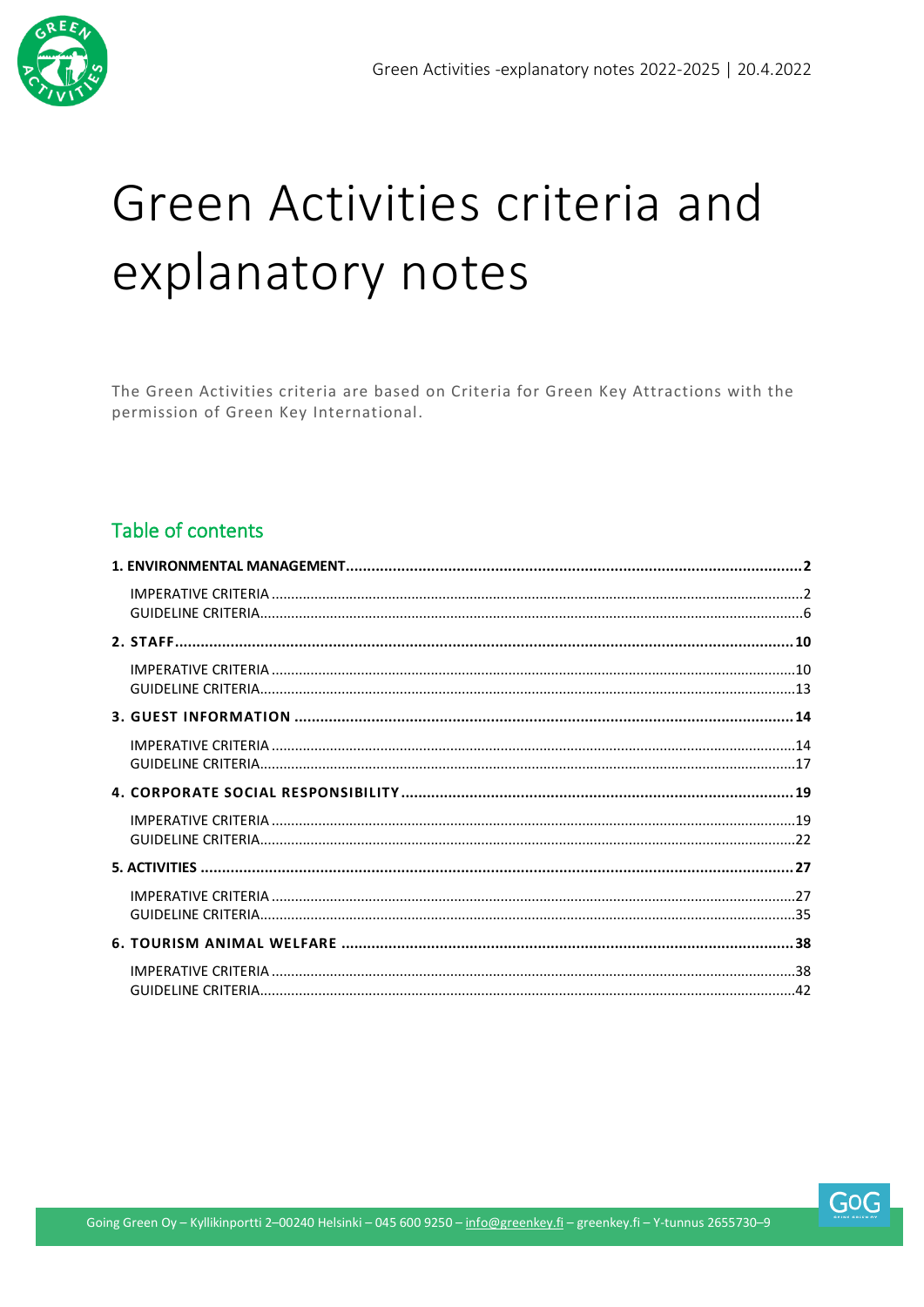

# Green Activities criteria and explanatory notes

The Green Activities criteria are based on Criteria for Green Key Attractions with the permission of Green Key International.

#### Table of contents

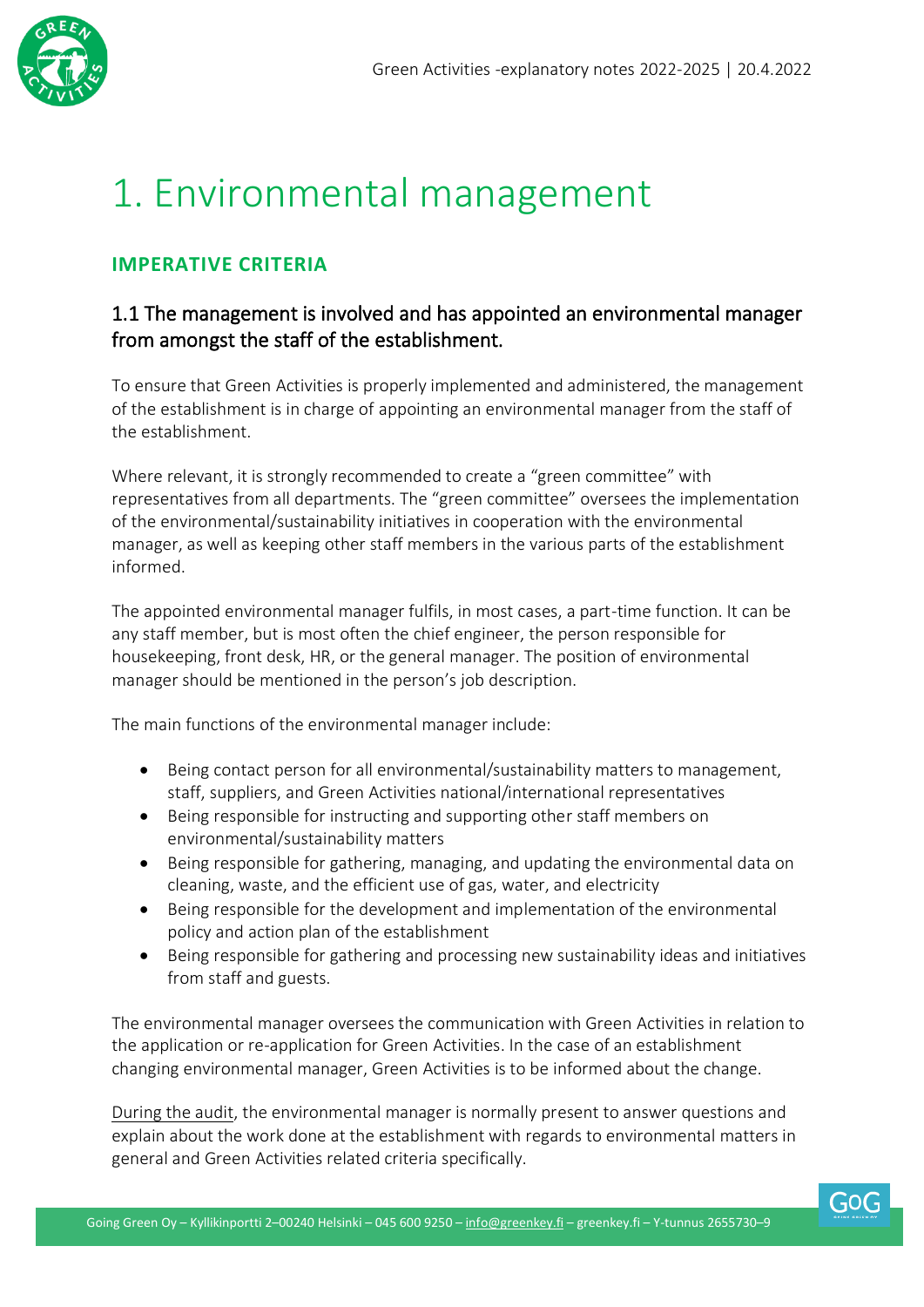

# <span id="page-1-0"></span>1. Environmental management

#### <span id="page-1-1"></span>**IMPERATIVE CRITERIA**

#### 1.1 The management is involved and has appointed an environmental manager from amongst the staff of the establishment.

To ensure that Green Activities is properly implemented and administered, the management of the establishment is in charge of appointing an environmental manager from the staff of the establishment.

Where relevant, it is strongly recommended to create a "green committee" with representatives from all departments. The "green committee" oversees the implementation of the environmental/sustainability initiatives in cooperation with the environmental manager, as well as keeping other staff members in the various parts of the establishment informed.

The appointed environmental manager fulfils, in most cases, a part-time function. It can be any staff member, but is most often the chief engineer, the person responsible for housekeeping, front desk, HR, or the general manager. The position of environmental manager should be mentioned in the person's job description.

The main functions of the environmental manager include:

- Being contact person for all environmental/sustainability matters to management, staff, suppliers, and Green Activities national/international representatives
- Being responsible for instructing and supporting other staff members on environmental/sustainability matters
- Being responsible for gathering, managing, and updating the environmental data on cleaning, waste, and the efficient use of gas, water, and electricity
- Being responsible for the development and implementation of the environmental policy and action plan of the establishment
- Being responsible for gathering and processing new sustainability ideas and initiatives from staff and guests.

The environmental manager oversees the communication with Green Activities in relation to the application or re-application for Green Activities. In the case of an establishment changing environmental manager, Green Activities is to be informed about the change.

During the audit, the environmental manager is normally present to answer questions and explain about the work done at the establishment with regards to environmental matters in general and Green Activities related criteria specifically.

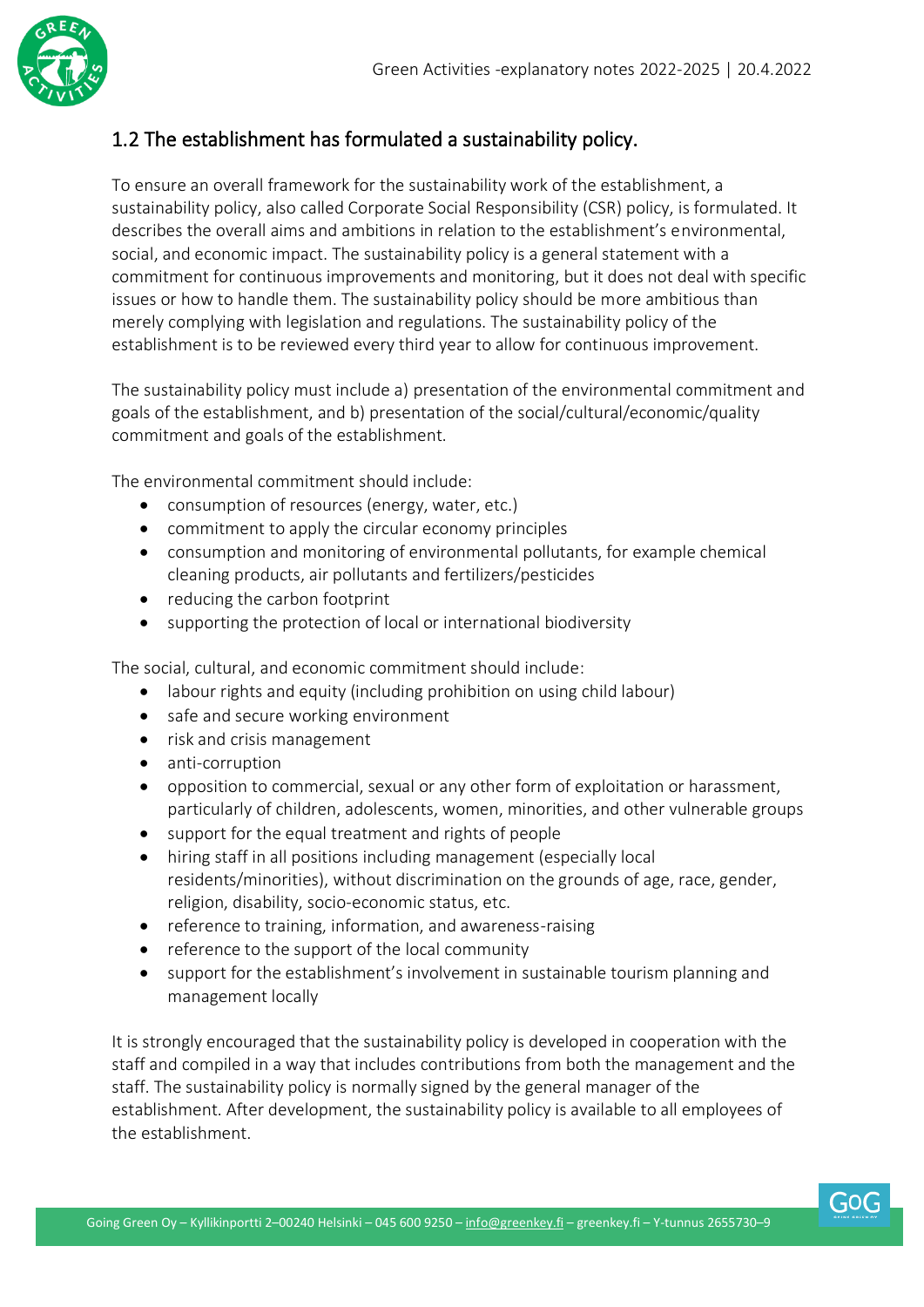

#### 1.2 The establishment has formulated a sustainability policy.

To ensure an overall framework for the sustainability work of the establishment, a sustainability policy, also called Corporate Social Responsibility (CSR) policy, is formulated. It describes the overall aims and ambitions in relation to the establishment's environmental, social, and economic impact. The sustainability policy is a general statement with a commitment for continuous improvements and monitoring, but it does not deal with specific issues or how to handle them. The sustainability policy should be more ambitious than merely complying with legislation and regulations. The sustainability policy of the establishment is to be reviewed every third year to allow for continuous improvement.

The sustainability policy must include a) presentation of the environmental commitment and goals of the establishment, and b) presentation of the social/cultural/economic/quality commitment and goals of the establishment.

The environmental commitment should include:

- consumption of resources (energy, water, etc.)
- commitment to apply the circular economy principles
- consumption and monitoring of environmental pollutants, for example chemical cleaning products, air pollutants and fertilizers/pesticides
- reducing the carbon footprint
- supporting the protection of local or international biodiversity

The social, cultural, and economic commitment should include:

- labour rights and equity (including prohibition on using child labour)
- safe and secure working environment
- risk and crisis management
- anti-corruption
- opposition to commercial, sexual or any other form of exploitation or harassment, particularly of children, adolescents, women, minorities, and other vulnerable groups
- support for the equal treatment and rights of people
- hiring staff in all positions including management (especially local residents/minorities), without discrimination on the grounds of age, race, gender, religion, disability, socio-economic status, etc.
- reference to training, information, and awareness-raising
- reference to the support of the local community
- support for the establishment's involvement in sustainable tourism planning and management locally

It is strongly encouraged that the sustainability policy is developed in cooperation with the staff and compiled in a way that includes contributions from both the management and the staff. The sustainability policy is normally signed by the general manager of the establishment. After development, the sustainability policy is available to all employees of the establishment.

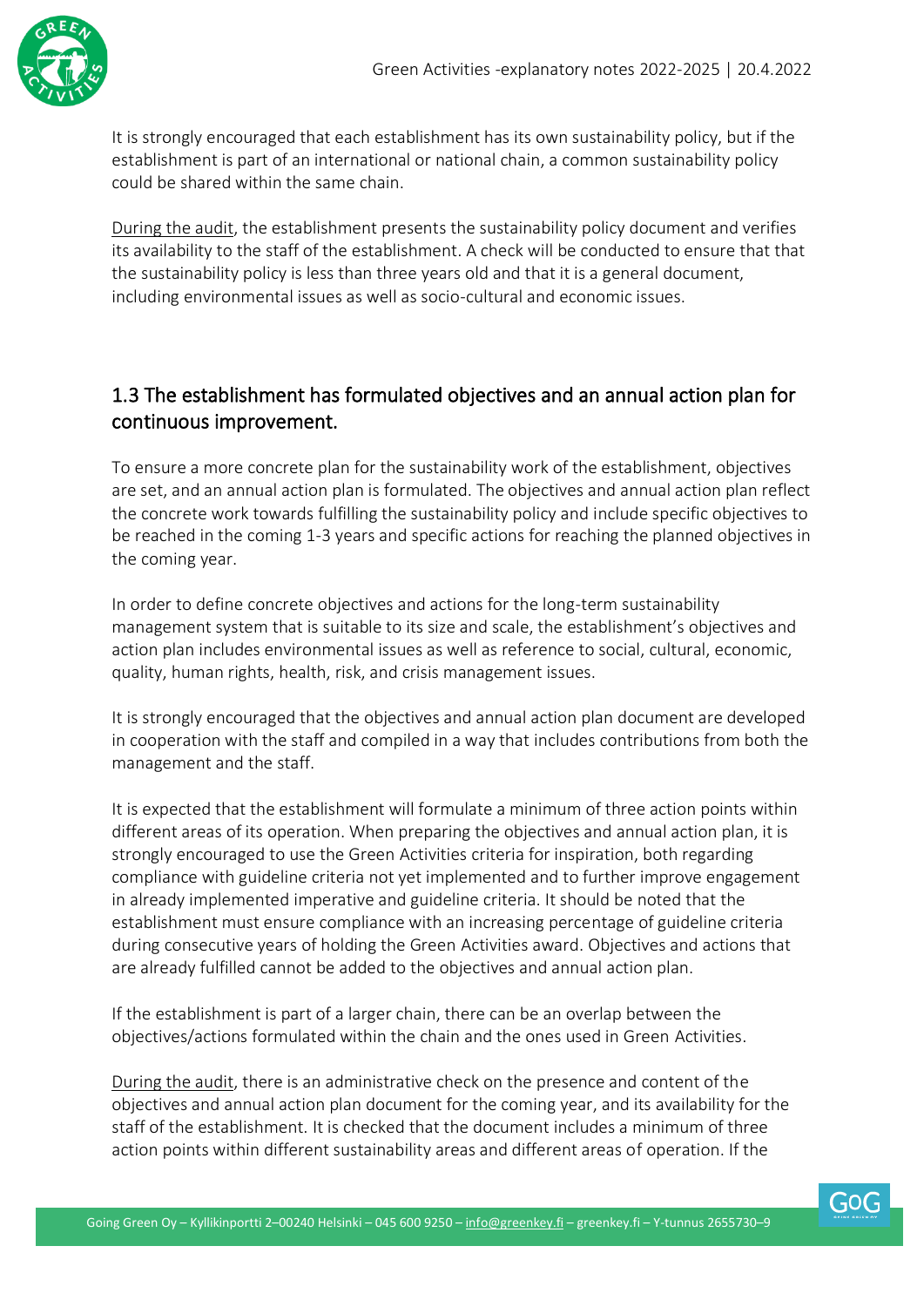

It is strongly encouraged that each establishment has its own sustainability policy, but if the establishment is part of an international or national chain, a common sustainability policy could be shared within the same chain.

During the audit, the establishment presents the sustainability policy document and verifies its availability to the staff of the establishment. A check will be conducted to ensure that that the sustainability policy is less than three years old and that it is a general document, including environmental issues as well as socio-cultural and economic issues.

#### 1.3 The establishment has formulated objectives and an annual action plan for continuous improvement.

To ensure a more concrete plan for the sustainability work of the establishment, objectives are set, and an annual action plan is formulated. The objectives and annual action plan reflect the concrete work towards fulfilling the sustainability policy and include specific objectives to be reached in the coming 1-3 years and specific actions for reaching the planned objectives in the coming year.

In order to define concrete objectives and actions for the long-term sustainability management system that is suitable to its size and scale, the establishment's objectives and action plan includes environmental issues as well as reference to social, cultural, economic, quality, human rights, health, risk, and crisis management issues.

It is strongly encouraged that the objectives and annual action plan document are developed in cooperation with the staff and compiled in a way that includes contributions from both the management and the staff.

It is expected that the establishment will formulate a minimum of three action points within different areas of its operation. When preparing the objectives and annual action plan, it is strongly encouraged to use the Green Activities criteria for inspiration, both regarding compliance with guideline criteria not yet implemented and to further improve engagement in already implemented imperative and guideline criteria. It should be noted that the establishment must ensure compliance with an increasing percentage of guideline criteria during consecutive years of holding the Green Activities award. Objectives and actions that are already fulfilled cannot be added to the objectives and annual action plan.

If the establishment is part of a larger chain, there can be an overlap between the objectives/actions formulated within the chain and the ones used in Green Activities.

During the audit, there is an administrative check on the presence and content of the objectives and annual action plan document for the coming year, and its availability for the staff of the establishment. It is checked that the document includes a minimum of three action points within different sustainability areas and different areas of operation. If the

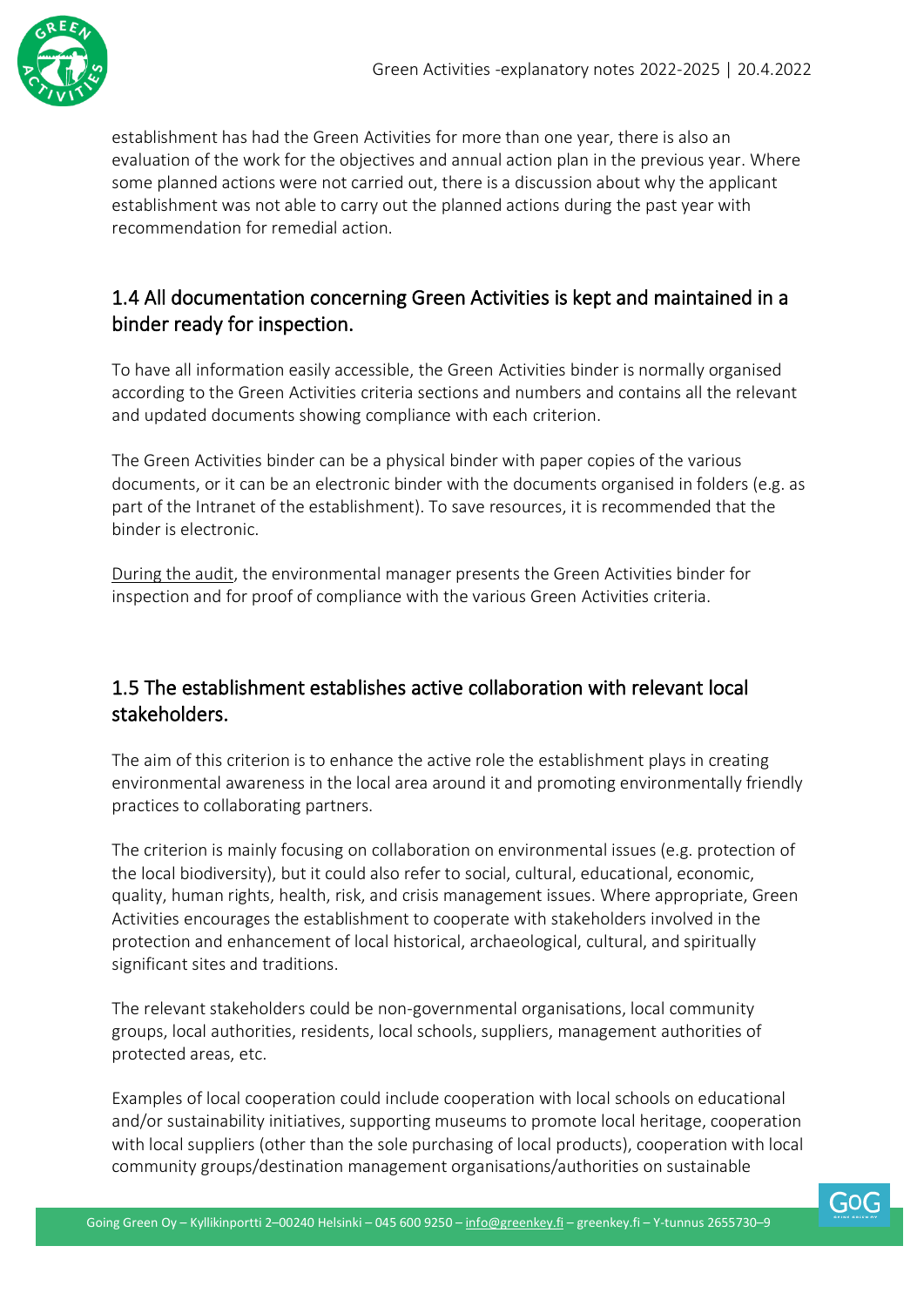

establishment has had the Green Activities for more than one year, there is also an evaluation of the work for the objectives and annual action plan in the previous year. Where some planned actions were not carried out, there is a discussion about why the applicant establishment was not able to carry out the planned actions during the past year with recommendation for remedial action.

#### 1.4 All documentation concerning Green Activities is kept and maintained in a binder ready for inspection.

To have all information easily accessible, the Green Activities binder is normally organised according to the Green Activities criteria sections and numbers and contains all the relevant and updated documents showing compliance with each criterion.

The Green Activities binder can be a physical binder with paper copies of the various documents, or it can be an electronic binder with the documents organised in folders (e.g. as part of the Intranet of the establishment). To save resources, it is recommended that the binder is electronic.

During the audit, the environmental manager presents the Green Activities binder for inspection and for proof of compliance with the various Green Activities criteria.

#### 1.5 The establishment establishes active collaboration with relevant local stakeholders.

The aim of this criterion is to enhance the active role the establishment plays in creating environmental awareness in the local area around it and promoting environmentally friendly practices to collaborating partners.

The criterion is mainly focusing on collaboration on environmental issues (e.g. protection of the local biodiversity), but it could also refer to social, cultural, educational, economic, quality, human rights, health, risk, and crisis management issues. Where appropriate, Green Activities encourages the establishment to cooperate with stakeholders involved in the protection and enhancement of local historical, archaeological, cultural, and spiritually significant sites and traditions.

The relevant stakeholders could be non-governmental organisations, local community groups, local authorities, residents, local schools, suppliers, management authorities of protected areas, etc.

Examples of local cooperation could include cooperation with local schools on educational and/or sustainability initiatives, supporting museums to promote local heritage, cooperation with local suppliers (other than the sole purchasing of local products), cooperation with local community groups/destination management organisations/authorities on sustainable

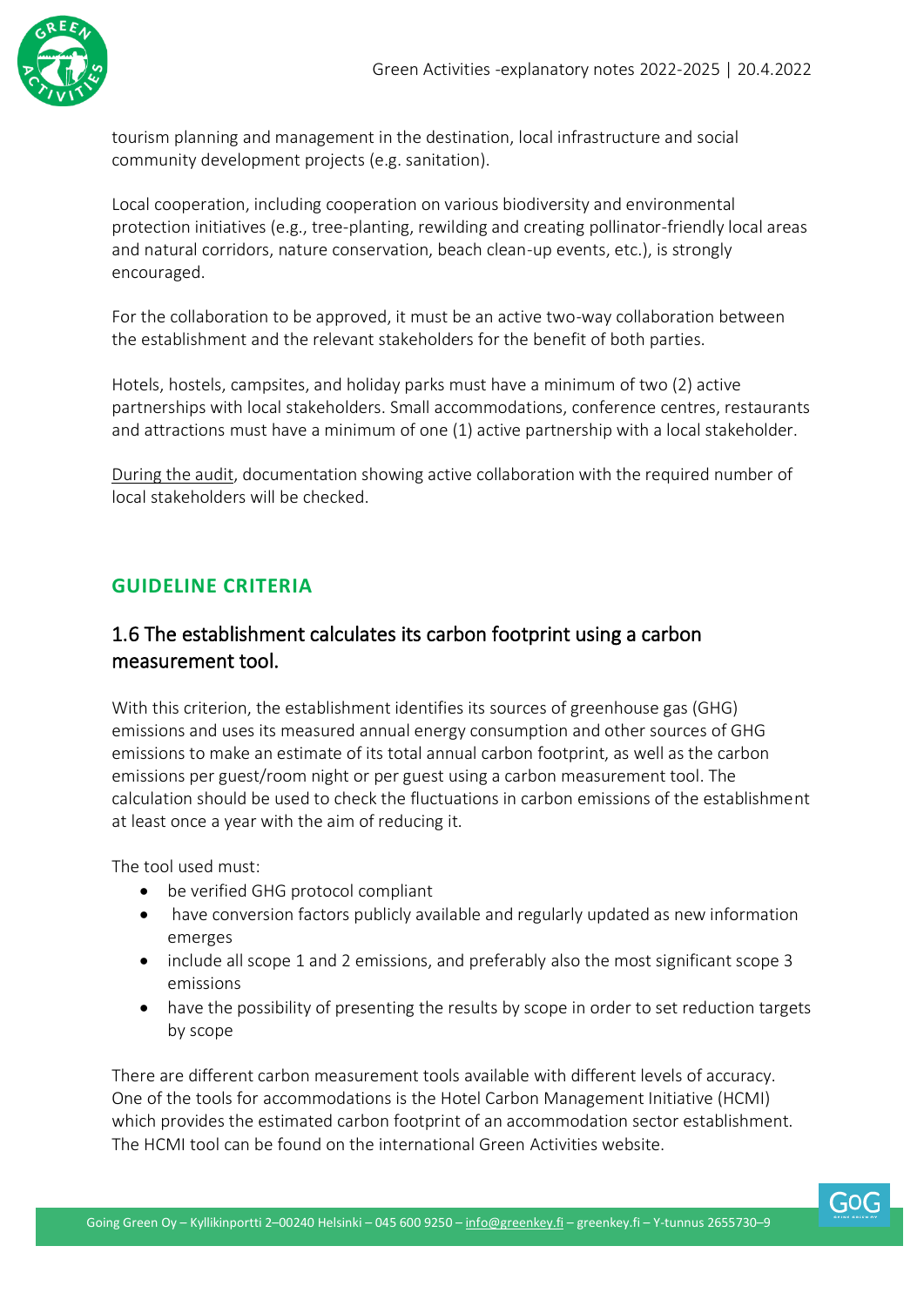

tourism planning and management in the destination, local infrastructure and social community development projects (e.g. sanitation).

Local cooperation, including cooperation on various biodiversity and environmental protection initiatives (e.g., tree-planting, rewilding and creating pollinator-friendly local areas and natural corridors, nature conservation, beach clean-up events, etc.), is strongly encouraged.

For the collaboration to be approved, it must be an active two-way collaboration between the establishment and the relevant stakeholders for the benefit of both parties.

Hotels, hostels, campsites, and holiday parks must have a minimum of two (2) active partnerships with local stakeholders. Small accommodations, conference centres, restaurants and attractions must have a minimum of one (1) active partnership with a local stakeholder.

During the audit, documentation showing active collaboration with the required number of local stakeholders will be checked.

#### <span id="page-5-0"></span>**GUIDELINE CRITERIA**

#### 1.6 The establishment calculates its carbon footprint using a carbon measurement tool.

With this criterion, the establishment identifies its sources of greenhouse gas (GHG) emissions and uses its measured annual energy consumption and other sources of GHG emissions to make an estimate of its total annual carbon footprint, as well as the carbon emissions per guest/room night or per guest using a carbon measurement tool. The calculation should be used to check the fluctuations in carbon emissions of the establishment at least once a year with the aim of reducing it.

The tool used must:

- be verified GHG protocol compliant
- have conversion factors publicly available and regularly updated as new information emerges
- include all scope 1 and 2 emissions, and preferably also the most significant scope 3 emissions
- have the possibility of presenting the results by scope in order to set reduction targets by scope

There are different carbon measurement tools available with different levels of accuracy. One of the tools for accommodations is the Hotel Carbon Management Initiative (HCMI) which provides the estimated carbon footprint of an accommodation sector establishment. The HCMI tool can be found on the international Green Activities website.

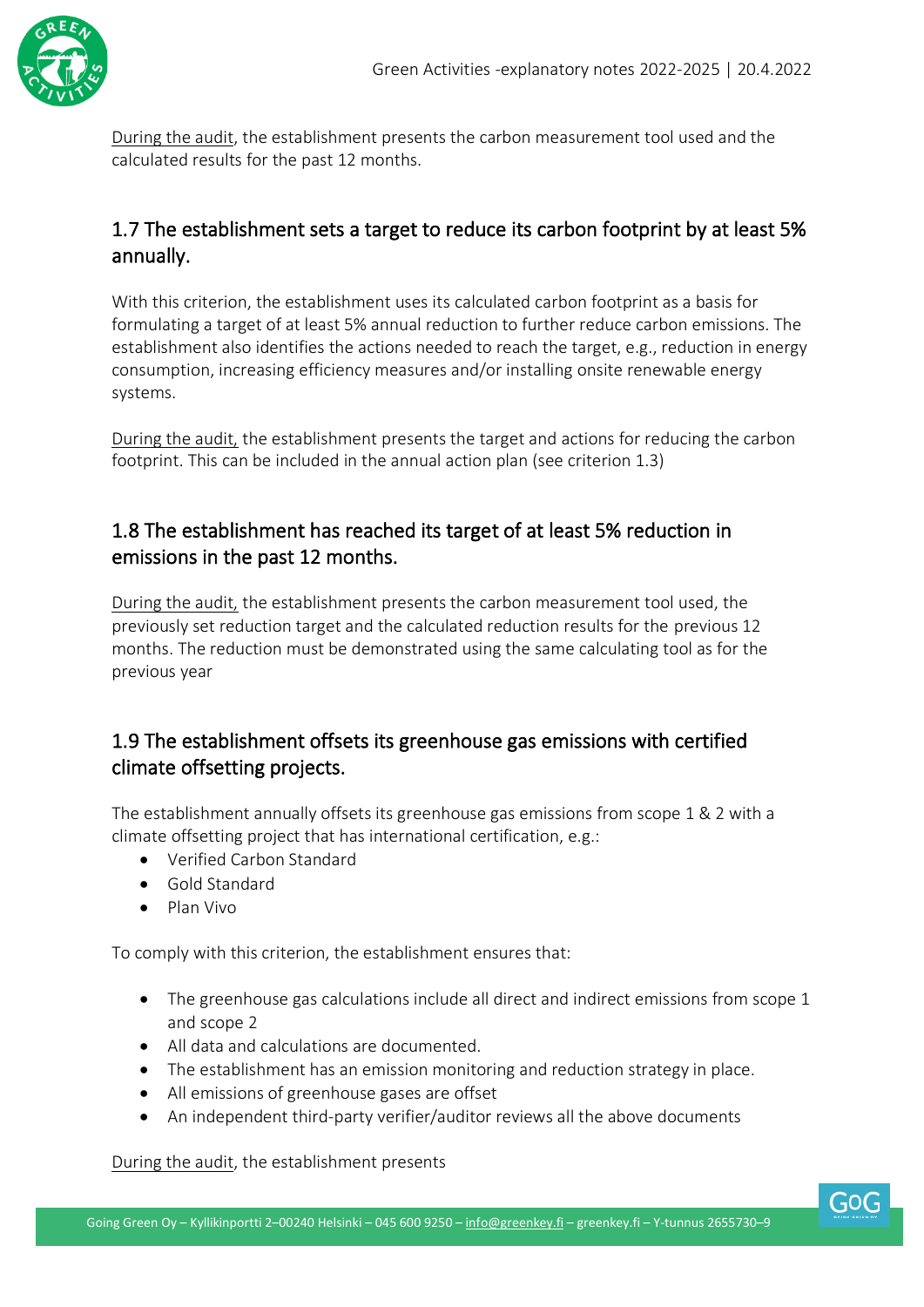

During the audit, the establishment presents the carbon measurement tool used and the calculated results for the past 12 months.

#### 1.7 The establishment sets a target to reduce its carbon footprint by at least 5% annually.

With this criterion, the establishment uses its calculated carbon footprint as a basis for formulating a target of at least 5% annual reduction to further reduce carbon emissions. The establishment also identifies the actions needed to reach the target, e.g., reduction in energy consumption, increasing efficiency measures and/or installing onsite renewable energy systems.

During the audit, the establishment presents the target and actions for reducing the carbon footprint. This can be included in the annual action plan (see criterion 1.3)

#### 1.8 The establishment has reached its target of at least 5% reduction in emissions in the past 12 months.

During the audit, the establishment presents the carbon measurement tool used, the previously set reduction target and the calculated reduction results for the previous 12 months. The reduction must be demonstrated using the same calculating tool as for the previous year

#### 1.9 The establishment offsets its greenhouse gas emissions with certified climate offsetting projects.

The establishment annually offsets its greenhouse gas emissions from scope 1 & 2 with a climate offsetting project that has international certification, e.g.:

- Verified Carbon Standard
- Gold Standard
- Plan Vivo

To comply with this criterion, the establishment ensures that:

- The greenhouse gas calculations include all direct and indirect emissions from scope 1 and scope 2
- All data and calculations are documented.
- The establishment has an emission monitoring and reduction strategy in place.
- All emissions of greenhouse gases are offset
- An independent third-party verifier/auditor reviews all the above documents

During the audit, the establishment presents

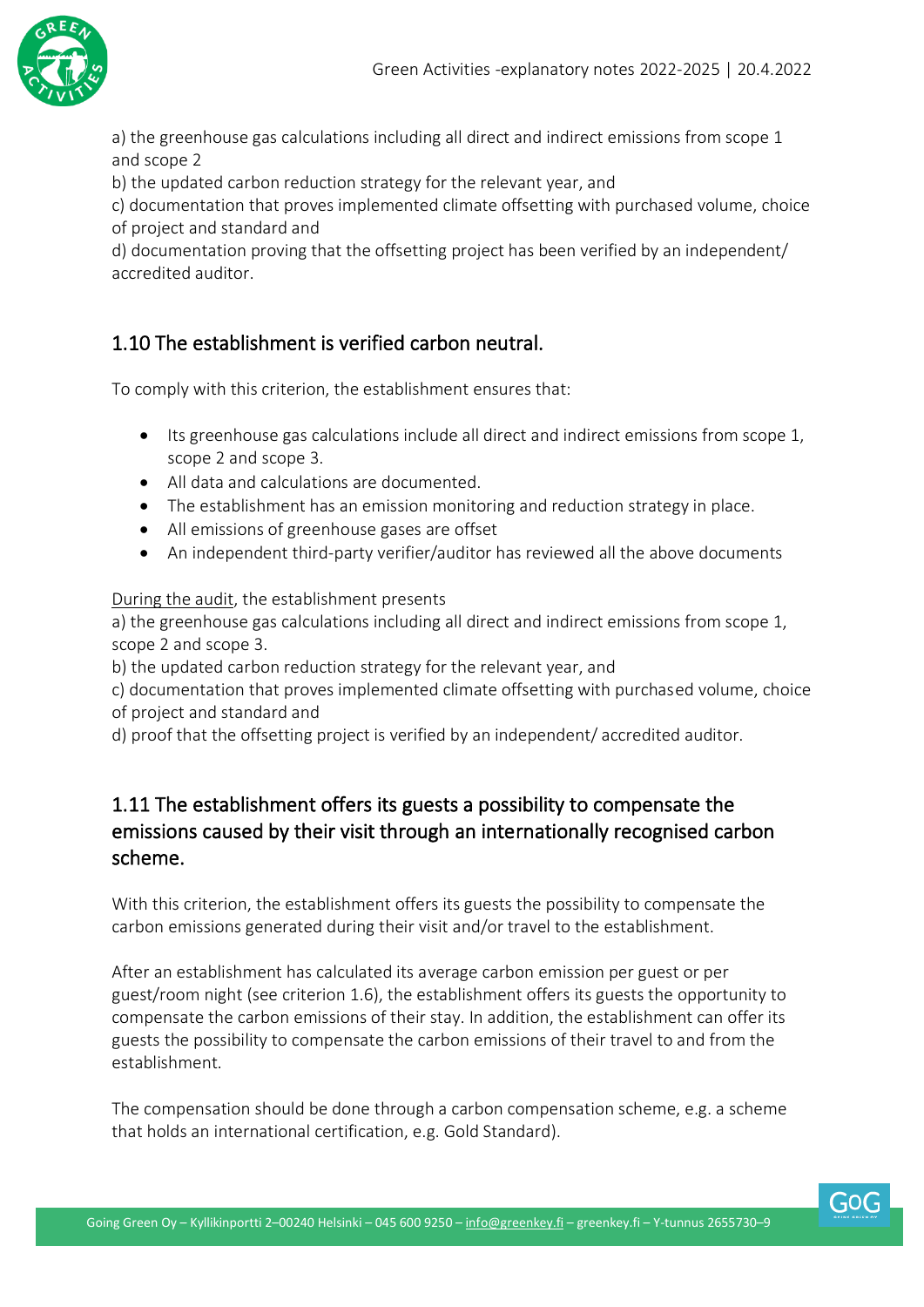

a) the greenhouse gas calculations including all direct and indirect emissions from scope 1 and scope 2

b) the updated carbon reduction strategy for the relevant year, and

c) documentation that proves implemented climate offsetting with purchased volume, choice of project and standard and

d) documentation proving that the offsetting project has been verified by an independent/ accredited auditor.

#### 1.10 The establishment is verified carbon neutral.

To comply with this criterion, the establishment ensures that:

- Its greenhouse gas calculations include all direct and indirect emissions from scope 1, scope 2 and scope 3.
- All data and calculations are documented.
- The establishment has an emission monitoring and reduction strategy in place.
- All emissions of greenhouse gases are offset
- An independent third-party verifier/auditor has reviewed all the above documents

During the audit, the establishment presents

a) the greenhouse gas calculations including all direct and indirect emissions from scope 1, scope 2 and scope 3.

b) the updated carbon reduction strategy for the relevant year, and

c) documentation that proves implemented climate offsetting with purchased volume, choice of project and standard and

d) proof that the offsetting project is verified by an independent/ accredited auditor.

#### 1.11 The establishment offers its guests a possibility to compensate the emissions caused by their visit through an internationally recognised carbon scheme.

With this criterion, the establishment offers its guests the possibility to compensate the carbon emissions generated during their visit and/or travel to the establishment.

After an establishment has calculated its average carbon emission per guest or per guest/room night (see criterion 1.6), the establishment offers its guests the opportunity to compensate the carbon emissions of their stay. In addition, the establishment can offer its guests the possibility to compensate the carbon emissions of their travel to and from the establishment.

The compensation should be done through a carbon compensation scheme, e.g. a scheme that holds an international certification, e.g. Gold Standard).

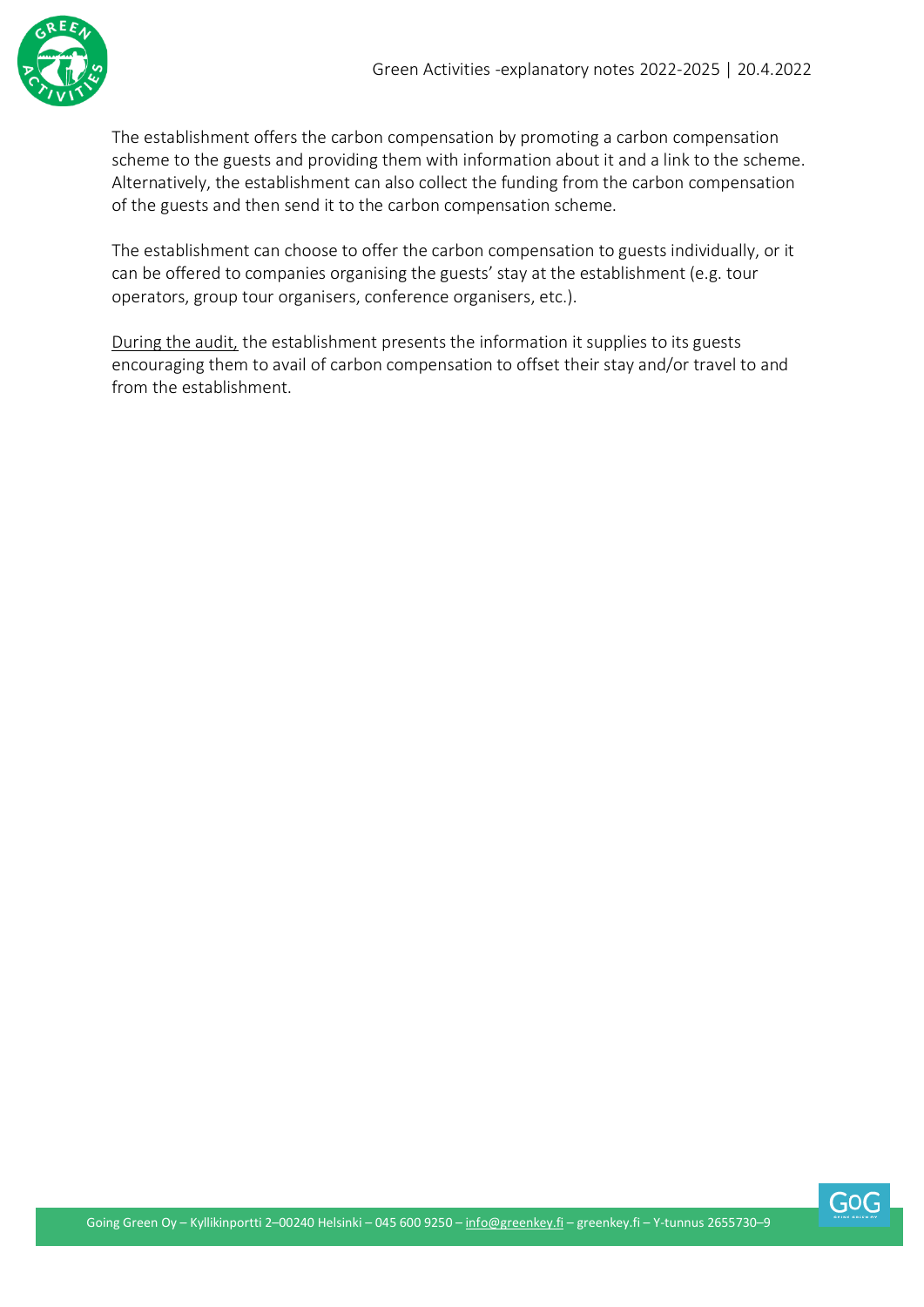

The establishment offers the carbon compensation by promoting a carbon compensation scheme to the guests and providing them with information about it and a link to the scheme. Alternatively, the establishment can also collect the funding from the carbon compensation of the guests and then send it to the carbon compensation scheme.

The establishment can choose to offer the carbon compensation to guests individually, or it can be offered to companies organising the guests' stay at the establishment (e.g. tour operators, group tour organisers, conference organisers, etc.).

During the audit, the establishment presents the information it supplies to its guests encouraging them to avail of carbon compensation to offset their stay and/or travel to and from the establishment.

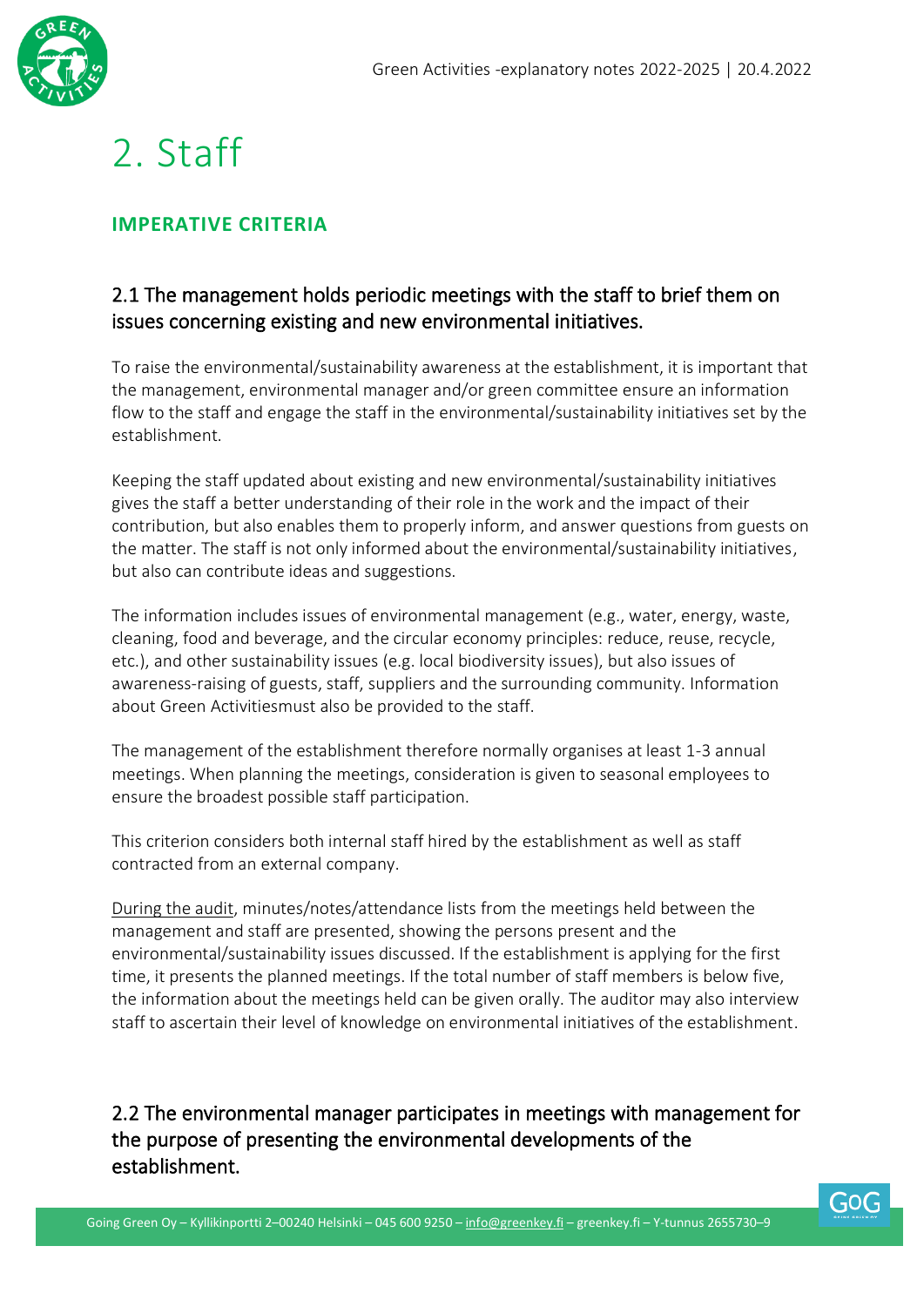

### <span id="page-9-0"></span>2. Staff

#### <span id="page-9-1"></span>**IMPERATIVE CRITERIA**

#### 2.1 The management holds periodic meetings with the staff to brief them on issues concerning existing and new environmental initiatives.

To raise the environmental/sustainability awareness at the establishment, it is important that the management, environmental manager and/or green committee ensure an information flow to the staff and engage the staff in the environmental/sustainability initiatives set by the establishment.

Keeping the staff updated about existing and new environmental/sustainability initiatives gives the staff a better understanding of their role in the work and the impact of their contribution, but also enables them to properly inform, and answer questions from guests on the matter. The staff is not only informed about the environmental/sustainability initiatives, but also can contribute ideas and suggestions.

The information includes issues of environmental management (e.g., water, energy, waste, cleaning, food and beverage, and the circular economy principles: reduce, reuse, recycle, etc.), and other sustainability issues (e.g. local biodiversity issues), but also issues of awareness-raising of guests, staff, suppliers and the surrounding community. Information about Green Activitiesmust also be provided to the staff.

The management of the establishment therefore normally organises at least 1-3 annual meetings. When planning the meetings, consideration is given to seasonal employees to ensure the broadest possible staff participation.

This criterion considers both internal staff hired by the establishment as well as staff contracted from an external company.

During the audit, minutes/notes/attendance lists from the meetings held between the management and staff are presented, showing the persons present and the environmental/sustainability issues discussed. If the establishment is applying for the first time, it presents the planned meetings. If the total number of staff members is below five, the information about the meetings held can be given orally. The auditor may also interview staff to ascertain their level of knowledge on environmental initiatives of the establishment.

2.2 The environmental manager participates in meetings with management for the purpose of presenting the environmental developments of the establishment.

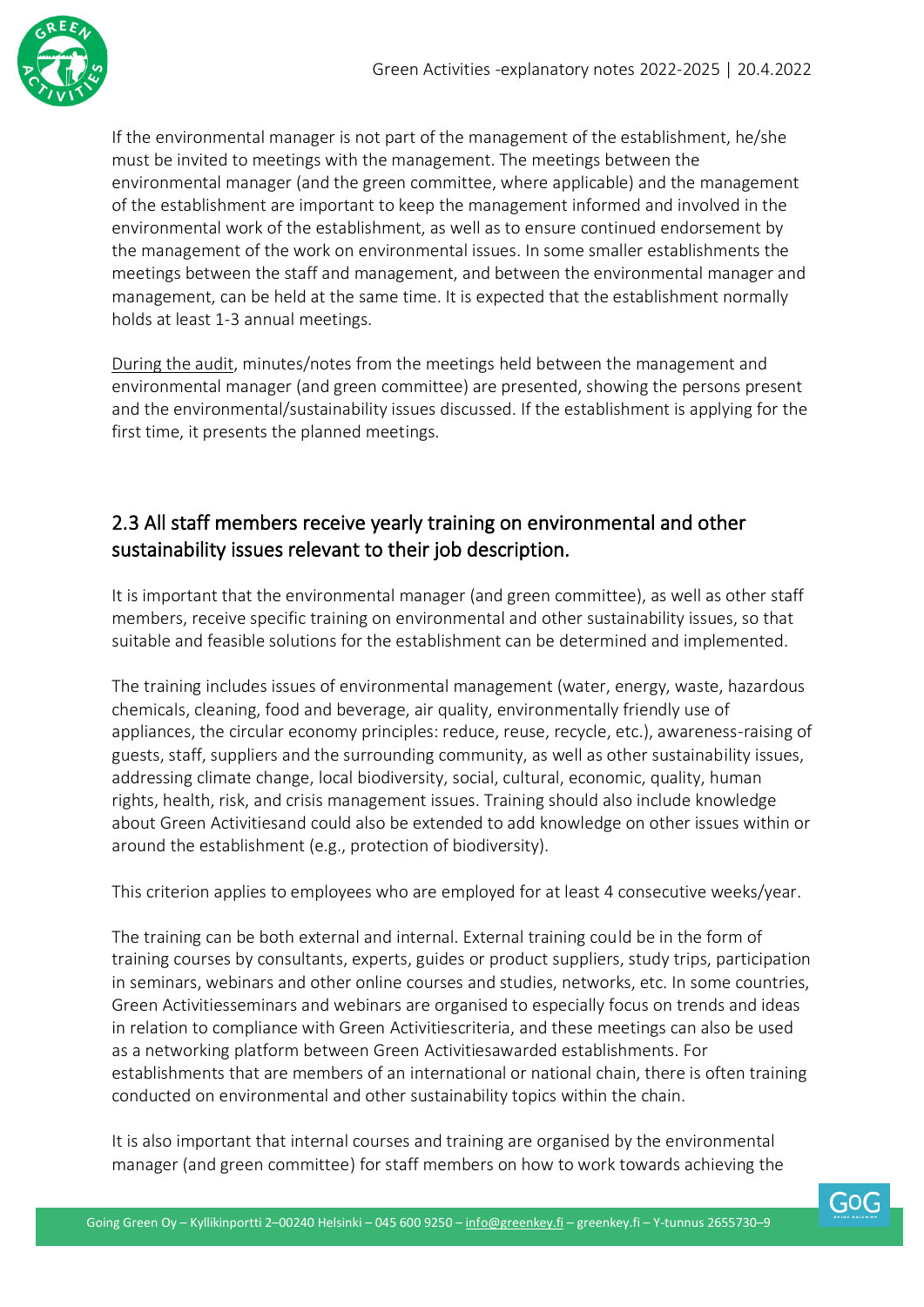

If the environmental manager is not part of the management of the establishment, he/she must be invited to meetings with the management. The meetings between the environmental manager (and the green committee, where applicable) and the management of the establishment are important to keep the management informed and involved in the environmental work of the establishment, as well as to ensure continued endorsement by the management of the work on environmental issues. In some smaller establishments the meetings between the staff and management, and between the environmental manager and management, can be held at the same time. It is expected that the establishment normally holds at least 1-3 annual meetings.

During the audit, minutes/notes from the meetings held between the management and environmental manager (and green committee) are presented, showing the persons present and the environmental/sustainability issues discussed. If the establishment is applying for the first time, it presents the planned meetings.

#### 2.3 All staff members receive yearly training on environmental and other sustainability issues relevant to their job description.

It is important that the environmental manager (and green committee), as well as other staff members, receive specific training on environmental and other sustainability issues, so that suitable and feasible solutions for the establishment can be determined and implemented.

The training includes issues of environmental management (water, energy, waste, hazardous chemicals, cleaning, food and beverage, air quality, environmentally friendly use of appliances, the circular economy principles: reduce, reuse, recycle, etc.), awareness-raising of guests, staff, suppliers and the surrounding community, as well as other sustainability issues, addressing climate change, local biodiversity, social, cultural, economic, quality, human rights, health, risk, and crisis management issues. Training should also include knowledge about Green Activitiesand could also be extended to add knowledge on other issues within or around the establishment (e.g., protection of biodiversity).

This criterion applies to employees who are employed for at least 4 consecutive weeks/year.

The training can be both external and internal. External training could be in the form of training courses by consultants, experts, guides or product suppliers, study trips, participation in seminars, webinars and other online courses and studies, networks, etc. In some countries, Green Activitiesseminars and webinars are organised to especially focus on trends and ideas in relation to compliance with Green Activitiescriteria, and these meetings can also be used as a networking platform between Green Activitiesawarded establishments. For establishments that are members of an international or national chain, there is often training conducted on environmental and other sustainability topics within the chain.

It is also important that internal courses and training are organised by the environmental manager (and green committee) for staff members on how to work towards achieving the

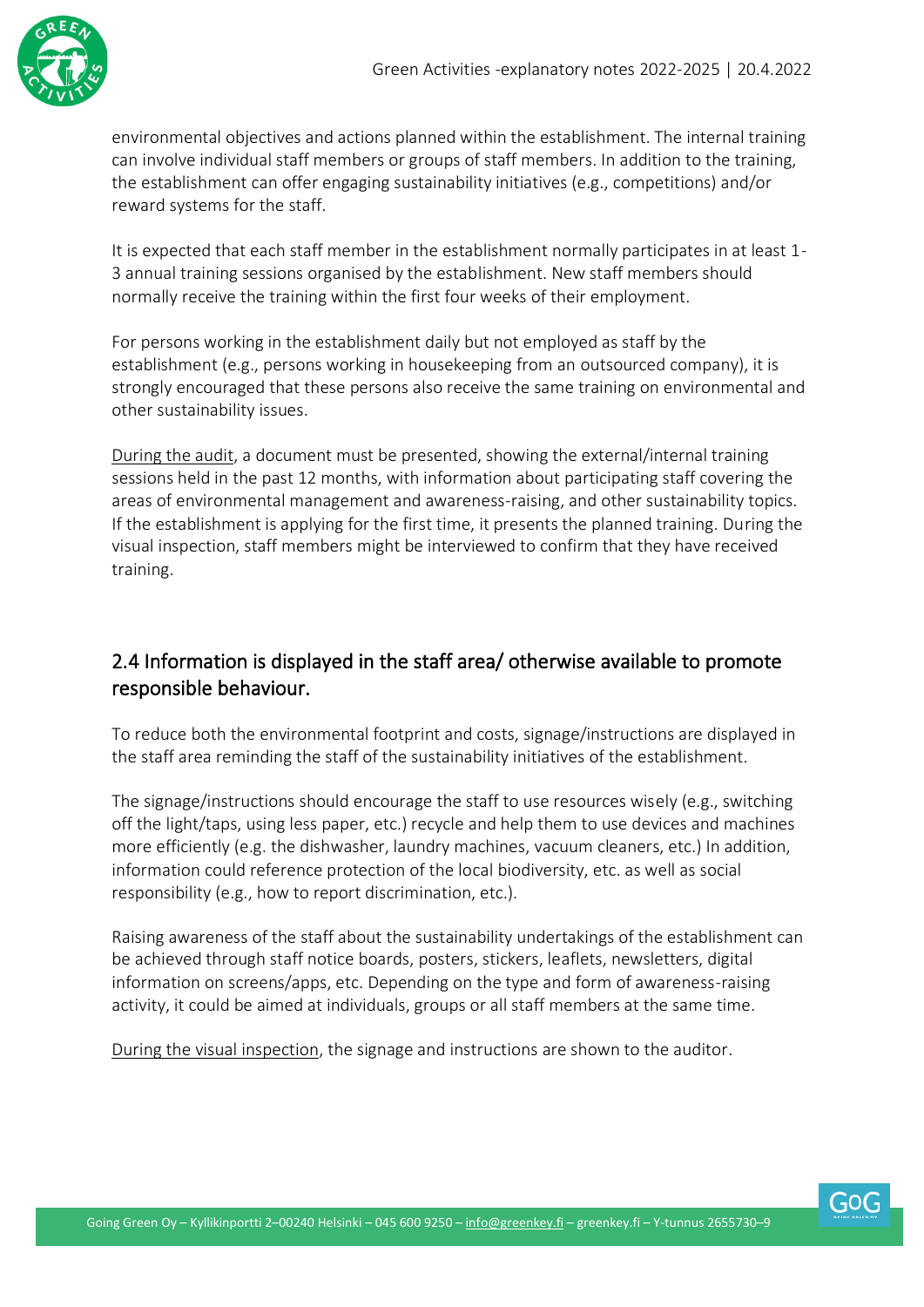

environmental objectives and actions planned within the establishment. The internal training can involve individual staff members or groups of staff members. In addition to the training, the establishment can offer engaging sustainability initiatives (e.g., competitions) and/or reward systems for the staff.

It is expected that each staff member in the establishment normally participates in at least 1- 3 annual training sessions organised by the establishment. New staff members should normally receive the training within the first four weeks of their employment.

For persons working in the establishment daily but not employed as staff by the establishment (e.g., persons working in housekeeping from an outsourced company), it is strongly encouraged that these persons also receive the same training on environmental and other sustainability issues.

During the audit, a document must be presented, showing the external/internal training sessions held in the past 12 months, with information about participating staff covering the areas of environmental management and awareness-raising, and other sustainability topics. If the establishment is applying for the first time, it presents the planned training. During the visual inspection, staff members might be interviewed to confirm that they have received training.

#### 2.4 Information is displayed in the staff area/ otherwise available to promote responsible behaviour.

To reduce both the environmental footprint and costs, signage/instructions are displayed in the staff area reminding the staff of the sustainability initiatives of the establishment.

The signage/instructions should encourage the staff to use resources wisely (e.g., switching off the light/taps, using less paper, etc.) recycle and help them to use devices and machines more efficiently (e.g. the dishwasher, laundry machines, vacuum cleaners, etc.) In addition, information could reference protection of the local biodiversity, etc. as well as social responsibility (e.g., how to report discrimination, etc.).

Raising awareness of the staff about the sustainability undertakings of the establishment can be achieved through staff notice boards, posters, stickers, leaflets, newsletters, digital information on screens/apps, etc. Depending on the type and form of awareness-raising activity, it could be aimed at individuals, groups or all staff members at the same time.

During the visual inspection, the signage and instructions are shown to the auditor.

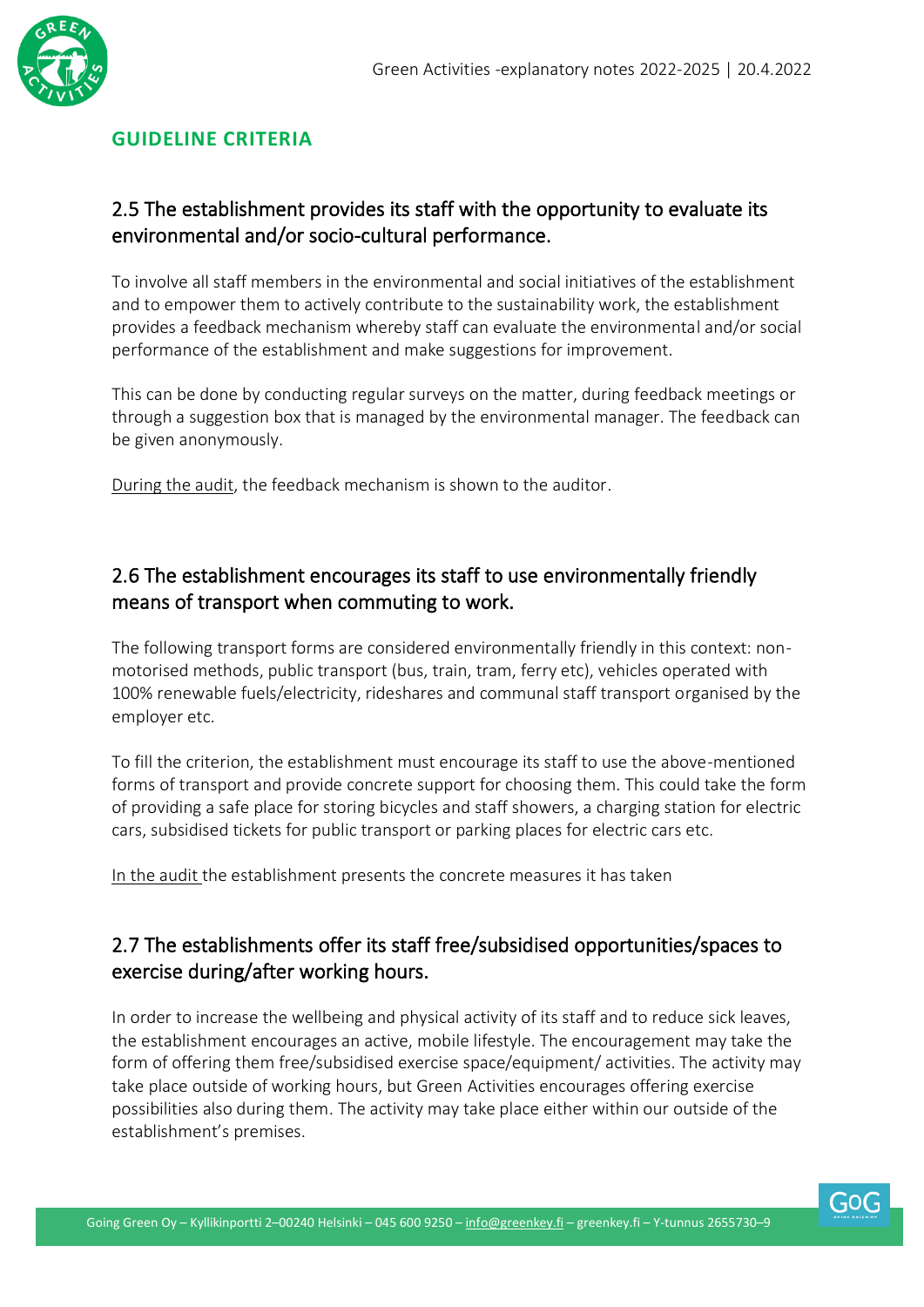

#### <span id="page-12-0"></span>**GUIDELINE CRITERIA**

#### 2.5 The establishment provides its staff with the opportunity to evaluate its environmental and/or socio-cultural performance.

To involve all staff members in the environmental and social initiatives of the establishment and to empower them to actively contribute to the sustainability work, the establishment provides a feedback mechanism whereby staff can evaluate the environmental and/or social performance of the establishment and make suggestions for improvement.

This can be done by conducting regular surveys on the matter, during feedback meetings or through a suggestion box that is managed by the environmental manager. The feedback can be given anonymously.

During the audit, the feedback mechanism is shown to the auditor.

#### 2.6 The establishment encourages its staff to use environmentally friendly means of transport when commuting to work.

The following transport forms are considered environmentally friendly in this context: nonmotorised methods, public transport (bus, train, tram, ferry etc), vehicles operated with 100% renewable fuels/electricity, rideshares and communal staff transport organised by the employer etc.

To fill the criterion, the establishment must encourage its staff to use the above-mentioned forms of transport and provide concrete support for choosing them. This could take the form of providing a safe place for storing bicycles and staff showers, a charging station for electric cars, subsidised tickets for public transport or parking places for electric cars etc.

In the audit the establishment presents the concrete measures it has taken

#### 2.7 The establishments offer its staff free/subsidised opportunities/spaces to exercise during/after working hours.

In order to increase the wellbeing and physical activity of its staff and to reduce sick leaves, the establishment encourages an active, mobile lifestyle. The encouragement may take the form of offering them free/subsidised exercise space/equipment/ activities. The activity may take place outside of working hours, but Green Activities encourages offering exercise possibilities also during them. The activity may take place either within our outside of the establishment's premises.

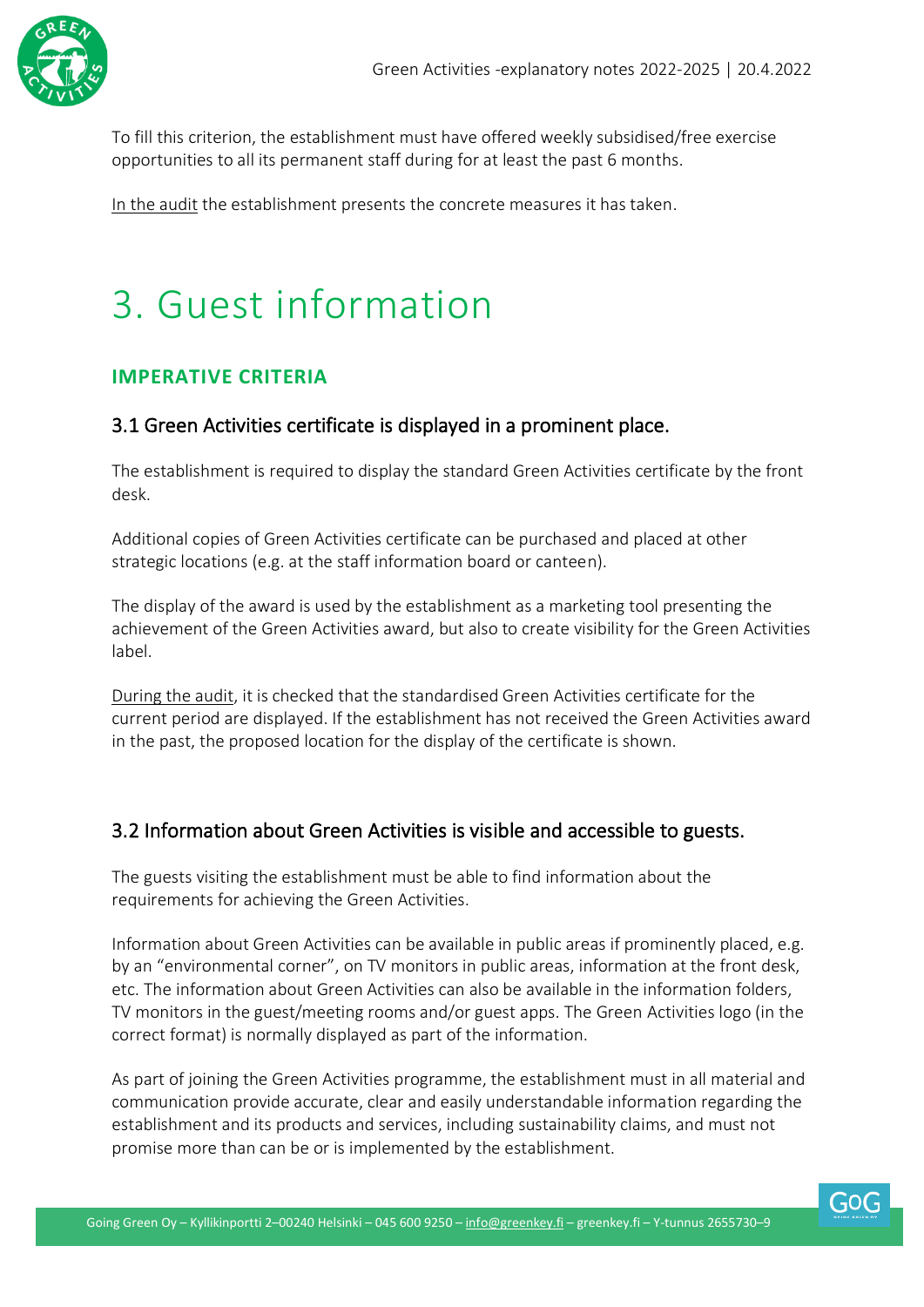

To fill this criterion, the establishment must have offered weekly subsidised/free exercise opportunities to all its permanent staff during for at least the past 6 months.

In the audit the establishment presents the concrete measures it has taken.

# <span id="page-13-0"></span>3. Guest information

#### <span id="page-13-1"></span>**IMPERATIVE CRITERIA**

#### 3.1 Green Activities certificate is displayed in a prominent place.

The establishment is required to display the standard Green Activities certificate by the front desk.

Additional copies of Green Activities certificate can be purchased and placed at other strategic locations (e.g. at the staff information board or canteen).

The display of the award is used by the establishment as a marketing tool presenting the achievement of the Green Activities award, but also to create visibility for the Green Activities label.

During the audit, it is checked that the standardised Green Activities certificate for the current period are displayed. If the establishment has not received the Green Activities award in the past, the proposed location for the display of the certificate is shown.

#### 3.2 Information about Green Activities is visible and accessible to guests.

The guests visiting the establishment must be able to find information about the requirements for achieving the Green Activities.

Information about Green Activities can be available in public areas if prominently placed, e.g. by an "environmental corner", on TV monitors in public areas, information at the front desk, etc. The information about Green Activities can also be available in the information folders, TV monitors in the guest/meeting rooms and/or guest apps. The Green Activities logo (in the correct format) is normally displayed as part of the information.

As part of joining the Green Activities programme, the establishment must in all material and communication provide accurate, clear and easily understandable information regarding the establishment and its products and services, including sustainability claims, and must not promise more than can be or is implemented by the establishment.

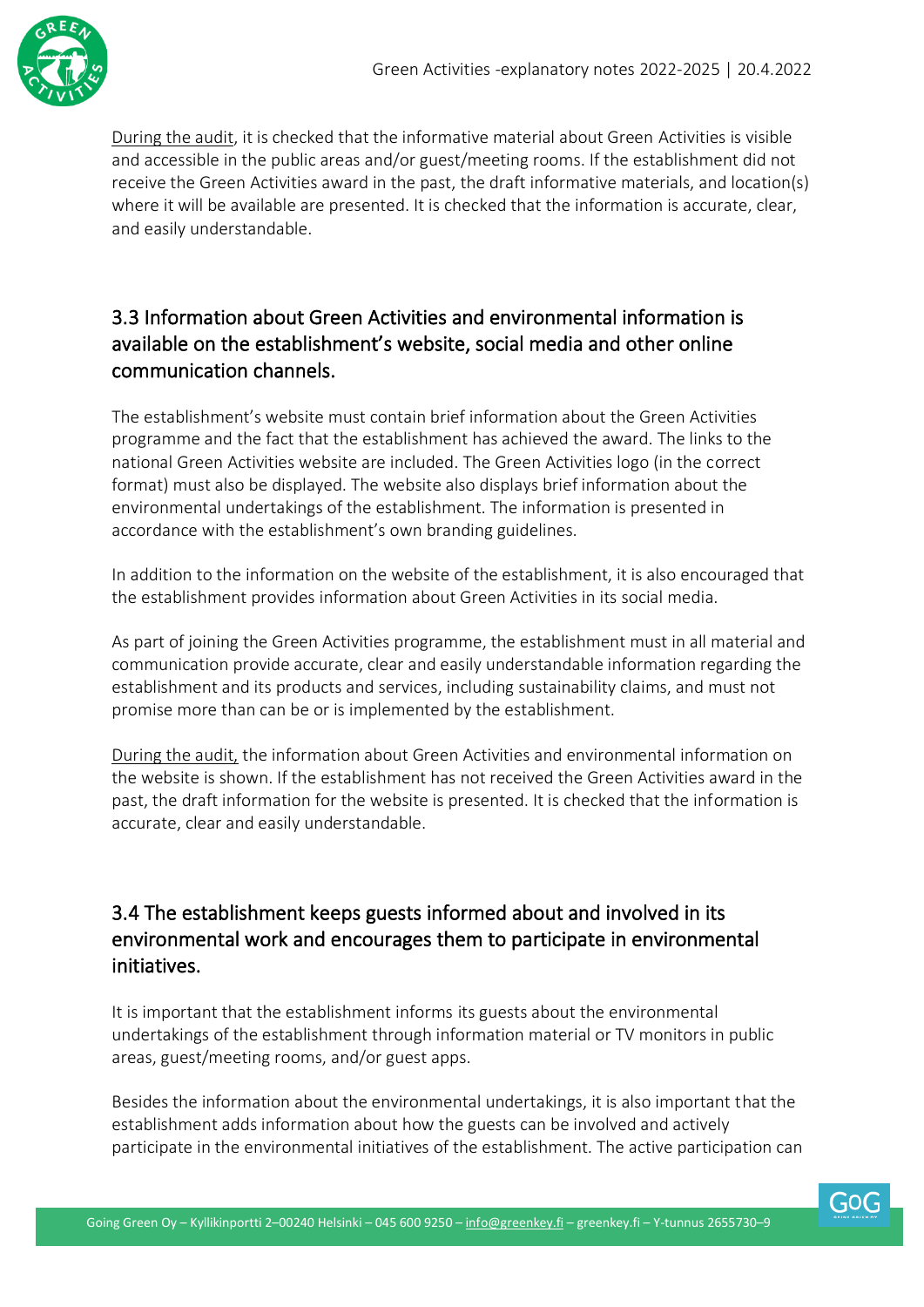

During the audit, it is checked that the informative material about Green Activities is visible and accessible in the public areas and/or guest/meeting rooms. If the establishment did not receive the Green Activities award in the past, the draft informative materials, and location(s) where it will be available are presented. It is checked that the information is accurate, clear, and easily understandable.

#### 3.3 Information about Green Activities and environmental information is available on the establishment's website, social media and other online communication channels.

The establishment's website must contain brief information about the Green Activities programme and the fact that the establishment has achieved the award. The links to the national Green Activities website are included. The Green Activities logo (in the correct format) must also be displayed. The website also displays brief information about the environmental undertakings of the establishment. The information is presented in accordance with the establishment's own branding guidelines.

In addition to the information on the website of the establishment, it is also encouraged that the establishment provides information about Green Activities in its social media.

As part of joining the Green Activities programme, the establishment must in all material and communication provide accurate, clear and easily understandable information regarding the establishment and its products and services, including sustainability claims, and must not promise more than can be or is implemented by the establishment.

During the audit, the information about Green Activities and environmental information on the website is shown. If the establishment has not received the Green Activities award in the past, the draft information for the website is presented. It is checked that the information is accurate, clear and easily understandable.

#### 3.4 The establishment keeps guests informed about and involved in its environmental work and encourages them to participate in environmental initiatives.

It is important that the establishment informs its guests about the environmental undertakings of the establishment through information material or TV monitors in public areas, guest/meeting rooms, and/or guest apps.

Besides the information about the environmental undertakings, it is also important that the establishment adds information about how the guests can be involved and actively participate in the environmental initiatives of the establishment. The active participation can

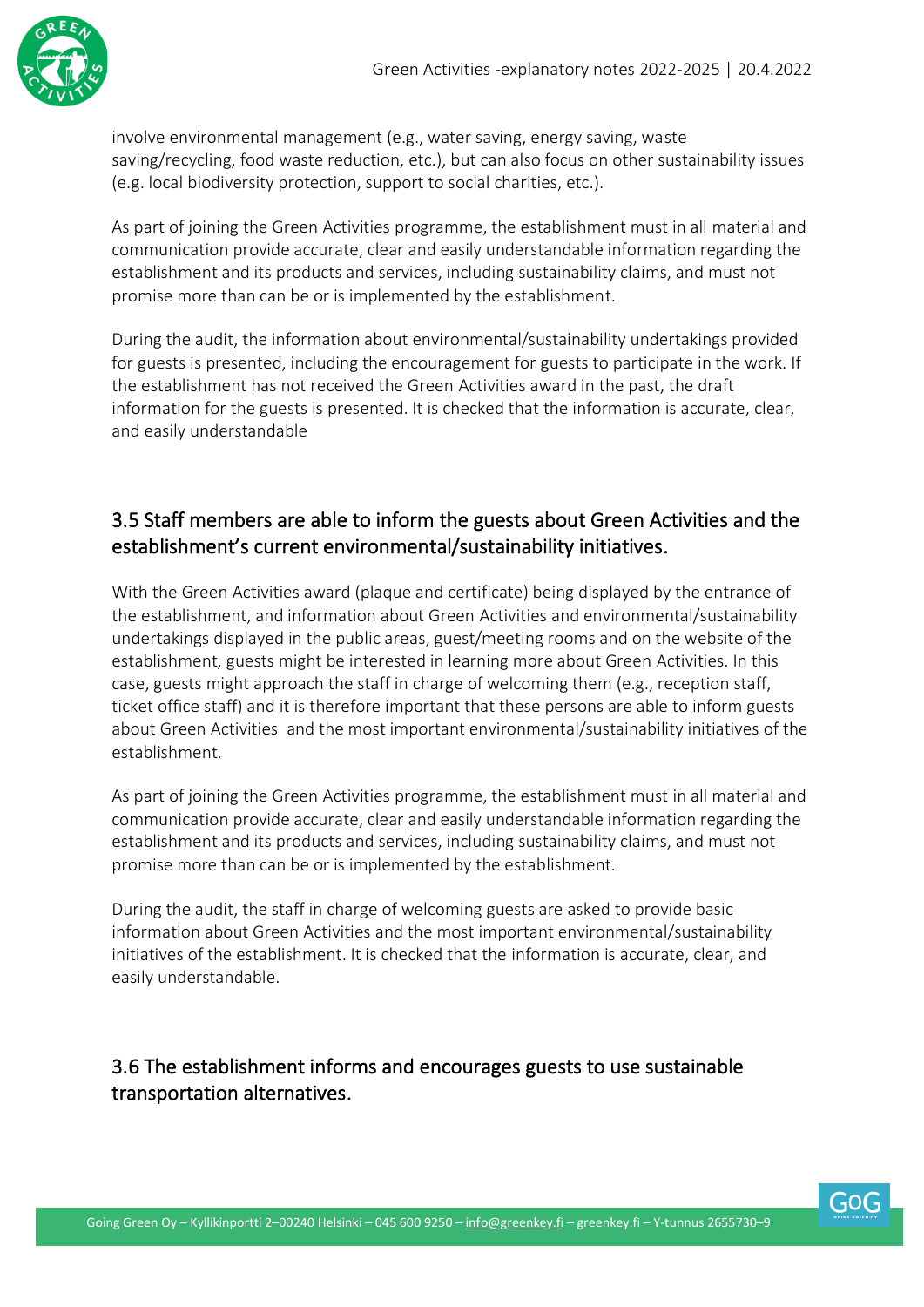

involve environmental management (e.g., water saving, energy saving, waste saving/recycling, food waste reduction, etc.), but can also focus on other sustainability issues (e.g. local biodiversity protection, support to social charities, etc.).

As part of joining the Green Activities programme, the establishment must in all material and communication provide accurate, clear and easily understandable information regarding the establishment and its products and services, including sustainability claims, and must not promise more than can be or is implemented by the establishment.

During the audit, the information about environmental/sustainability undertakings provided for guests is presented, including the encouragement for guests to participate in the work. If the establishment has not received the Green Activities award in the past, the draft information for the guests is presented. It is checked that the information is accurate, clear, and easily understandable

#### 3.5 Staff members are able to inform the guests about Green Activities and the establishment's current environmental/sustainability initiatives.

With the Green Activities award (plaque and certificate) being displayed by the entrance of the establishment, and information about Green Activities and environmental/sustainability undertakings displayed in the public areas, guest/meeting rooms and on the website of the establishment, guests might be interested in learning more about Green Activities. In this case, guests might approach the staff in charge of welcoming them (e.g., reception staff, ticket office staff) and it is therefore important that these persons are able to inform guests about Green Activities and the most important environmental/sustainability initiatives of the establishment.

As part of joining the Green Activities programme, the establishment must in all material and communication provide accurate, clear and easily understandable information regarding the establishment and its products and services, including sustainability claims, and must not promise more than can be or is implemented by the establishment.

During the audit, the staff in charge of welcoming guests are asked to provide basic information about Green Activities and the most important environmental/sustainability initiatives of the establishment. It is checked that the information is accurate, clear, and easily understandable.

3.6 The establishment informs and encourages guests to use sustainable transportation alternatives.

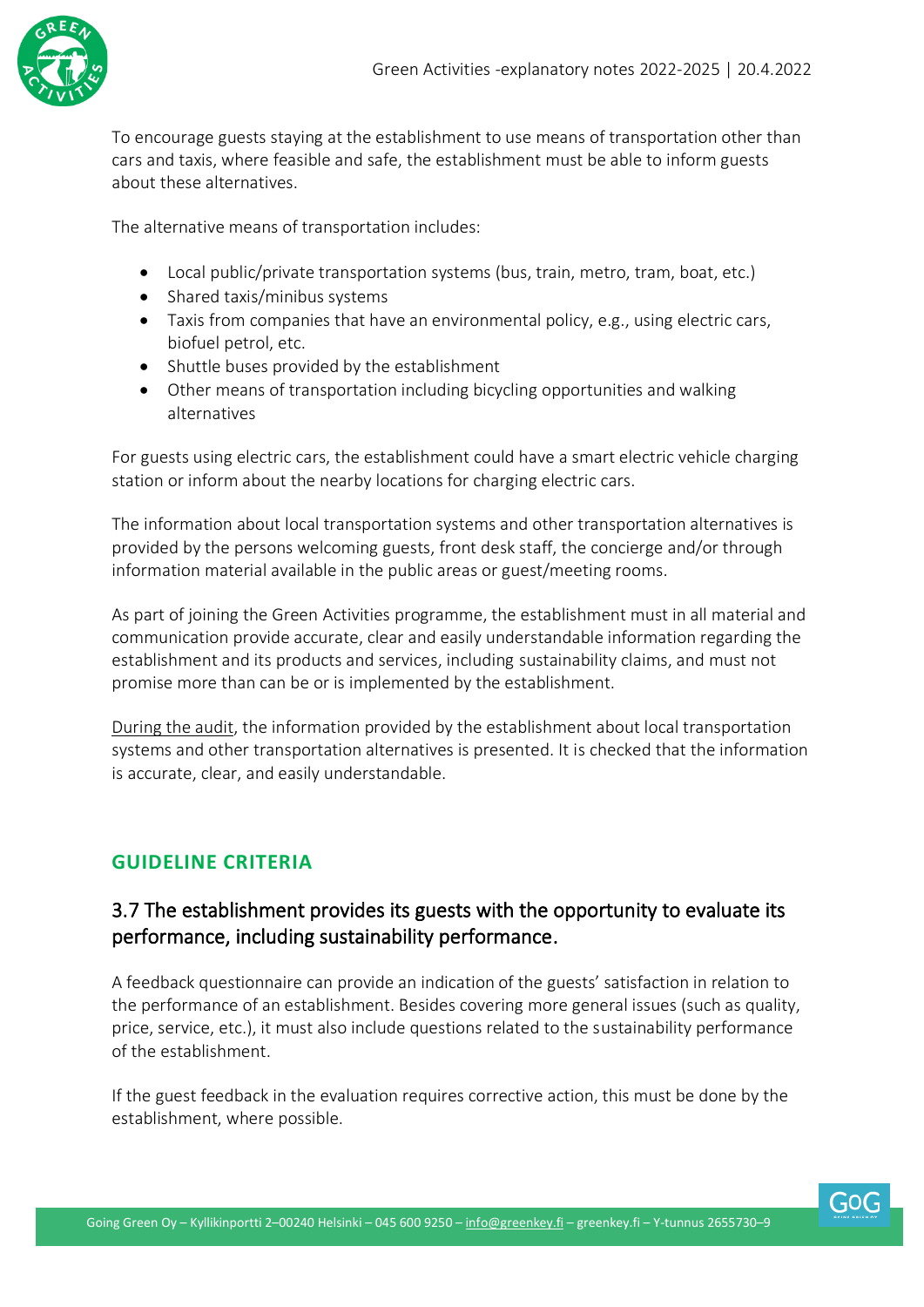

To encourage guests staying at the establishment to use means of transportation other than cars and taxis, where feasible and safe, the establishment must be able to inform guests about these alternatives.

The alternative means of transportation includes:

- Local public/private transportation systems (bus, train, metro, tram, boat, etc.)
- Shared taxis/minibus systems
- Taxis from companies that have an environmental policy, e.g., using electric cars, biofuel petrol, etc.
- Shuttle buses provided by the establishment
- Other means of transportation including bicycling opportunities and walking alternatives

For guests using electric cars, the establishment could have a smart electric vehicle charging station or inform about the nearby locations for charging electric cars.

The information about local transportation systems and other transportation alternatives is provided by the persons welcoming guests, front desk staff, the concierge and/or through information material available in the public areas or guest/meeting rooms.

As part of joining the Green Activities programme, the establishment must in all material and communication provide accurate, clear and easily understandable information regarding the establishment and its products and services, including sustainability claims, and must not promise more than can be or is implemented by the establishment.

During the audit, the information provided by the establishment about local transportation systems and other transportation alternatives is presented. It is checked that the information is accurate, clear, and easily understandable.

#### <span id="page-16-0"></span>**GUIDELINE CRITERIA**

#### 3.7 The establishment provides its guests with the opportunity to evaluate its performance, including sustainability performance.

A feedback questionnaire can provide an indication of the guests' satisfaction in relation to the performance of an establishment. Besides covering more general issues (such as quality, price, service, etc.), it must also include questions related to the sustainability performance of the establishment.

If the guest feedback in the evaluation requires corrective action, this must be done by the establishment, where possible.

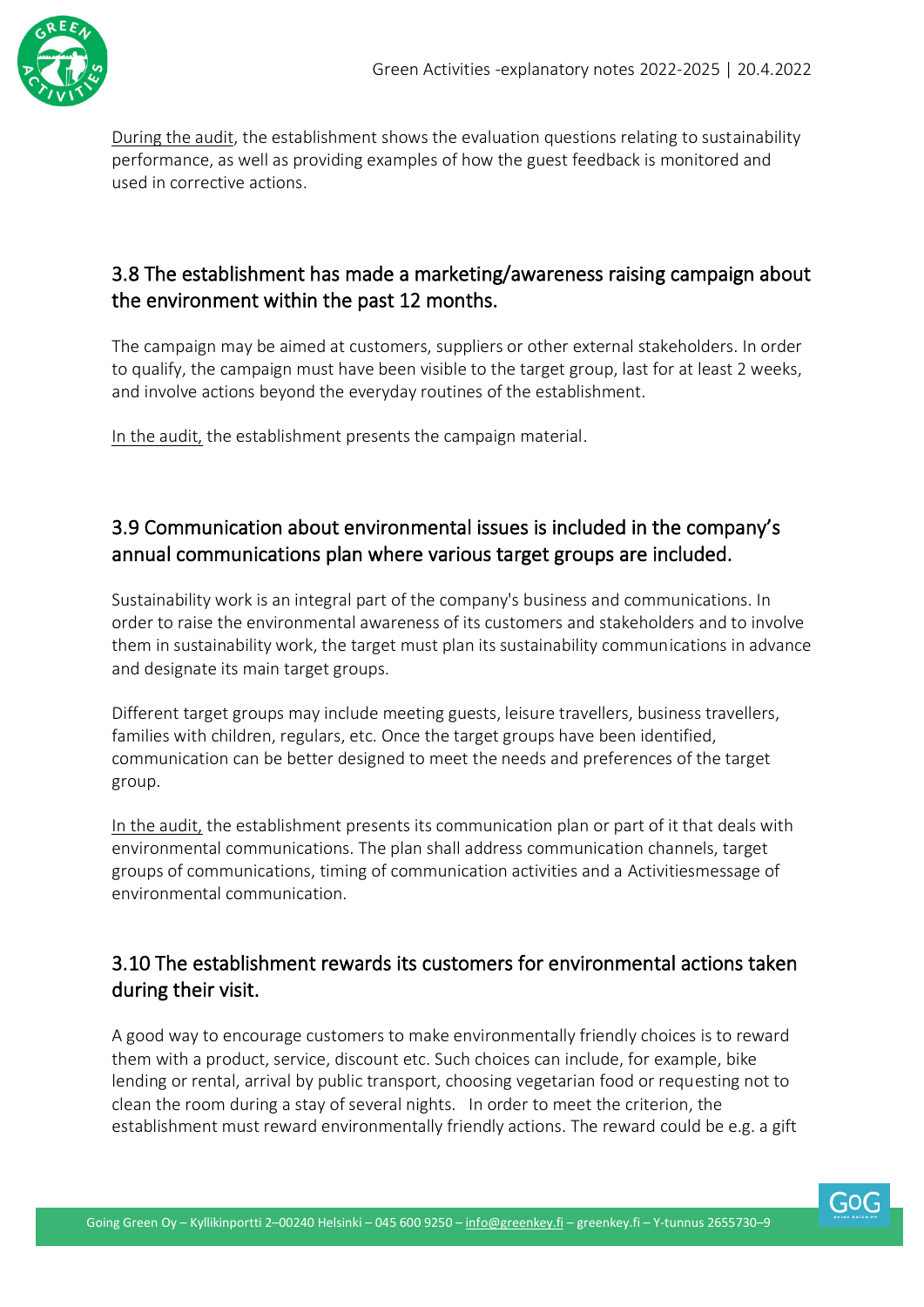

During the audit, the establishment shows the evaluation questions relating to sustainability performance, as well as providing examples of how the guest feedback is monitored and used in corrective actions.

#### 3.8 The establishment has made a marketing/awareness raising campaign about the environment within the past 12 months.

The campaign may be aimed at customers, suppliers or other external stakeholders. In order to qualify, the campaign must have been visible to the target group, last for at least 2 weeks, and involve actions beyond the everyday routines of the establishment.

In the audit, the establishment presents the campaign material.

#### 3.9 Communication about environmental issues is included in the company's annual communications plan where various target groups are included.

Sustainability work is an integral part of the company's business and communications. In order to raise the environmental awareness of its customers and stakeholders and to involve them in sustainability work, the target must plan its sustainability communications in advance and designate its main target groups.

Different target groups may include meeting guests, leisure travellers, business travellers, families with children, regulars, etc. Once the target groups have been identified, communication can be better designed to meet the needs and preferences of the target group.

In the audit, the establishment presents its communication plan or part of it that deals with environmental communications. The plan shall address communication channels, target groups of communications, timing of communication activities and a Activitiesmessage of environmental communication.

#### 3.10 The establishment rewards its customers for environmental actions taken during their visit.

A good way to encourage customers to make environmentally friendly choices is to reward them with a product, service, discount etc. Such choices can include, for example, bike lending or rental, arrival by public transport, choosing vegetarian food or requesting not to clean the room during a stay of several nights. In order to meet the criterion, the establishment must reward environmentally friendly actions. The reward could be e.g. a gift

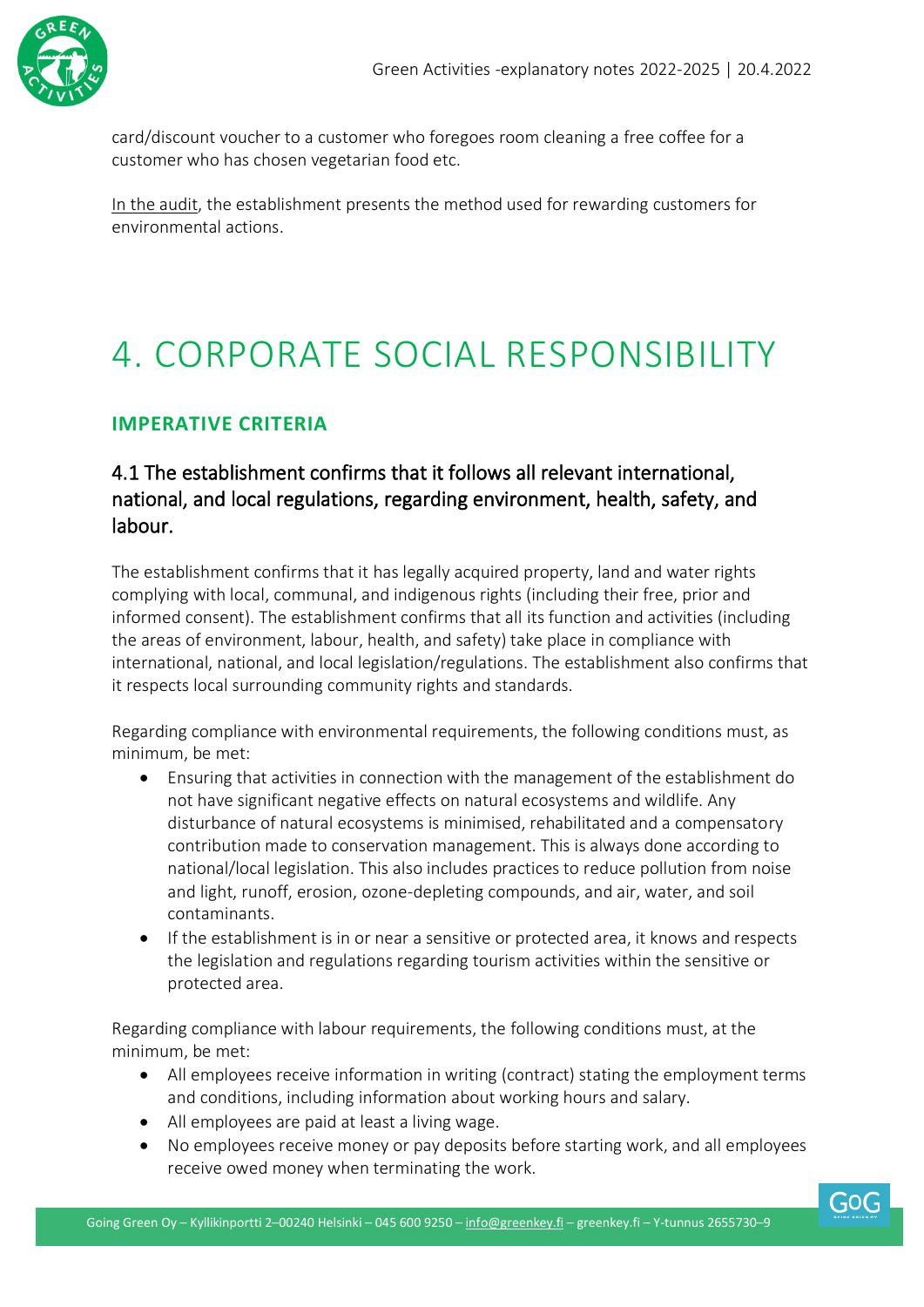

card/discount voucher to a customer who foregoes room cleaning a free coffee for a customer who has chosen vegetarian food etc.

In the audit, the establishment presents the method used for rewarding customers for environmental actions.

### <span id="page-18-0"></span>4. CORPORATE SOCIAL RESPONSIBILITY

#### <span id="page-18-1"></span>**IMPERATIVE CRITERIA**

#### 4.1 The establishment confirms that it follows all relevant international, national, and local regulations, regarding environment, health, safety, and labour.

The establishment confirms that it has legally acquired property, land and water rights complying with local, communal, and indigenous rights (including their free, prior and informed consent). The establishment confirms that all its function and activities (including the areas of environment, labour, health, and safety) take place in compliance with international, national, and local legislation/regulations. The establishment also confirms that it respects local surrounding community rights and standards.

Regarding compliance with environmental requirements, the following conditions must, as minimum, be met:

- Ensuring that activities in connection with the management of the establishment do not have significant negative effects on natural ecosystems and wildlife. Any disturbance of natural ecosystems is minimised, rehabilitated and a compensatory contribution made to conservation management. This is always done according to national/local legislation. This also includes practices to reduce pollution from noise and light, runoff, erosion, ozone-depleting compounds, and air, water, and soil contaminants.
- If the establishment is in or near a sensitive or protected area, it knows and respects the legislation and regulations regarding tourism activities within the sensitive or protected area.

Regarding compliance with labour requirements, the following conditions must, at the minimum, be met:

- All employees receive information in writing (contract) stating the employment terms and conditions, including information about working hours and salary.
- All employees are paid at least a living wage.
- No employees receive money or pay deposits before starting work, and all employees receive owed money when terminating the work.

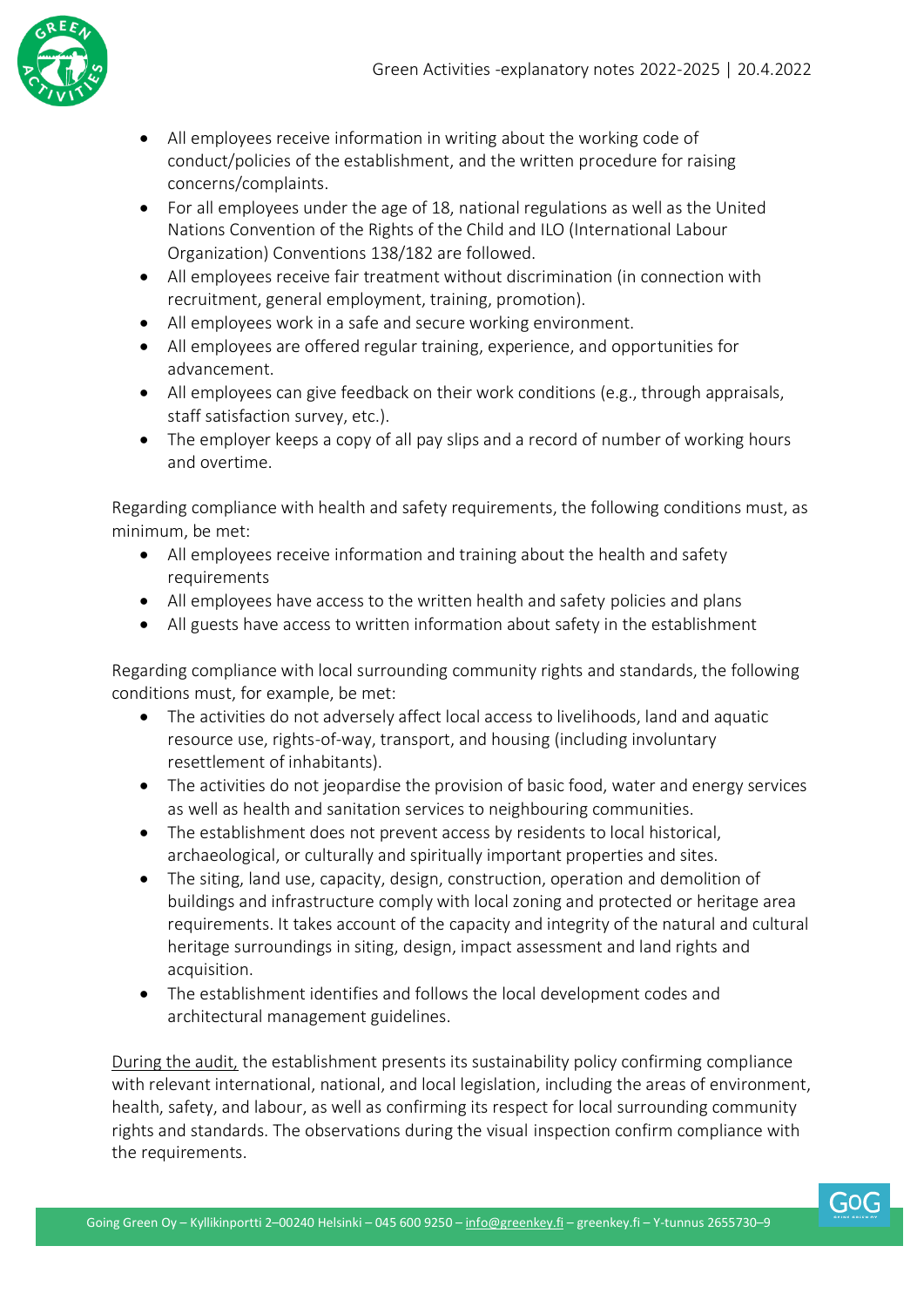

- All employees receive information in writing about the working code of conduct/policies of the establishment, and the written procedure for raising concerns/complaints.
- For all employees under the age of 18, national regulations as well as the United Nations Convention of the Rights of the Child and ILO (International Labour Organization) Conventions 138/182 are followed.
- All employees receive fair treatment without discrimination (in connection with recruitment, general employment, training, promotion).
- All employees work in a safe and secure working environment.
- All employees are offered regular training, experience, and opportunities for advancement.
- All employees can give feedback on their work conditions (e.g., through appraisals, staff satisfaction survey, etc.).
- The employer keeps a copy of all pay slips and a record of number of working hours and overtime.

Regarding compliance with health and safety requirements, the following conditions must, as minimum, be met:

- All employees receive information and training about the health and safety requirements
- All employees have access to the written health and safety policies and plans
- All guests have access to written information about safety in the establishment

Regarding compliance with local surrounding community rights and standards, the following conditions must, for example, be met:

- The activities do not adversely affect local access to livelihoods, land and aquatic resource use, rights-of-way, transport, and housing (including involuntary resettlement of inhabitants).
- The activities do not jeopardise the provision of basic food, water and energy services as well as health and sanitation services to neighbouring communities.
- The establishment does not prevent access by residents to local historical, archaeological, or culturally and spiritually important properties and sites.
- The siting, land use, capacity, design, construction, operation and demolition of buildings and infrastructure comply with local zoning and protected or heritage area requirements. It takes account of the capacity and integrity of the natural and cultural heritage surroundings in siting, design, impact assessment and land rights and acquisition.
- The establishment identifies and follows the local development codes and architectural management guidelines.

During the audit, the establishment presents its sustainability policy confirming compliance with relevant international, national, and local legislation, including the areas of environment, health, safety, and labour, as well as confirming its respect for local surrounding community rights and standards. The observations during the visual inspection confirm compliance with the requirements.

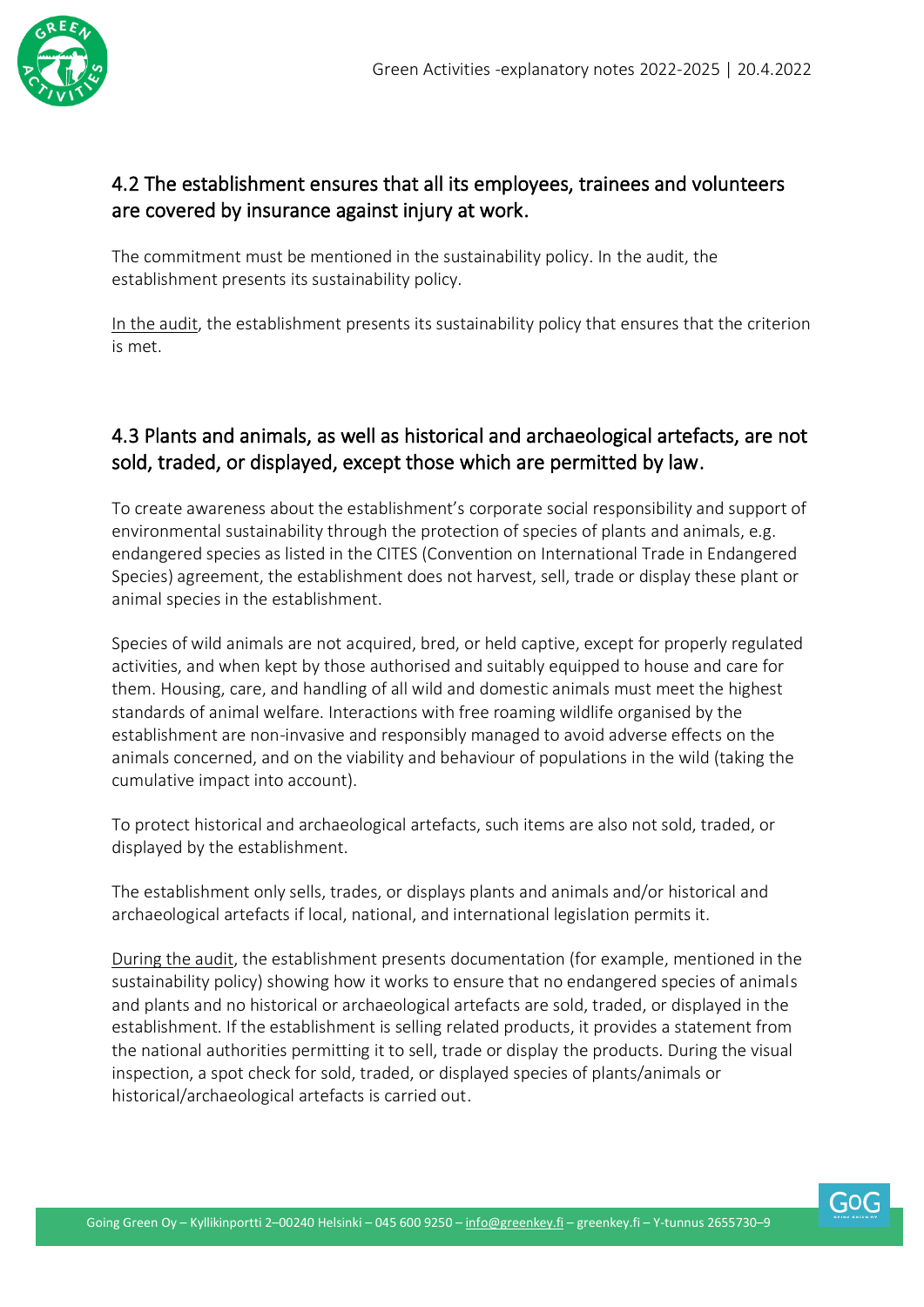

#### 4.2 The establishment ensures that all its employees, trainees and volunteers are covered by insurance against injury at work.

The commitment must be mentioned in the sustainability policy. In the audit, the establishment presents its sustainability policy.

In the audit, the establishment presents its sustainability policy that ensures that the criterion is met.

#### 4.3 Plants and animals, as well as historical and archaeological artefacts, are not sold, traded, or displayed, except those which are permitted by law.

To create awareness about the establishment's corporate social responsibility and support of environmental sustainability through the protection of species of plants and animals, e.g. endangered species as listed in the CITES (Convention on International Trade in Endangered Species) agreement, the establishment does not harvest, sell, trade or display these plant or animal species in the establishment.

Species of wild animals are not acquired, bred, or held captive, except for properly regulated activities, and when kept by those authorised and suitably equipped to house and care for them. Housing, care, and handling of all wild and domestic animals must meet the highest standards of animal welfare. Interactions with free roaming wildlife organised by the establishment are non-invasive and responsibly managed to avoid adverse effects on the animals concerned, and on the viability and behaviour of populations in the wild (taking the cumulative impact into account).

To protect historical and archaeological artefacts, such items are also not sold, traded, or displayed by the establishment.

The establishment only sells, trades, or displays plants and animals and/or historical and archaeological artefacts if local, national, and international legislation permits it.

During the audit, the establishment presents documentation (for example, mentioned in the sustainability policy) showing how it works to ensure that no endangered species of animals and plants and no historical or archaeological artefacts are sold, traded, or displayed in the establishment. If the establishment is selling related products, it provides a statement from the national authorities permitting it to sell, trade or display the products. During the visual inspection, a spot check for sold, traded, or displayed species of plants/animals or historical/archaeological artefacts is carried out.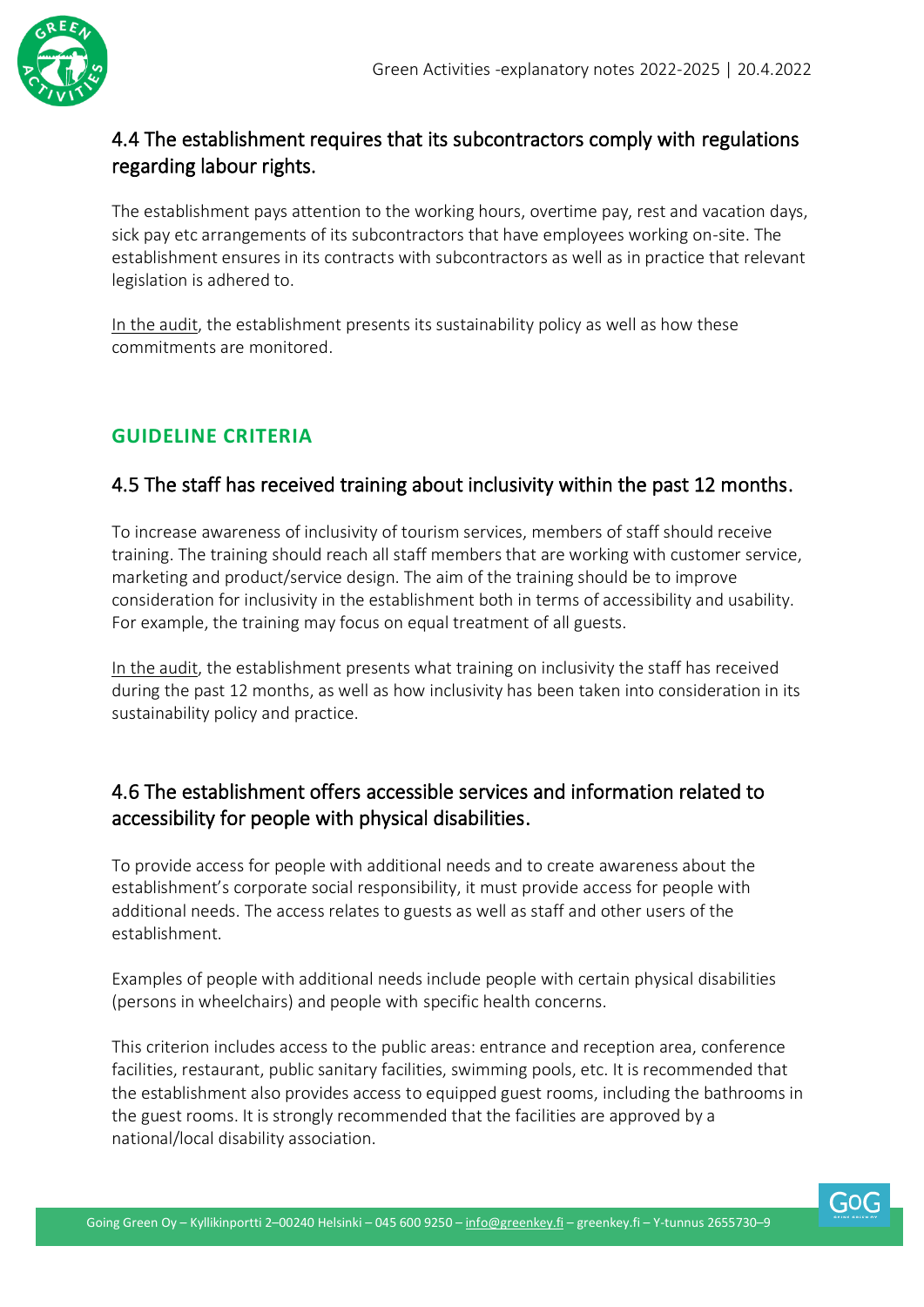

#### 4.4 The establishment requires that its subcontractors comply with regulations regarding labour rights.

The establishment pays attention to the working hours, overtime pay, rest and vacation days, sick pay etc arrangements of its subcontractors that have employees working on-site. The establishment ensures in its contracts with subcontractors as well as in practice that relevant legislation is adhered to.

In the audit, the establishment presents its sustainability policy as well as how these commitments are monitored.

#### <span id="page-21-0"></span>**GUIDELINE CRITERIA**

#### 4.5 The staff has received training about inclusivity within the past 12 months.

To increase awareness of inclusivity of tourism services, members of staff should receive training. The training should reach all staff members that are working with customer service, marketing and product/service design. The aim of the training should be to improve consideration for inclusivity in the establishment both in terms of accessibility and usability. For example, the training may focus on equal treatment of all guests.

In the audit, the establishment presents what training on inclusivity the staff has received during the past 12 months, as well as how inclusivity has been taken into consideration in its sustainability policy and practice.

#### 4.6 The establishment offers accessible services and information related to accessibility for people with physical disabilities.

To provide access for people with additional needs and to create awareness about the establishment's corporate social responsibility, it must provide access for people with additional needs. The access relates to guests as well as staff and other users of the establishment.

Examples of people with additional needs include people with certain physical disabilities (persons in wheelchairs) and people with specific health concerns.

This criterion includes access to the public areas: entrance and reception area, conference facilities, restaurant, public sanitary facilities, swimming pools, etc. It is recommended that the establishment also provides access to equipped guest rooms, including the bathrooms in the guest rooms. It is strongly recommended that the facilities are approved by a national/local disability association.

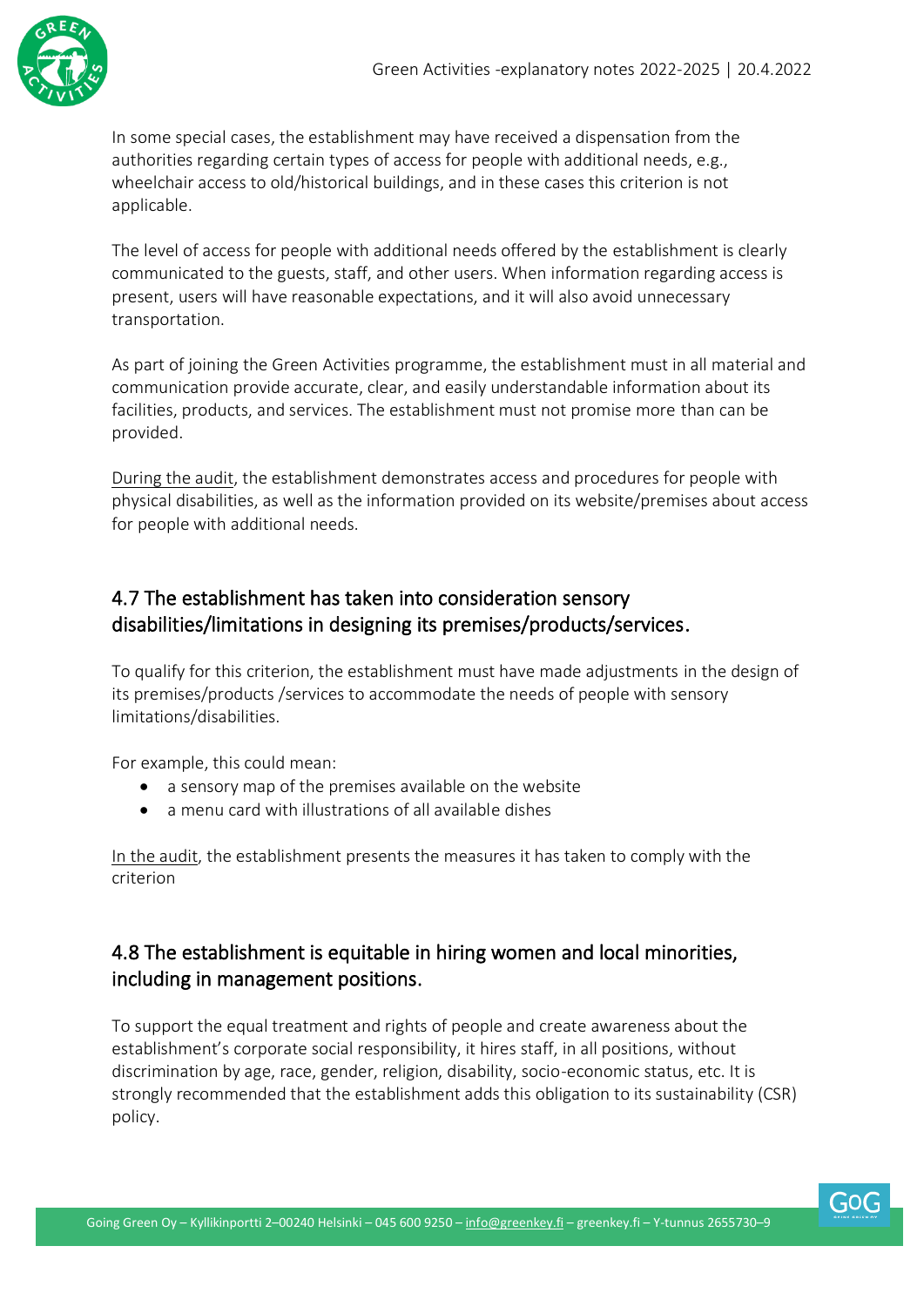

In some special cases, the establishment may have received a dispensation from the authorities regarding certain types of access for people with additional needs, e.g., wheelchair access to old/historical buildings, and in these cases this criterion is not applicable.

The level of access for people with additional needs offered by the establishment is clearly communicated to the guests, staff, and other users. When information regarding access is present, users will have reasonable expectations, and it will also avoid unnecessary transportation.

As part of joining the Green Activities programme, the establishment must in all material and communication provide accurate, clear, and easily understandable information about its facilities, products, and services. The establishment must not promise more than can be provided.

During the audit, the establishment demonstrates access and procedures for people with physical disabilities, as well as the information provided on its website/premises about access for people with additional needs.

#### 4.7 The establishment has taken into consideration sensory disabilities/limitations in designing its premises/products/services.

To qualify for this criterion, the establishment must have made adjustments in the design of its premises/products /services to accommodate the needs of people with sensory limitations/disabilities.

For example, this could mean:

- a sensory map of the premises available on the website
- a menu card with illustrations of all available dishes

In the audit, the establishment presents the measures it has taken to comply with the criterion

#### 4.8 The establishment is equitable in hiring women and local minorities, including in management positions.

To support the equal treatment and rights of people and create awareness about the establishment's corporate social responsibility, it hires staff, in all positions, without discrimination by age, race, gender, religion, disability, socio-economic status, etc. It is strongly recommended that the establishment adds this obligation to its sustainability (CSR) policy.

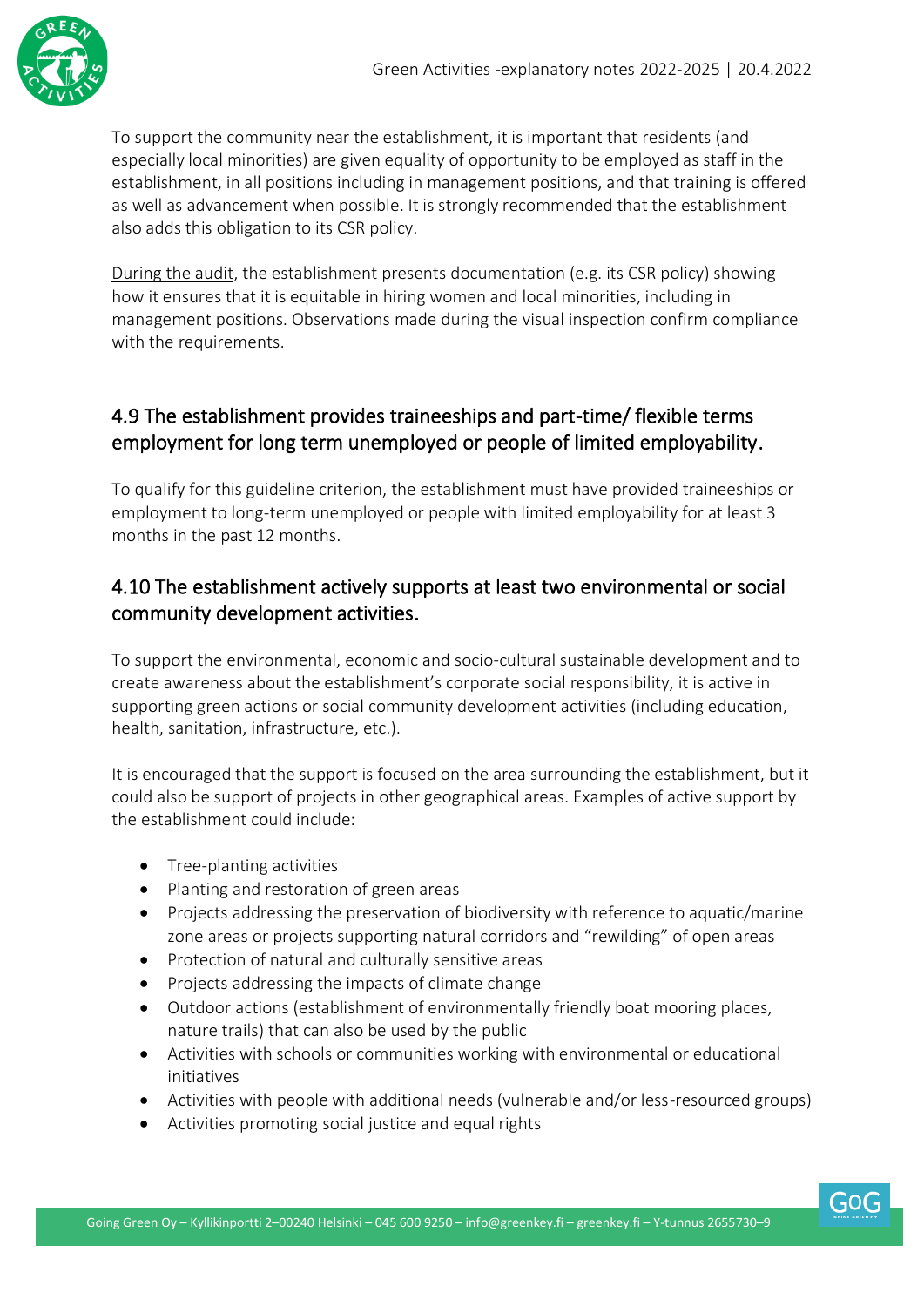

To support the community near the establishment, it is important that residents (and especially local minorities) are given equality of opportunity to be employed as staff in the establishment, in all positions including in management positions, and that training is offered as well as advancement when possible. It is strongly recommended that the establishment also adds this obligation to its CSR policy.

During the audit, the establishment presents documentation (e.g. its CSR policy) showing how it ensures that it is equitable in hiring women and local minorities, including in management positions. Observations made during the visual inspection confirm compliance with the requirements.

#### 4.9 The establishment provides traineeships and part-time/ flexible terms employment for long term unemployed or people of limited employability.

To qualify for this guideline criterion, the establishment must have provided traineeships or employment to long-term unemployed or people with limited employability for at least 3 months in the past 12 months.

#### 4.10 The establishment actively supports at least two environmental or social community development activities.

To support the environmental, economic and socio-cultural sustainable development and to create awareness about the establishment's corporate social responsibility, it is active in supporting green actions or social community development activities (including education, health, sanitation, infrastructure, etc.).

It is encouraged that the support is focused on the area surrounding the establishment, but it could also be support of projects in other geographical areas. Examples of active support by the establishment could include:

- Tree-planting activities
- Planting and restoration of green areas
- Projects addressing the preservation of biodiversity with reference to aquatic/marine zone areas or projects supporting natural corridors and "rewilding" of open areas
- Protection of natural and culturally sensitive areas
- Projects addressing the impacts of climate change
- Outdoor actions (establishment of environmentally friendly boat mooring places, nature trails) that can also be used by the public
- Activities with schools or communities working with environmental or educational initiatives
- Activities with people with additional needs (vulnerable and/or less-resourced groups)
- Activities promoting social justice and equal rights

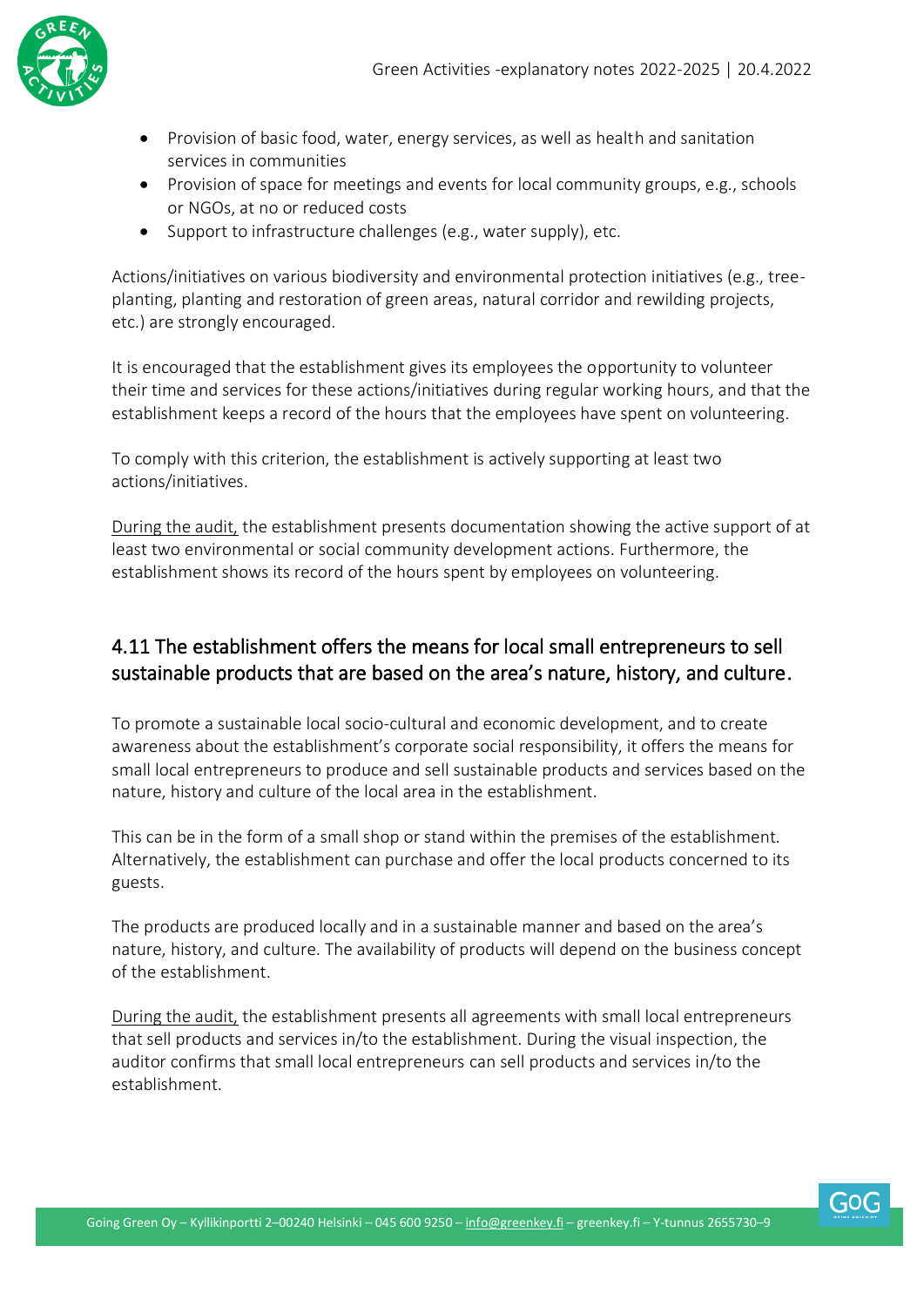

- Provision of basic food, water, energy services, as well as health and sanitation services in communities
- Provision of space for meetings and events for local community groups, e.g., schools or NGOs, at no or reduced costs
- Support to infrastructure challenges (e.g., water supply), etc.

Actions/initiatives on various biodiversity and environmental protection initiatives (e.g., treeplanting, planting and restoration of green areas, natural corridor and rewilding projects, etc.) are strongly encouraged.

It is encouraged that the establishment gives its employees the opportunity to volunteer their time and services for these actions/initiatives during regular working hours, and that the establishment keeps a record of the hours that the employees have spent on volunteering.

To comply with this criterion, the establishment is actively supporting at least two actions/initiatives.

During the audit, the establishment presents documentation showing the active support of at least two environmental or social community development actions. Furthermore, the establishment shows its record of the hours spent by employees on volunteering.

#### 4.11 The establishment offers the means for local small entrepreneurs to sell sustainable products that are based on the area's nature, history, and culture.

To promote a sustainable local socio-cultural and economic development, and to create awareness about the establishment's corporate social responsibility, it offers the means for small local entrepreneurs to produce and sell sustainable products and services based on the nature, history and culture of the local area in the establishment.

This can be in the form of a small shop or stand within the premises of the establishment. Alternatively, the establishment can purchase and offer the local products concerned to its guests.

The products are produced locally and in a sustainable manner and based on the area's nature, history, and culture. The availability of products will depend on the business concept of the establishment.

During the audit, the establishment presents all agreements with small local entrepreneurs that sell products and services in/to the establishment. During the visual inspection, the auditor confirms that small local entrepreneurs can sell products and services in/to the establishment.

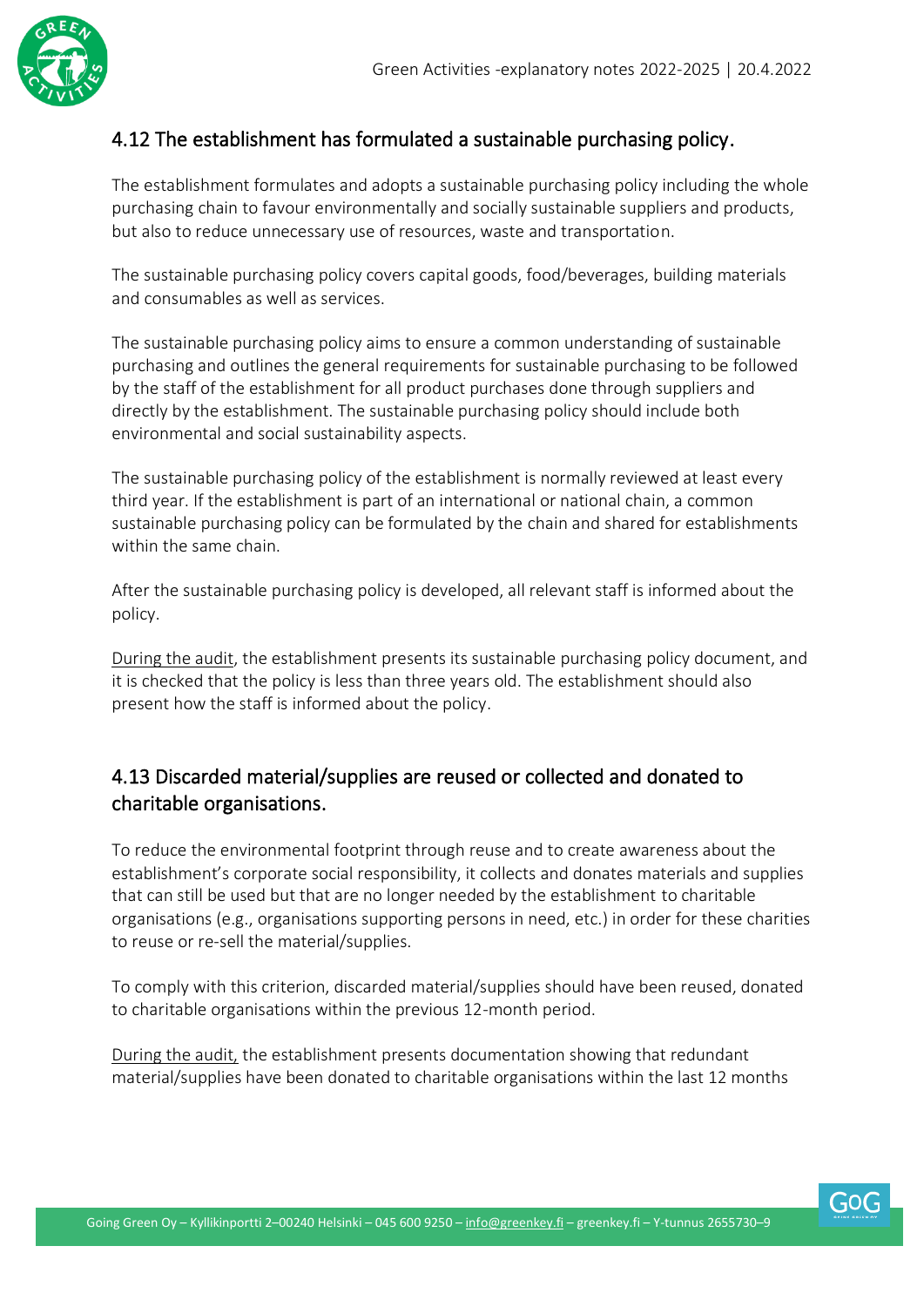

#### 4.12 The establishment has formulated a sustainable purchasing policy.

The establishment formulates and adopts a sustainable purchasing policy including the whole purchasing chain to favour environmentally and socially sustainable suppliers and products, but also to reduce unnecessary use of resources, waste and transportation.

The sustainable purchasing policy covers capital goods, food/beverages, building materials and consumables as well as services.

The sustainable purchasing policy aims to ensure a common understanding of sustainable purchasing and outlines the general requirements for sustainable purchasing to be followed by the staff of the establishment for all product purchases done through suppliers and directly by the establishment. The sustainable purchasing policy should include both environmental and social sustainability aspects.

The sustainable purchasing policy of the establishment is normally reviewed at least every third year. If the establishment is part of an international or national chain, a common sustainable purchasing policy can be formulated by the chain and shared for establishments within the same chain.

After the sustainable purchasing policy is developed, all relevant staff is informed about the policy.

During the audit, the establishment presents its sustainable purchasing policy document, and it is checked that the policy is less than three years old. The establishment should also present how the staff is informed about the policy.

#### 4.13 Discarded material/supplies are reused or collected and donated to charitable organisations.

To reduce the environmental footprint through reuse and to create awareness about the establishment's corporate social responsibility, it collects and donates materials and supplies that can still be used but that are no longer needed by the establishment to charitable organisations (e.g., organisations supporting persons in need, etc.) in order for these charities to reuse or re-sell the material/supplies.

To comply with this criterion, discarded material/supplies should have been reused, donated to charitable organisations within the previous 12-month period.

During the audit, the establishment presents documentation showing that redundant material/supplies have been donated to charitable organisations within the last 12 months

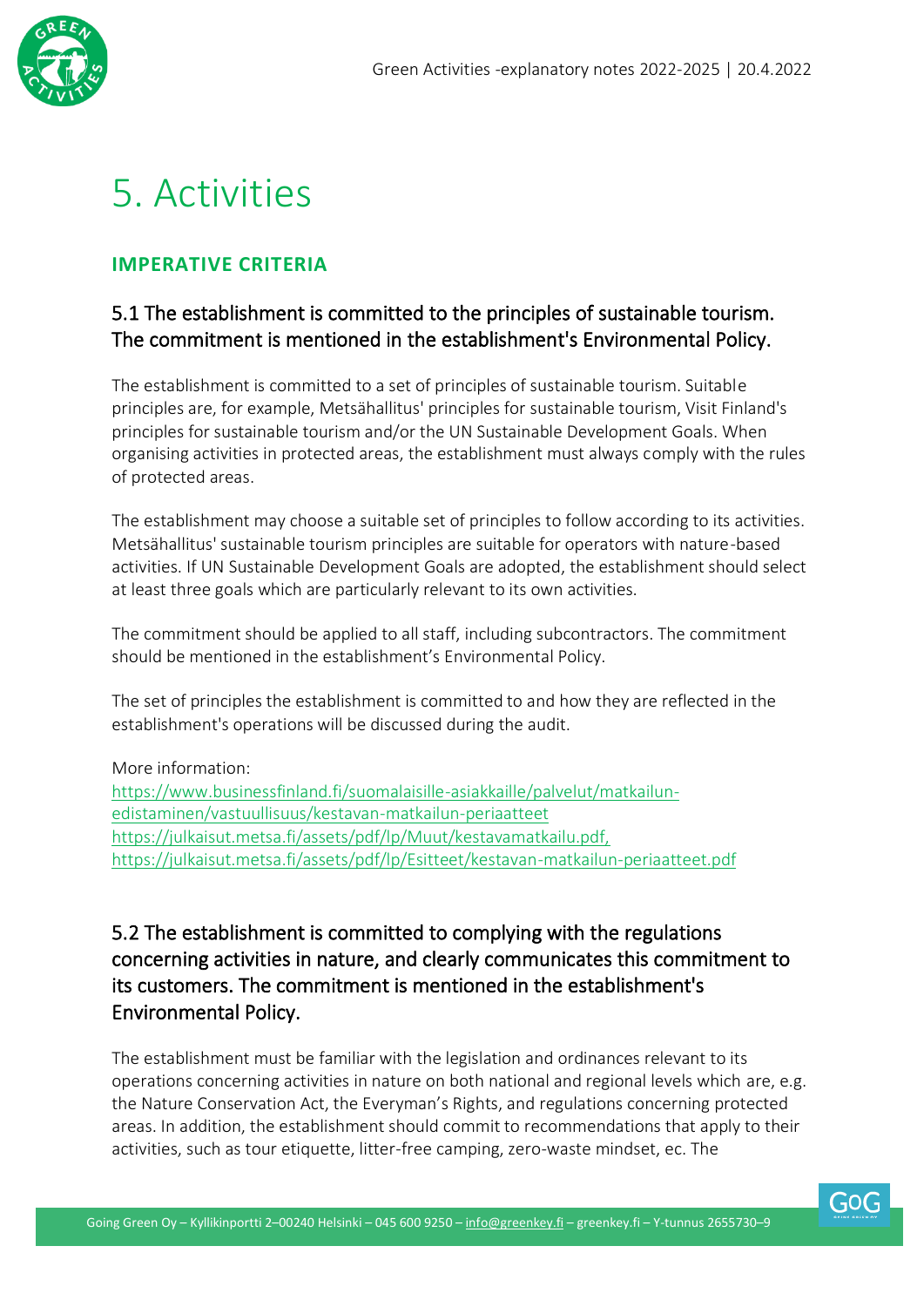

# <span id="page-26-0"></span>5. Activities

#### <span id="page-26-1"></span>**IMPERATIVE CRITERIA**

#### 5.1 The establishment is committed to the principles of sustainable tourism. The commitment is mentioned in the establishment's Environmental Policy.

The establishment is committed to a set of principles of sustainable tourism. Suitable principles are, for example, Metsähallitus' principles for sustainable tourism, Visit Finland's principles for sustainable tourism and/or the UN Sustainable Development Goals. When organising activities in protected areas, the establishment must always comply with the rules of protected areas.

The establishment may choose a suitable set of principles to follow according to its activities. Metsähallitus' sustainable tourism principles are suitable for operators with nature-based activities. If UN Sustainable Development Goals are adopted, the establishment should select at least three goals which are particularly relevant to its own activities.

The commitment should be applied to all staff, including subcontractors. The commitment should be mentioned in the establishment's Environmental Policy.

The set of principles the establishment is committed to and how they are reflected in the establishment's operations will be discussed during the audit.

More information:

[https://www.businessfinland.fi/suomalaisille-asiakkaille/palvelut/matkailun](https://www.businessfinland.fi/suomalaisille-asiakkaille/palvelut/matkailun-edistaminen/vastuullisuus/kestavan-matkailun-periaatteet)[edistaminen/vastuullisuus/kestavan-matkailun-periaatteet](https://www.businessfinland.fi/suomalaisille-asiakkaille/palvelut/matkailun-edistaminen/vastuullisuus/kestavan-matkailun-periaatteet) <https://julkaisut.metsa.fi/assets/pdf/lp/Muut/kestavamatkailu.pdf,> <https://julkaisut.metsa.fi/assets/pdf/lp/Esitteet/kestavan-matkailun-periaatteet.pdf>

#### 5.2 The establishment is committed to complying with the regulations concerning activities in nature, and clearly communicates this commitment to its customers. The commitment is mentioned in the establishment's Environmental Policy.

The establishment must be familiar with the legislation and ordinances relevant to its operations concerning activities in nature on both national and regional levels which are, e.g. the Nature Conservation Act, the Everyman's Rights, and regulations concerning protected areas. In addition, the establishment should commit to recommendations that apply to their activities, such as tour etiquette, litter-free camping, zero-waste mindset, ec. The

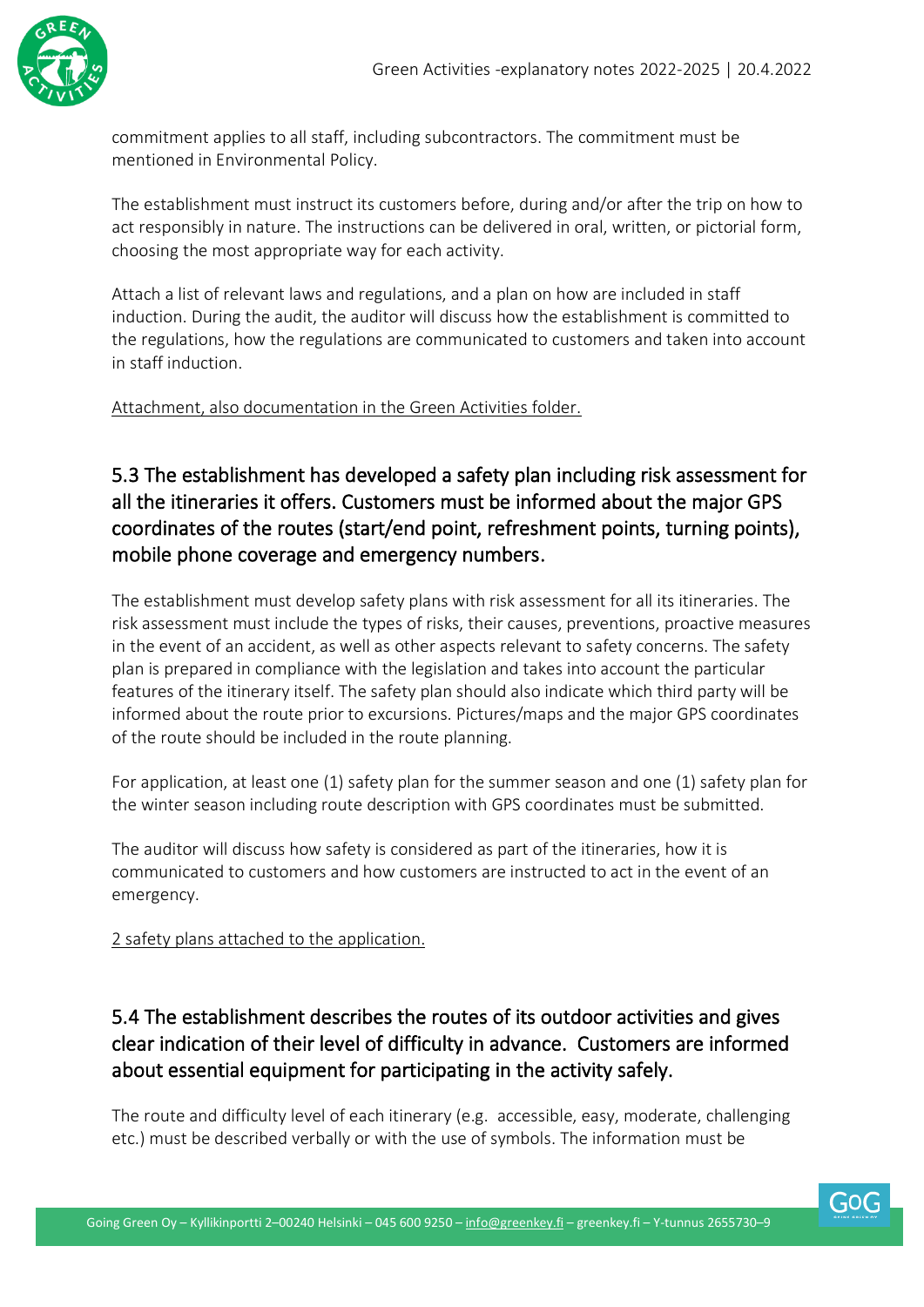

commitment applies to all staff, including subcontractors. The commitment must be mentioned in Environmental Policy.

The establishment must instruct its customers before, during and/or after the trip on how to act responsibly in nature. The instructions can be delivered in oral, written, or pictorial form, choosing the most appropriate way for each activity.

Attach a list of relevant laws and regulations, and a plan on how are included in staff induction. During the audit, the auditor will discuss how the establishment is committed to the regulations, how the regulations are communicated to customers and taken into account in staff induction.

Attachment, also documentation in the Green Activities folder.

#### 5.3 The establishment has developed a safety plan including risk assessment for all the itineraries it offers. Customers must be informed about the major GPS coordinates of the routes (start/end point, refreshment points, turning points), mobile phone coverage and emergency numbers.

The establishment must develop safety plans with risk assessment for all its itineraries. The risk assessment must include the types of risks, their causes, preventions, proactive measures in the event of an accident, as well as other aspects relevant to safety concerns. The safety plan is prepared in compliance with the legislation and takes into account the particular features of the itinerary itself. The safety plan should also indicate which third party will be informed about the route prior to excursions. Pictures/maps and the major GPS coordinates of the route should be included in the route planning.

For application, at least one (1) safety plan for the summer season and one (1) safety plan for the winter season including route description with GPS coordinates must be submitted.

The auditor will discuss how safety is considered as part of the itineraries, how it is communicated to customers and how customers are instructed to act in the event of an emergency.

2 safety plans attached to the application.

#### 5.4 The establishment describes the routes of its outdoor activities and gives clear indication of their level of difficulty in advance. Customers are informed about essential equipment for participating in the activity safely.

The route and difficulty level of each itinerary (e.g. accessible, easy, moderate, challenging etc.) must be described verbally or with the use of symbols. The information must be

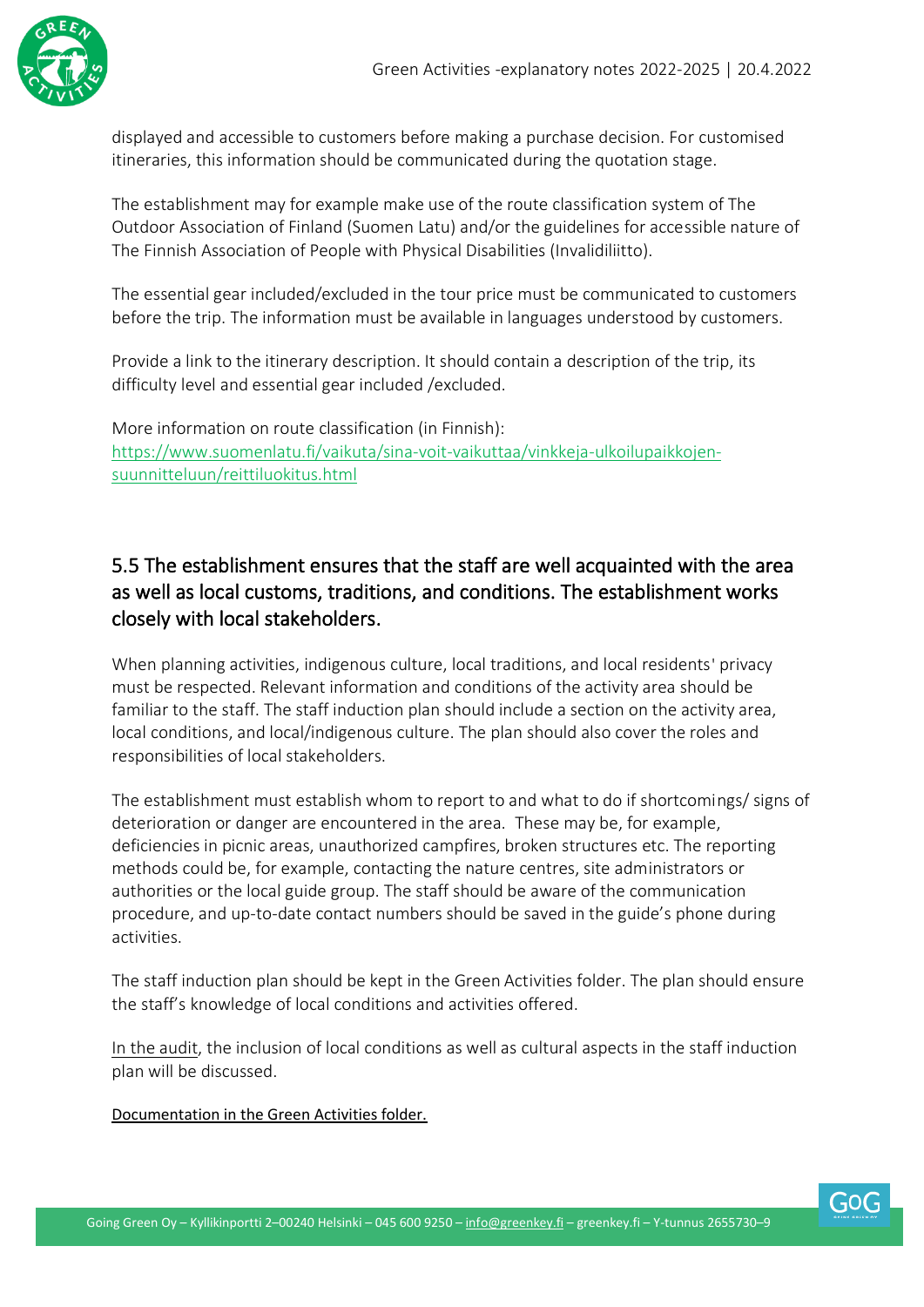

displayed and accessible to customers before making a purchase decision. For customised itineraries, this information should be communicated during the quotation stage.

The establishment may for example make use of the route classification system of The Outdoor Association of Finland (Suomen Latu) and/or the guidelines for accessible nature of The Finnish Association of People with Physical Disabilities (Invalidiliitto).

The essential gear included/excluded in the tour price must be communicated to customers before the trip. The information must be available in languages understood by customers.

Provide a link to the itinerary description. It should contain a description of the trip, its difficulty level and essential gear included /excluded.

More information on route classification (in Finnish): https://www.suomenlatu.fi/vaikuta/sina-voit-vaikuttaa/vinkkeja-ulkoilupaikkojensuunnitteluun/reittiluokitus.html

#### 5.5 The establishment ensures that the staff are well acquainted with the area as well as local customs, traditions, and conditions. The establishment works closely with local stakeholders.

When planning activities, indigenous culture, local traditions, and local residents' privacy must be respected. Relevant information and conditions of the activity area should be familiar to the staff. The staff induction plan should include a section on the activity area, local conditions, and local/indigenous culture. The plan should also cover the roles and responsibilities of local stakeholders.

The establishment must establish whom to report to and what to do if shortcomings/ signs of deterioration or danger are encountered in the area. These may be, for example, deficiencies in picnic areas, unauthorized campfires, broken structures etc. The reporting methods could be, for example, contacting the nature centres, site administrators or authorities or the local guide group. The staff should be aware of the communication procedure, and up-to-date contact numbers should be saved in the guide's phone during activities.

The staff induction plan should be kept in the Green Activities folder. The plan should ensure the staff's knowledge of local conditions and activities offered.

In the audit, the inclusion of local conditions as well as cultural aspects in the staff induction plan will be discussed.

Documentation in the Green Activities folder.

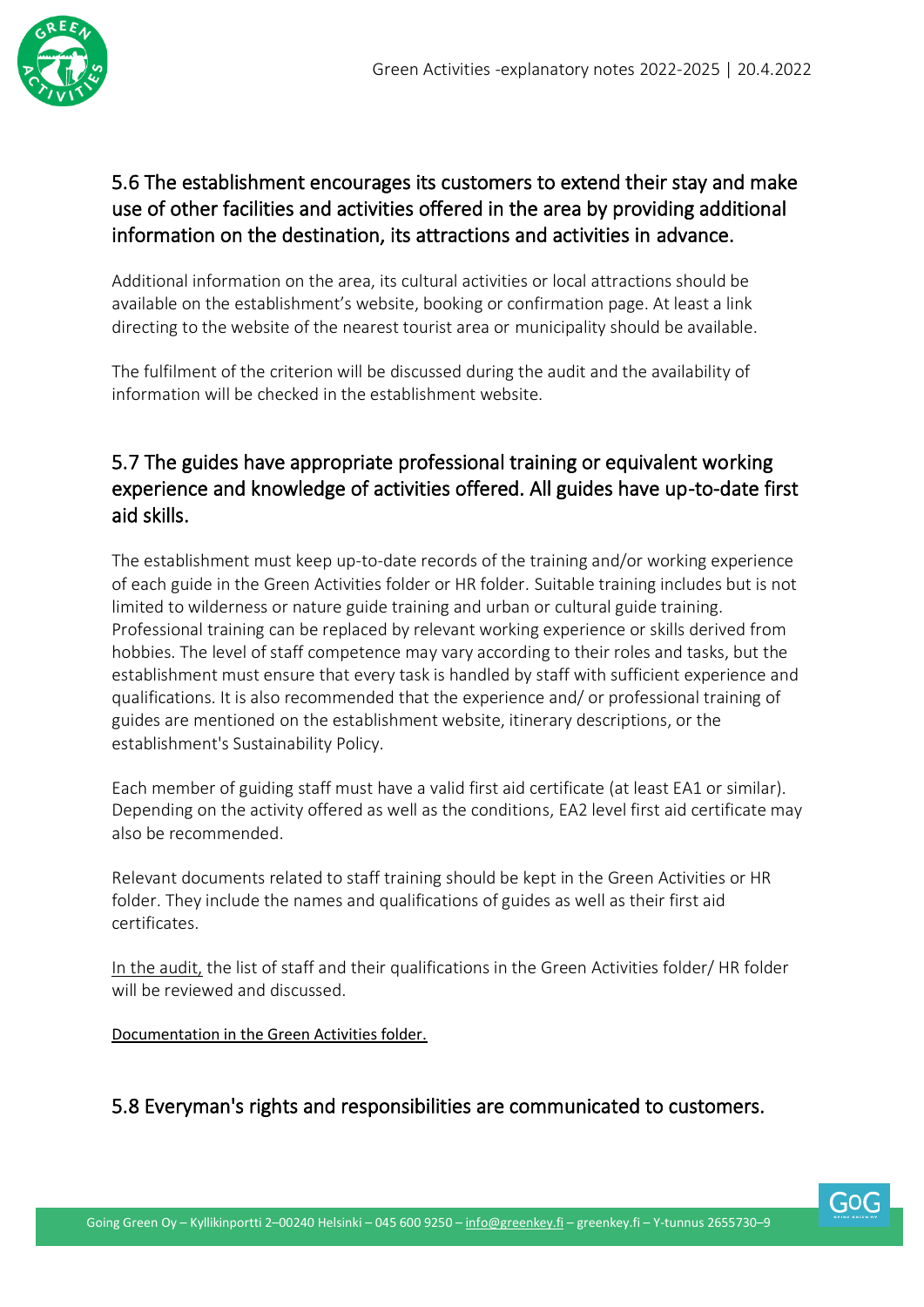

#### 5.6 The establishment encourages its customers to extend their stay and make use of other facilities and activities offered in the area by providing additional information on the destination, its attractions and activities in advance.

Additional information on the area, its cultural activities or local attractions should be available on the establishment's website, booking or confirmation page. At least a link directing to the website of the nearest tourist area or municipality should be available.

The fulfilment of the criterion will be discussed during the audit and the availability of information will be checked in the establishment website.

#### 5.7 The guides have appropriate professional training or equivalent working experience and knowledge of activities offered. All guides have up-to-date first aid skills.

The establishment must keep up-to-date records of the training and/or working experience of each guide in the Green Activities folder or HR folder. Suitable training includes but is not limited to wilderness or nature guide training and urban or cultural guide training. Professional training can be replaced by relevant working experience or skills derived from hobbies. The level of staff competence may vary according to their roles and tasks, but the establishment must ensure that every task is handled by staff with sufficient experience and qualifications. It is also recommended that the experience and/ or professional training of guides are mentioned on the establishment website, itinerary descriptions, or the establishment's Sustainability Policy.

Each member of guiding staff must have a valid first aid certificate (at least EA1 or similar). Depending on the activity offered as well as the conditions, EA2 level first aid certificate may also be recommended.

Relevant documents related to staff training should be kept in the Green Activities or HR folder. They include the names and qualifications of guides as well as their first aid certificates.

In the audit, the list of staff and their qualifications in the Green Activities folder/ HR folder will be reviewed and discussed.

Documentation in the Green Activities folder.

#### 5.8 Everyman's rights and responsibilities are communicated to customers.

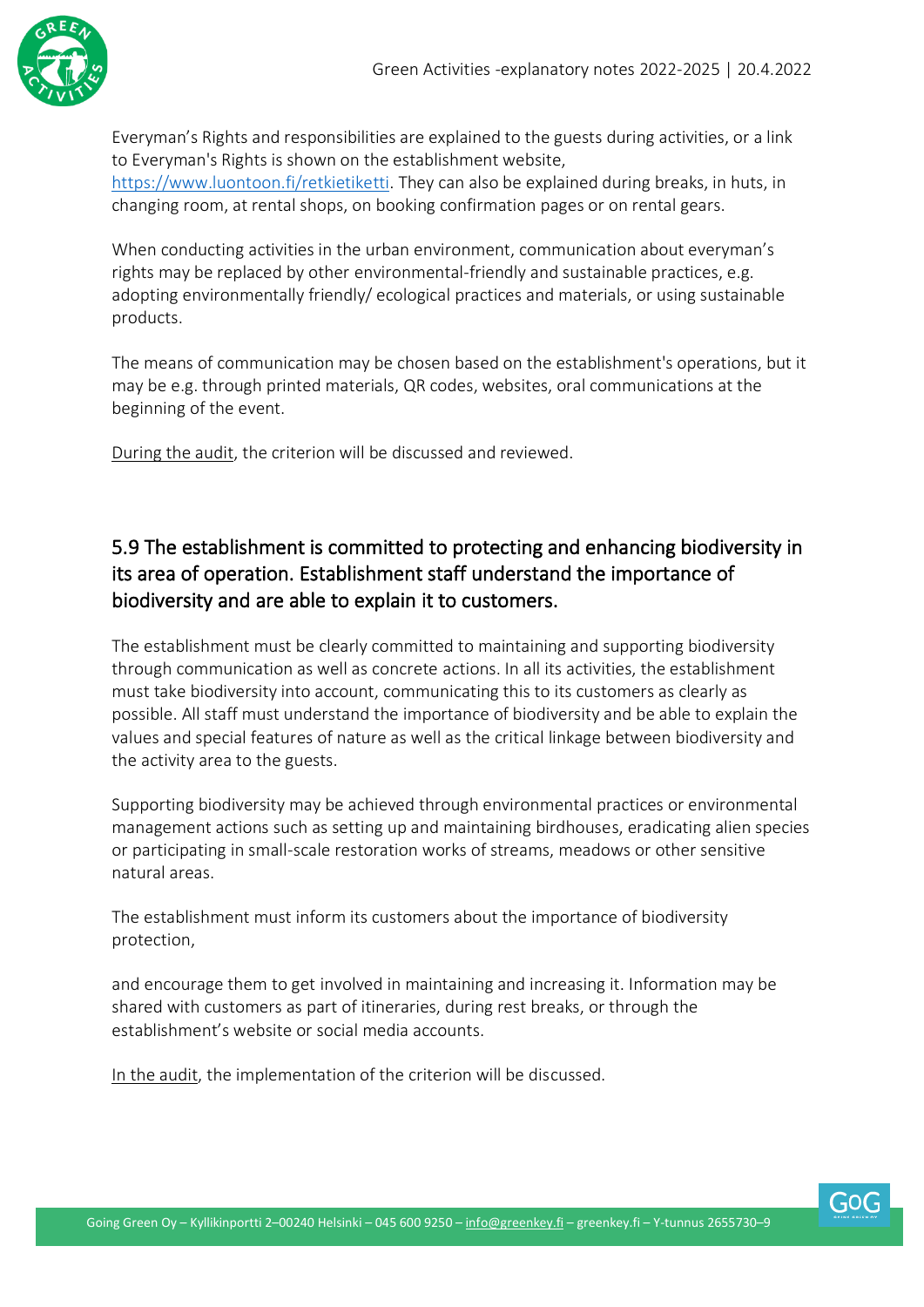

Everyman's Rights and responsibilities are explained to the guests during activities, or a link to Everyman's Rights is shown on the establishment website, [https://www.luontoon.fi/retkietiketti.](https://www.luontoon.fi/retkietiketti) They can also be explained during breaks, in huts, in changing room, at rental shops, on booking confirmation pages or on rental gears.

When conducting activities in the urban environment, communication about everyman's rights may be replaced by other environmental-friendly and sustainable practices, e.g. adopting environmentally friendly/ ecological practices and materials, or using sustainable products.

The means of communication may be chosen based on the establishment's operations, but it may be e.g. through printed materials, QR codes, websites, oral communications at the beginning of the event.

During the audit, the criterion will be discussed and reviewed.

#### 5.9 The establishment is committed to protecting and enhancing biodiversity in its area of operation. Establishment staff understand the importance of biodiversity and are able to explain it to customers.

The establishment must be clearly committed to maintaining and supporting biodiversity through communication as well as concrete actions. In all its activities, the establishment must take biodiversity into account, communicating this to its customers as clearly as possible. All staff must understand the importance of biodiversity and be able to explain the values and special features of nature as well as the critical linkage between biodiversity and the activity area to the guests.

Supporting biodiversity may be achieved through environmental practices or environmental management actions such as setting up and maintaining birdhouses, eradicating alien species or participating in small-scale restoration works of streams, meadows or other sensitive natural areas.

The establishment must inform its customers about the importance of biodiversity protection,

and encourage them to get involved in maintaining and increasing it. Information may be shared with customers as part of itineraries, during rest breaks, or through the establishment's website or social media accounts.

In the audit, the implementation of the criterion will be discussed.

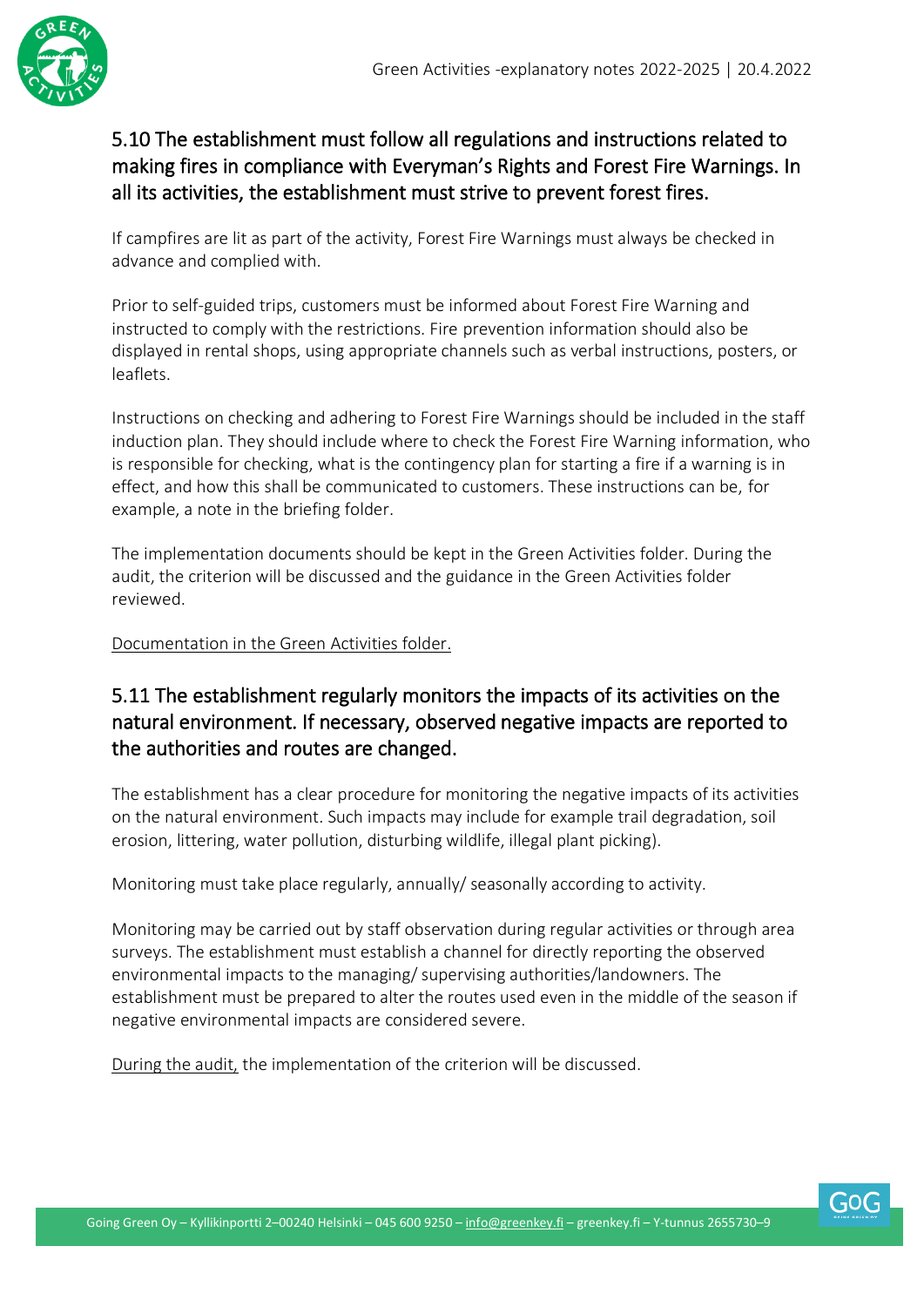

#### 5.10 The establishment must follow all regulations and instructions related to making fires in compliance with Everyman's Rights and Forest Fire Warnings. In all its activities, the establishment must strive to prevent forest fires.

If campfires are lit as part of the activity, Forest Fire Warnings must always be checked in advance and complied with.

Prior to self-guided trips, customers must be informed about Forest Fire Warning and instructed to comply with the restrictions. Fire prevention information should also be displayed in rental shops, using appropriate channels such as verbal instructions, posters, or leaflets.

Instructions on checking and adhering to Forest Fire Warnings should be included in the staff induction plan. They should include where to check the Forest Fire Warning information, who is responsible for checking, what is the contingency plan for starting a fire if a warning is in effect, and how this shall be communicated to customers. These instructions can be, for example, a note in the briefing folder.

The implementation documents should be kept in the Green Activities folder. During the audit, the criterion will be discussed and the guidance in the Green Activities folder reviewed.

Documentation in the Green Activities folder.

#### 5.11 The establishment regularly monitors the impacts of its activities on the natural environment. If necessary, observed negative impacts are reported to the authorities and routes are changed.

The establishment has a clear procedure for monitoring the negative impacts of its activities on the natural environment. Such impacts may include for example trail degradation, soil erosion, littering, water pollution, disturbing wildlife, illegal plant picking).

Monitoring must take place regularly, annually/ seasonally according to activity.

Monitoring may be carried out by staff observation during regular activities or through area surveys. The establishment must establish a channel for directly reporting the observed environmental impacts to the managing/ supervising authorities/landowners. The establishment must be prepared to alter the routes used even in the middle of the season if negative environmental impacts are considered severe.

During the audit, the implementation of the criterion will be discussed.

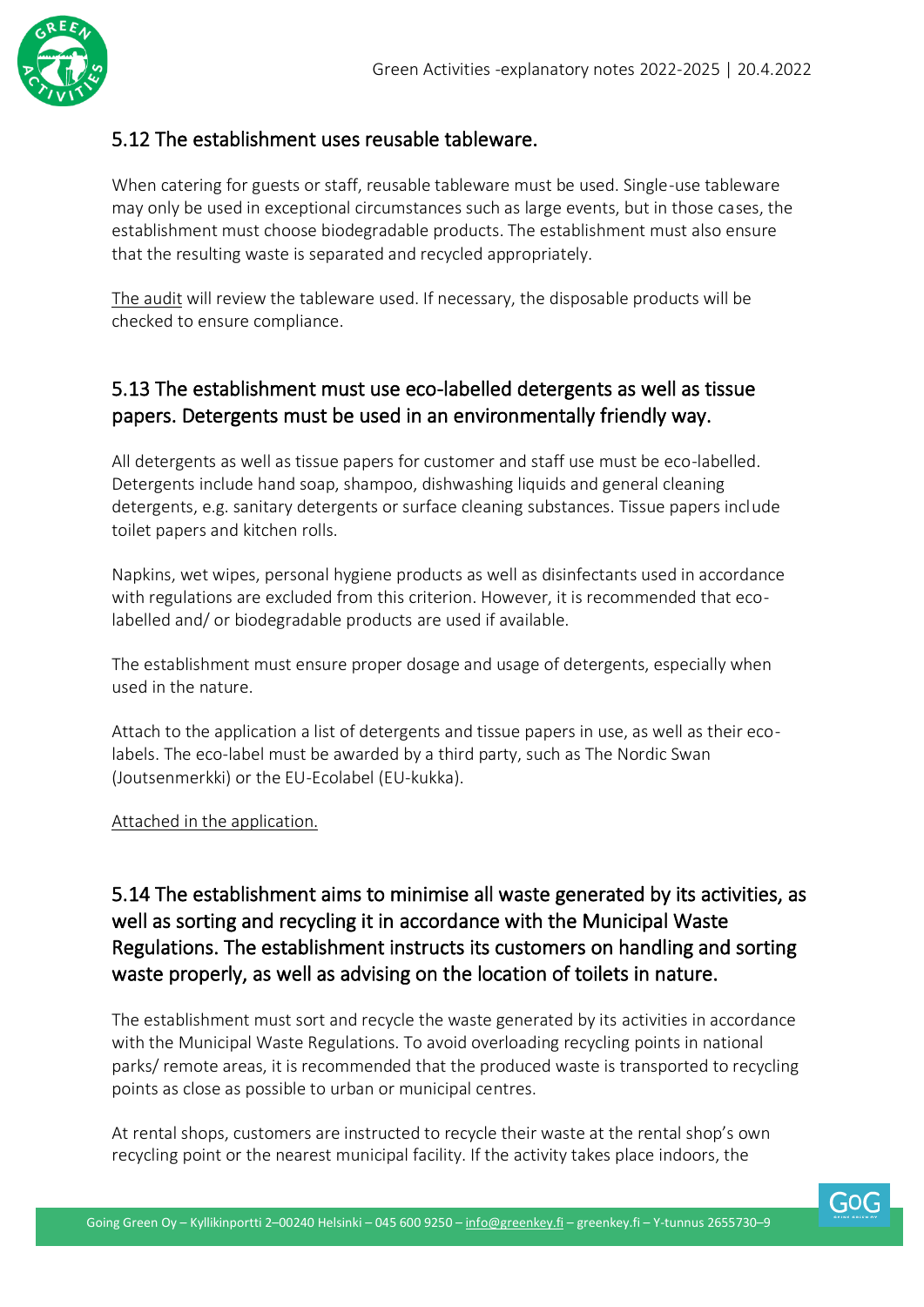

#### 5.12 The establishment uses reusable tableware.

When catering for guests or staff, reusable tableware must be used. Single-use tableware may only be used in exceptional circumstances such as large events, but in those cases, the establishment must choose biodegradable products. The establishment must also ensure that the resulting waste is separated and recycled appropriately.

The audit will review the tableware used. If necessary, the disposable products will be checked to ensure compliance.

#### 5.13 The establishment must use eco-labelled detergents as well as tissue papers. Detergents must be used in an environmentally friendly way.

All detergents as well as tissue papers for customer and staff use must be eco-labelled. Detergents include hand soap, shampoo, dishwashing liquids and general cleaning detergents, e.g. sanitary detergents or surface cleaning substances. Tissue papers include toilet papers and kitchen rolls.

Napkins, wet wipes, personal hygiene products as well as disinfectants used in accordance with regulations are excluded from this criterion. However, it is recommended that ecolabelled and/ or biodegradable products are used if available.

The establishment must ensure proper dosage and usage of detergents, especially when used in the nature.

Attach to the application a list of detergents and tissue papers in use, as well as their ecolabels. The eco-label must be awarded by a third party, such as The Nordic Swan (Joutsenmerkki) or the EU-Ecolabel (EU-kukka).

#### Attached in the application.

#### 5.14 The establishment aims to minimise all waste generated by its activities, as well as sorting and recycling it in accordance with the Municipal Waste Regulations. The establishment instructs its customers on handling and sorting waste properly, as well as advising on the location of toilets in nature.

The establishment must sort and recycle the waste generated by its activities in accordance with the Municipal Waste Regulations. To avoid overloading recycling points in national parks/ remote areas, it is recommended that the produced waste is transported to recycling points as close as possible to urban or municipal centres.

At rental shops, customers are instructed to recycle their waste at the rental shop's own recycling point or the nearest municipal facility. If the activity takes place indoors, the

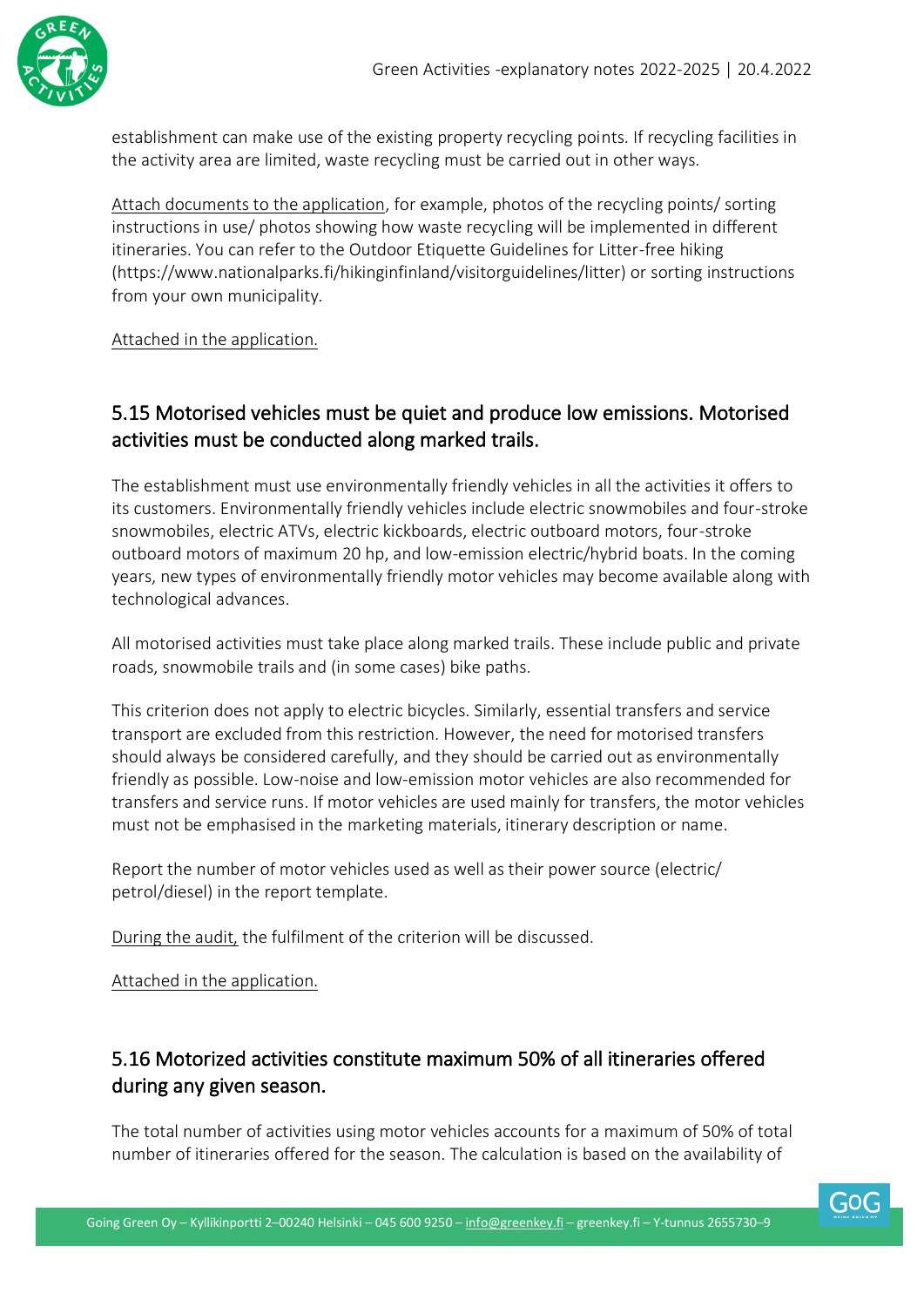

establishment can make use of the existing property recycling points. If recycling facilities in the activity area are limited, waste recycling must be carried out in other ways.

Attach documents to the application, for example, photos of the recycling points/ sorting instructions in use/ photos showing how waste recycling will be implemented in different itineraries. You can refer to the Outdoor Etiquette Guidelines for Litter-free hiking (https://www.nationalparks.fi/hikinginfinland/visitorguidelines/litter) or sorting instructions from your own municipality.

Attached in the application.

#### 5.15 Motorised vehicles must be quiet and produce low emissions. Motorised activities must be conducted along marked trails.

The establishment must use environmentally friendly vehicles in all the activities it offers to its customers. Environmentally friendly vehicles include electric snowmobiles and four-stroke snowmobiles, electric ATVs, electric kickboards, electric outboard motors, four-stroke outboard motors of maximum 20 hp, and low-emission electric/hybrid boats. In the coming years, new types of environmentally friendly motor vehicles may become available along with technological advances.

All motorised activities must take place along marked trails. These include public and private roads, snowmobile trails and (in some cases) bike paths.

This criterion does not apply to electric bicycles. Similarly, essential transfers and service transport are excluded from this restriction. However, the need for motorised transfers should always be considered carefully, and they should be carried out as environmentally friendly as possible. Low-noise and low-emission motor vehicles are also recommended for transfers and service runs. If motor vehicles are used mainly for transfers, the motor vehicles must not be emphasised in the marketing materials, itinerary description or name.

Report the number of motor vehicles used as well as their power source (electric/ petrol/diesel) in the report template.

During the audit, the fulfilment of the criterion will be discussed.

Attached in the application.

#### 5.16 Motorized activities constitute maximum 50% of all itineraries offered during any given season.

The total number of activities using motor vehicles accounts for a maximum of 50% of total number of itineraries offered for the season. The calculation is based on the availability of

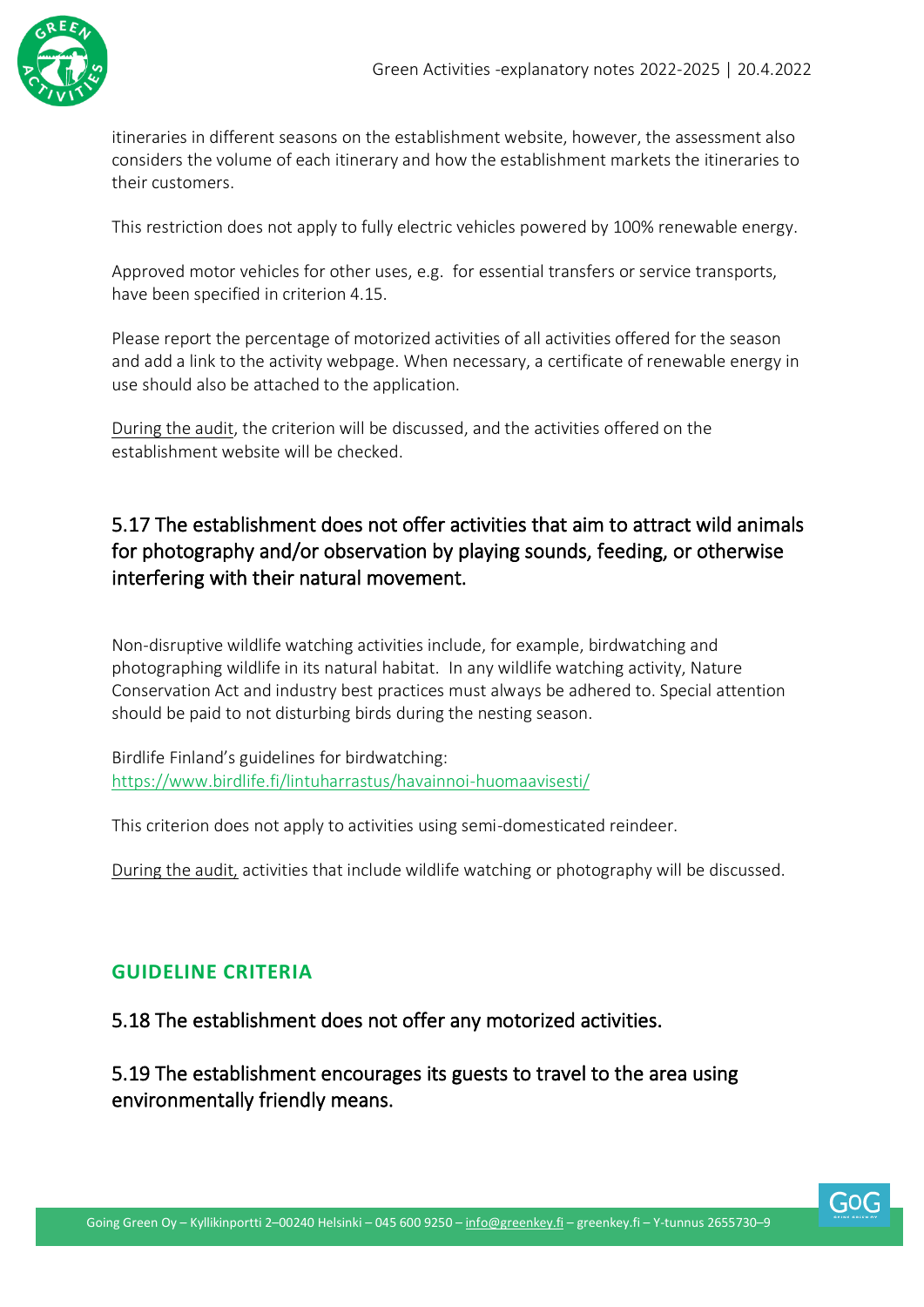

itineraries in different seasons on the establishment website, however, the assessment also considers the volume of each itinerary and how the establishment markets the itineraries to their customers.

This restriction does not apply to fully electric vehicles powered by 100% renewable energy.

Approved motor vehicles for other uses, e.g. for essential transfers or service transports, have been specified in criterion 4.15.

Please report the percentage of motorized activities of all activities offered for the season and add a link to the activity webpage. When necessary, a certificate of renewable energy in use should also be attached to the application.

During the audit, the criterion will be discussed, and the activities offered on the establishment website will be checked.

#### 5.17 The establishment does not offer activities that aim to attract wild animals for photography and/or observation by playing sounds, feeding, or otherwise interfering with their natural movement.

Non-disruptive wildlife watching activities include, for example, birdwatching and photographing wildlife in its natural habitat. In any wildlife watching activity, Nature Conservation Act and industry best practices must always be adhered to. Special attention should be paid to not disturbing birds during the nesting season.

Birdlife Finland's guidelines for birdwatching: [https://www.birdlife.fi/lintuharrastus/havainnoi-huomaavisesti/](https://www.birdlife.fi/lintuharrastus/havainnoi-huomaavaisesti/)

This criterion does not apply to activities using semi-domesticated reindeer.

During the audit, activities that include wildlife watching or photography will be discussed.

#### <span id="page-34-0"></span>**GUIDELINE CRITERIA**

5.18 The establishment does not offer any motorized activities.

5.19 The establishment encourages its guests to travel to the area using environmentally friendly means.

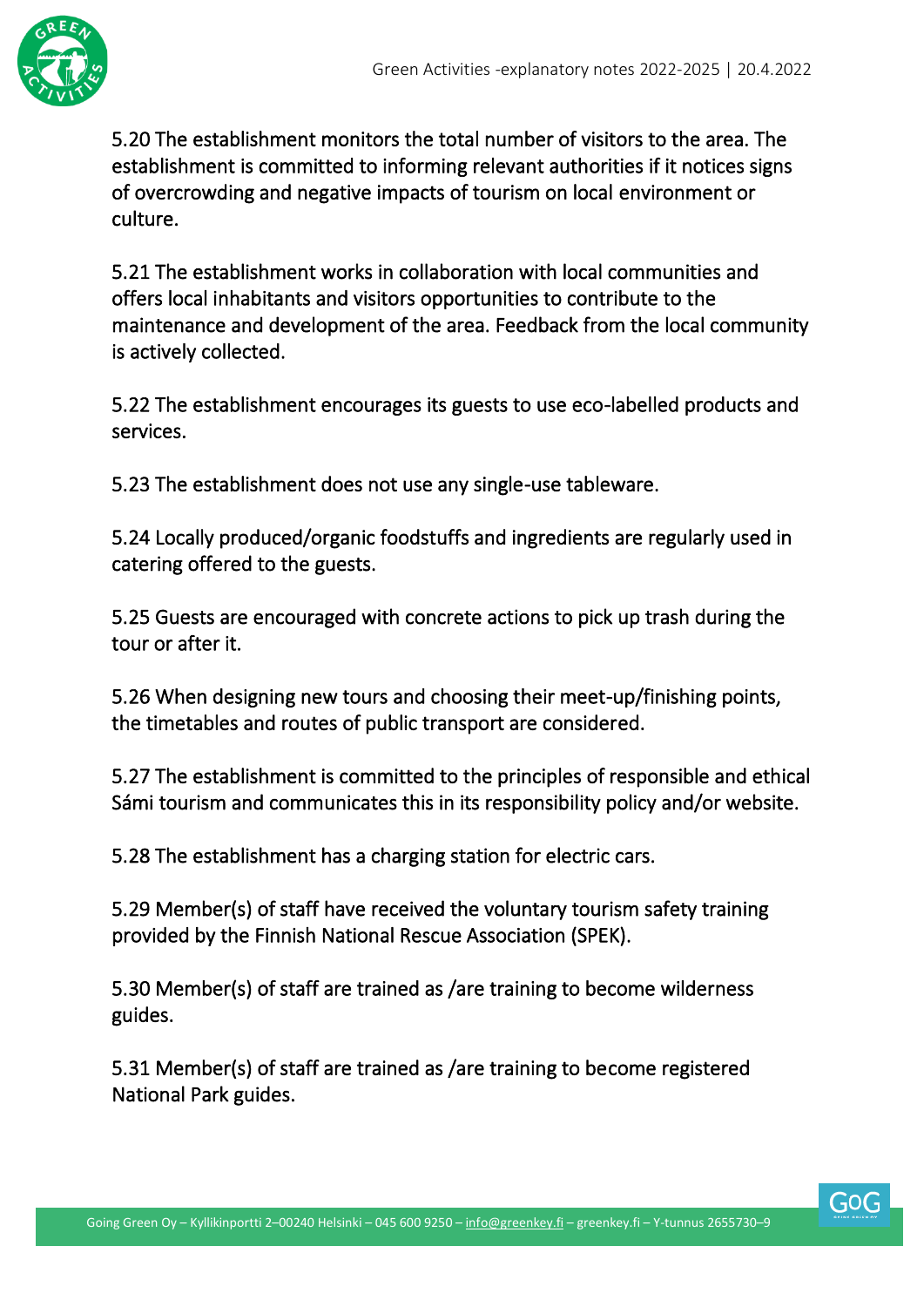

5.20 The establishment monitors the total number of visitors to the area. The establishment is committed to informing relevant authorities if it notices signs of overcrowding and negative impacts of tourism on local environment or culture.

5.21 The establishment works in collaboration with local communities and offers local inhabitants and visitors opportunities to contribute to the maintenance and development of the area. Feedback from the local community is actively collected.

5.22 The establishment encourages its guests to use eco-labelled products and services.

5.23 The establishment does not use any single-use tableware.

5.24 Locally produced/organic foodstuffs and ingredients are regularly used in catering offered to the guests.

5.25 Guests are encouraged with concrete actions to pick up trash during the tour or after it.

5.26 When designing new tours and choosing their meet-up/finishing points, the timetables and routes of public transport are considered.

5.27 The establishment is committed to the principles of responsible and ethical Sámi tourism and communicates this in its responsibility policy and/or website.

5.28 The establishment has a charging station for electric cars.

5.29 Member(s) of staff have received the voluntary tourism safety training provided by the Finnish National Rescue Association (SPEK).

5.30 Member(s) of staff are trained as /are training to become wilderness guides.

5.31 Member(s) of staff are trained as /are training to become registered National Park guides.

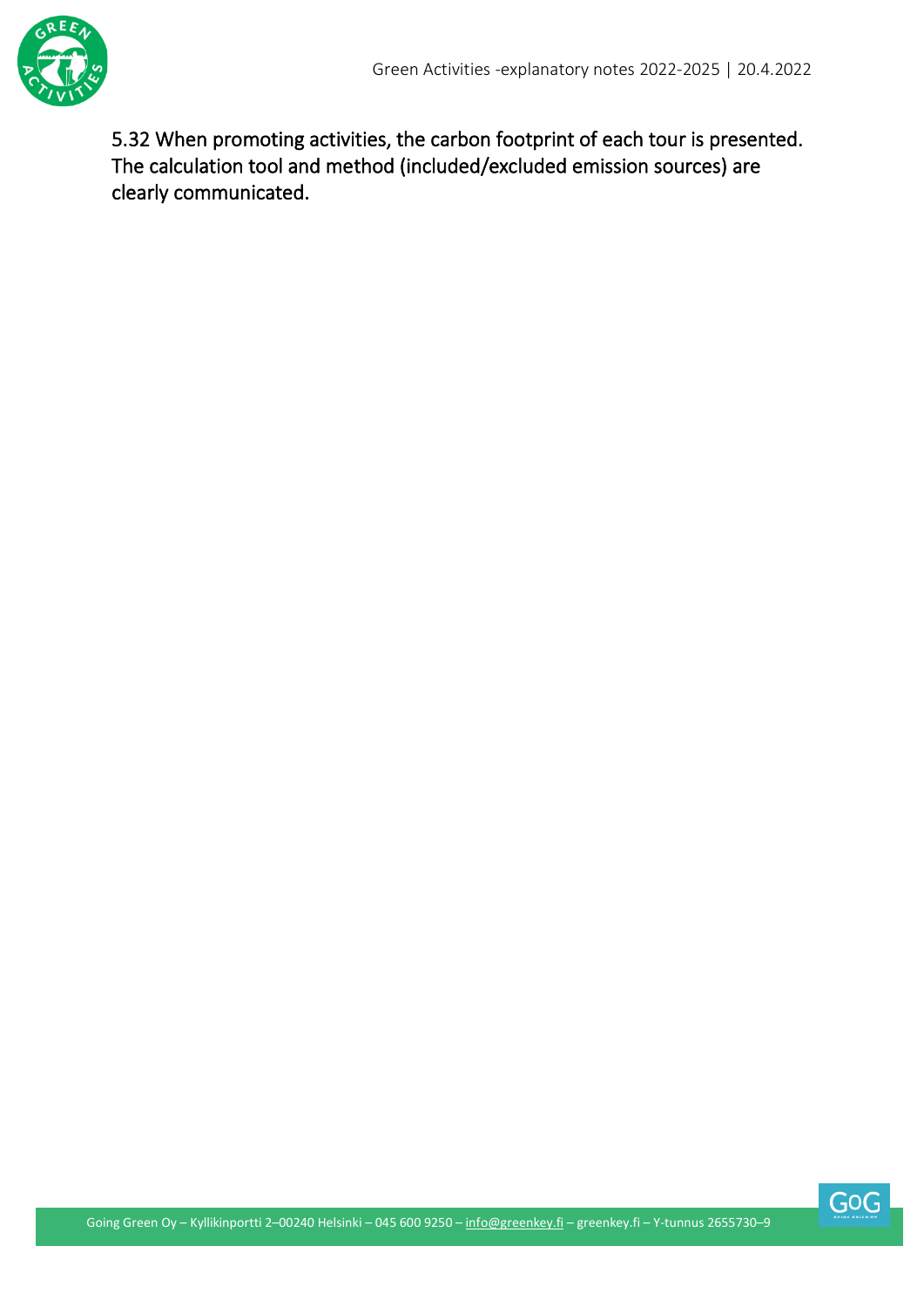

5.32 When promoting activities, the carbon footprint of each tour is presented. The calculation tool and method (included/excluded emission sources) are clearly communicated.

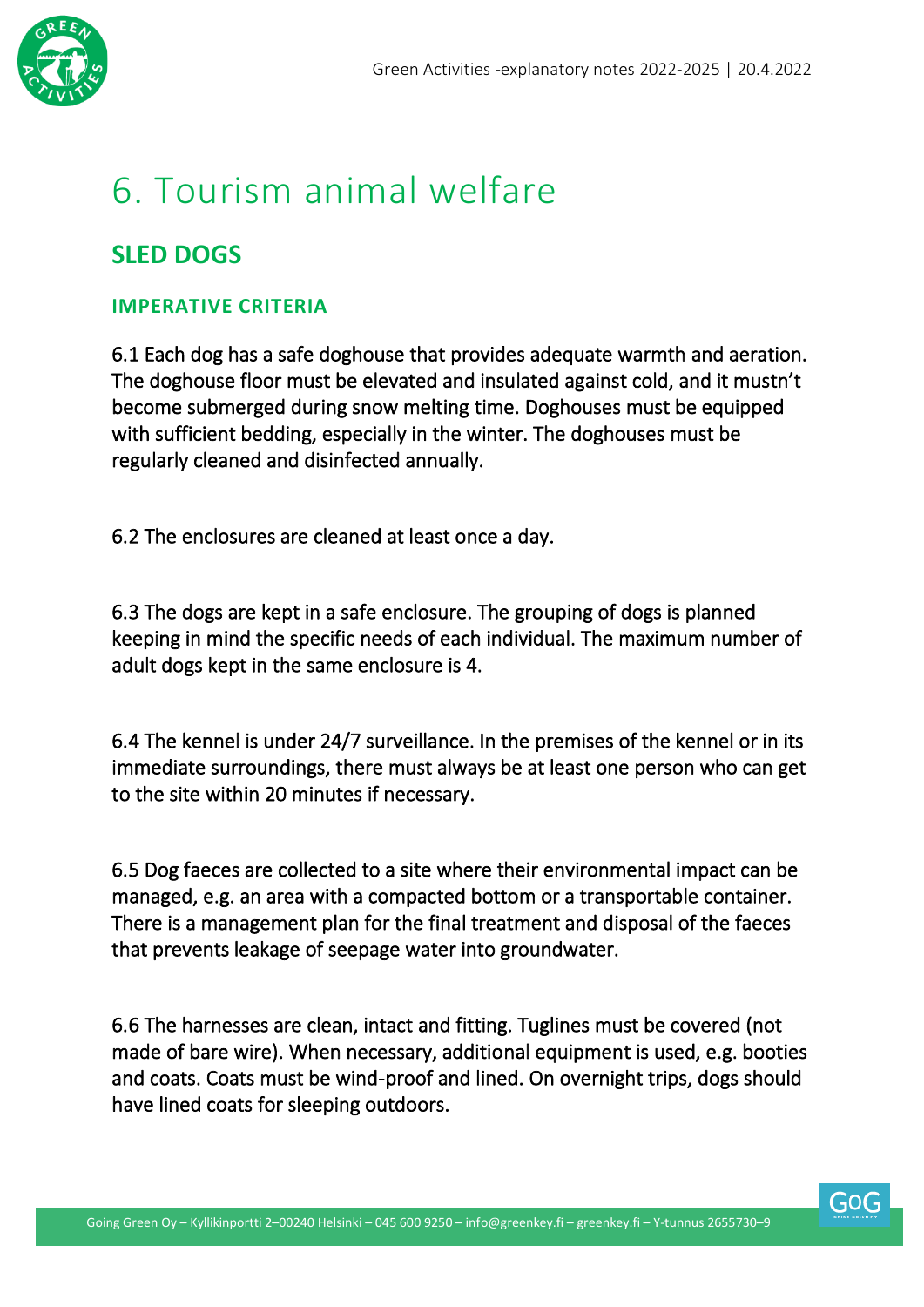

### <span id="page-37-0"></span>6. Tourism animal welfare

#### **SLED DOGS**

#### <span id="page-37-1"></span>**IMPERATIVE CRITERIA**

6.1 Each dog has a safe doghouse that provides adequate warmth and aeration. The doghouse floor must be elevated and insulated against cold, and it mustn't become submerged during snow melting time. Doghouses must be equipped with sufficient bedding, especially in the winter. The doghouses must be regularly cleaned and disinfected annually.

6.2 The enclosures are cleaned at least once a day.

6.3 The dogs are kept in a safe enclosure. The grouping of dogs is planned keeping in mind the specific needs of each individual. The maximum number of adult dogs kept in the same enclosure is 4.

6.4 The kennel is under 24/7 surveillance. In the premises of the kennel or in its immediate surroundings, there must always be at least one person who can get to the site within 20 minutes if necessary.

6.5 Dog faeces are collected to a site where their environmental impact can be managed, e.g. an area with a compacted bottom or a transportable container. There is a management plan for the final treatment and disposal of the faeces that prevents leakage of seepage water into groundwater.

6.6 The harnesses are clean, intact and fitting. Tuglines must be covered (not made of bare wire). When necessary, additional equipment is used, e.g. booties and coats. Coats must be wind-proof and lined. On overnight trips, dogs should have lined coats for sleeping outdoors.

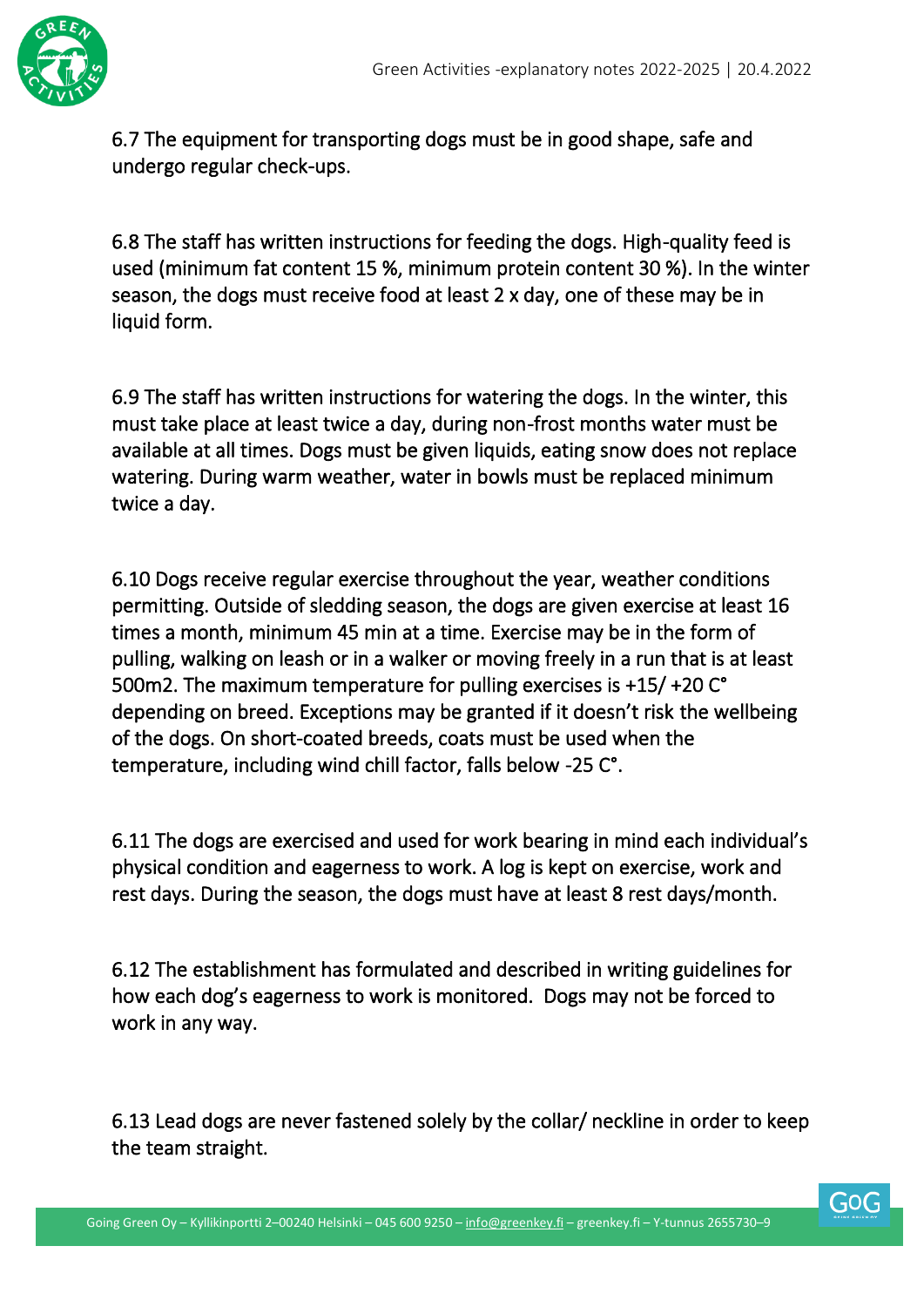

6.7 The equipment for transporting dogs must be in good shape, safe and undergo regular check-ups.

6.8 The staff has written instructions for feeding the dogs. High-quality feed is used (minimum fat content 15 %, minimum protein content 30 %). In the winter season, the dogs must receive food at least 2 x day, one of these may be in liquid form.

6.9 The staff has written instructions for watering the dogs. In the winter, this must take place at least twice a day, during non-frost months water must be available at all times. Dogs must be given liquids, eating snow does not replace watering. During warm weather, water in bowls must be replaced minimum twice a day.

6.10 Dogs receive regular exercise throughout the year, weather conditions permitting. Outside of sledding season, the dogs are given exercise at least 16 times a month, minimum 45 min at a time. Exercise may be in the form of pulling, walking on leash or in a walker or moving freely in a run that is at least 500m2. The maximum temperature for pulling exercises is +15/ +20 C° depending on breed. Exceptions may be granted if it doesn't risk the wellbeing of the dogs. On short-coated breeds, coats must be used when the temperature, including wind chill factor, falls below -25 C°.

6.11 The dogs are exercised and used for work bearing in mind each individual's physical condition and eagerness to work. A log is kept on exercise, work and rest days. During the season, the dogs must have at least 8 rest days/month.

6.12 The establishment has formulated and described in writing guidelines for how each dog's eagerness to work is monitored. Dogs may not be forced to work in any way.

6.13 Lead dogs are never fastened solely by the collar/ neckline in order to keep the team straight.

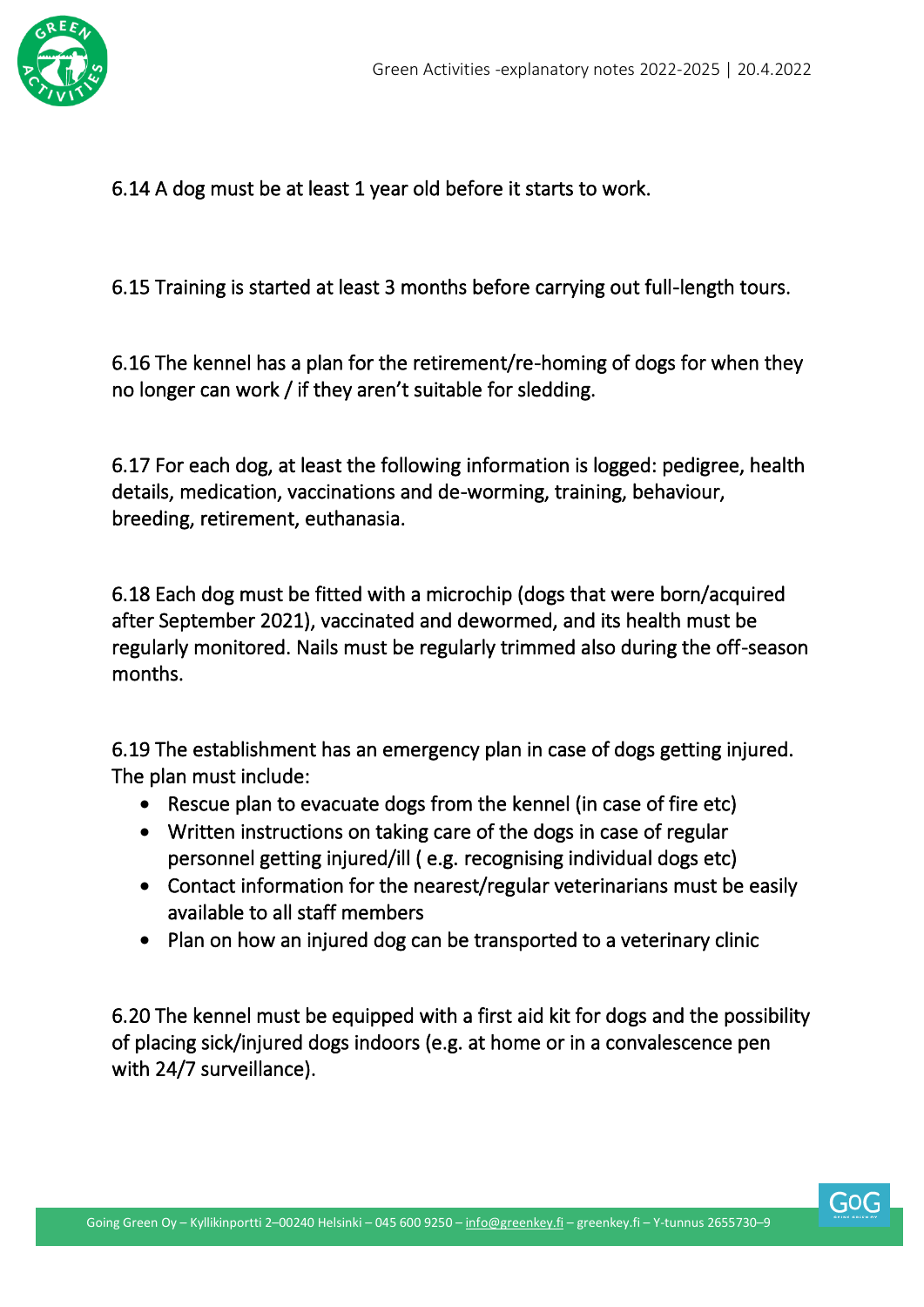

6.14 A dog must be at least 1 year old before it starts to work.

6.15 Training is started at least 3 months before carrying out full-length tours.

6.16 The kennel has a plan for the retirement/re-homing of dogs for when they no longer can work / if they aren't suitable for sledding.

6.17 For each dog, at least the following information is logged: pedigree, health details, medication, vaccinations and de-worming, training, behaviour, breeding, retirement, euthanasia.

6.18 Each dog must be fitted with a microchip (dogs that were born/acquired after September 2021), vaccinated and dewormed, and its health must be regularly monitored. Nails must be regularly trimmed also during the off-season months.

6.19 The establishment has an emergency plan in case of dogs getting injured. The plan must include:

- Rescue plan to evacuate dogs from the kennel (in case of fire etc)
- Written instructions on taking care of the dogs in case of regular personnel getting injured/ill ( e.g. recognising individual dogs etc)
- Contact information for the nearest/regular veterinarians must be easily available to all staff members
- Plan on how an injured dog can be transported to a veterinary clinic

6.20 The kennel must be equipped with a first aid kit for dogs and the possibility of placing sick/injured dogs indoors (e.g. at home or in a convalescence pen with 24/7 surveillance).



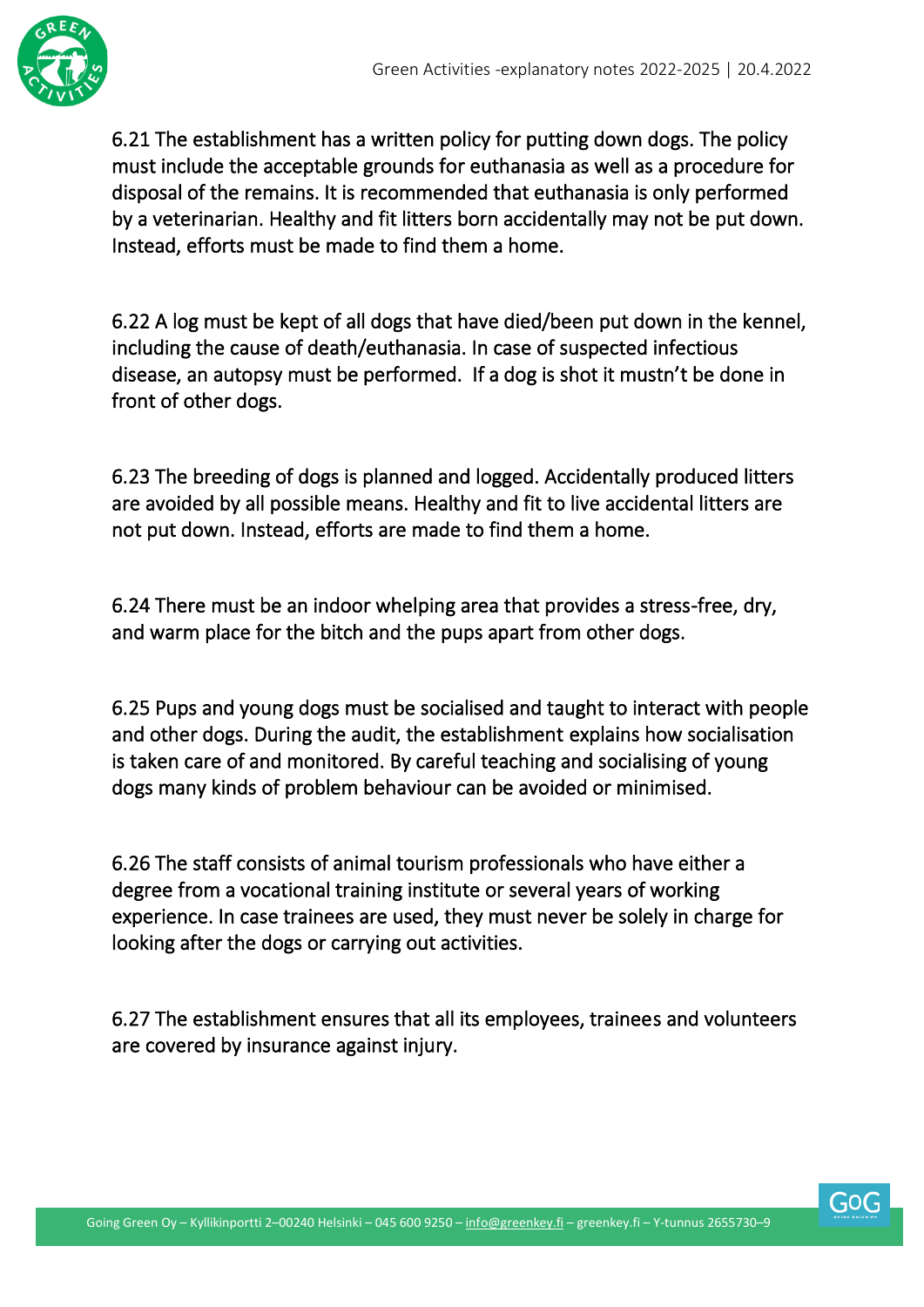

6.21 The establishment has a written policy for putting down dogs. The policy must include the acceptable grounds for euthanasia as well as a procedure for disposal of the remains. It is recommended that euthanasia is only performed by a veterinarian. Healthy and fit litters born accidentally may not be put down. Instead, efforts must be made to find them a home.

6.22 A log must be kept of all dogs that have died/been put down in the kennel, including the cause of death/euthanasia. In case of suspected infectious disease, an autopsy must be performed. If a dog is shot it mustn't be done in front of other dogs.

6.23 The breeding of dogs is planned and logged. Accidentally produced litters are avoided by all possible means. Healthy and fit to live accidental litters are not put down. Instead, efforts are made to find them a home.

6.24 There must be an indoor whelping area that provides a stress-free, dry, and warm place for the bitch and the pups apart from other dogs.

6.25 Pups and young dogs must be socialised and taught to interact with people and other dogs. During the audit, the establishment explains how socialisation is taken care of and monitored. By careful teaching and socialising of young dogs many kinds of problem behaviour can be avoided or minimised.

6.26 The staff consists of animal tourism professionals who have either a degree from a vocational training institute or several years of working experience. In case trainees are used, they must never be solely in charge for looking after the dogs or carrying out activities.

6.27 The establishment ensures that all its employees, trainees and volunteers are covered by insurance against injury.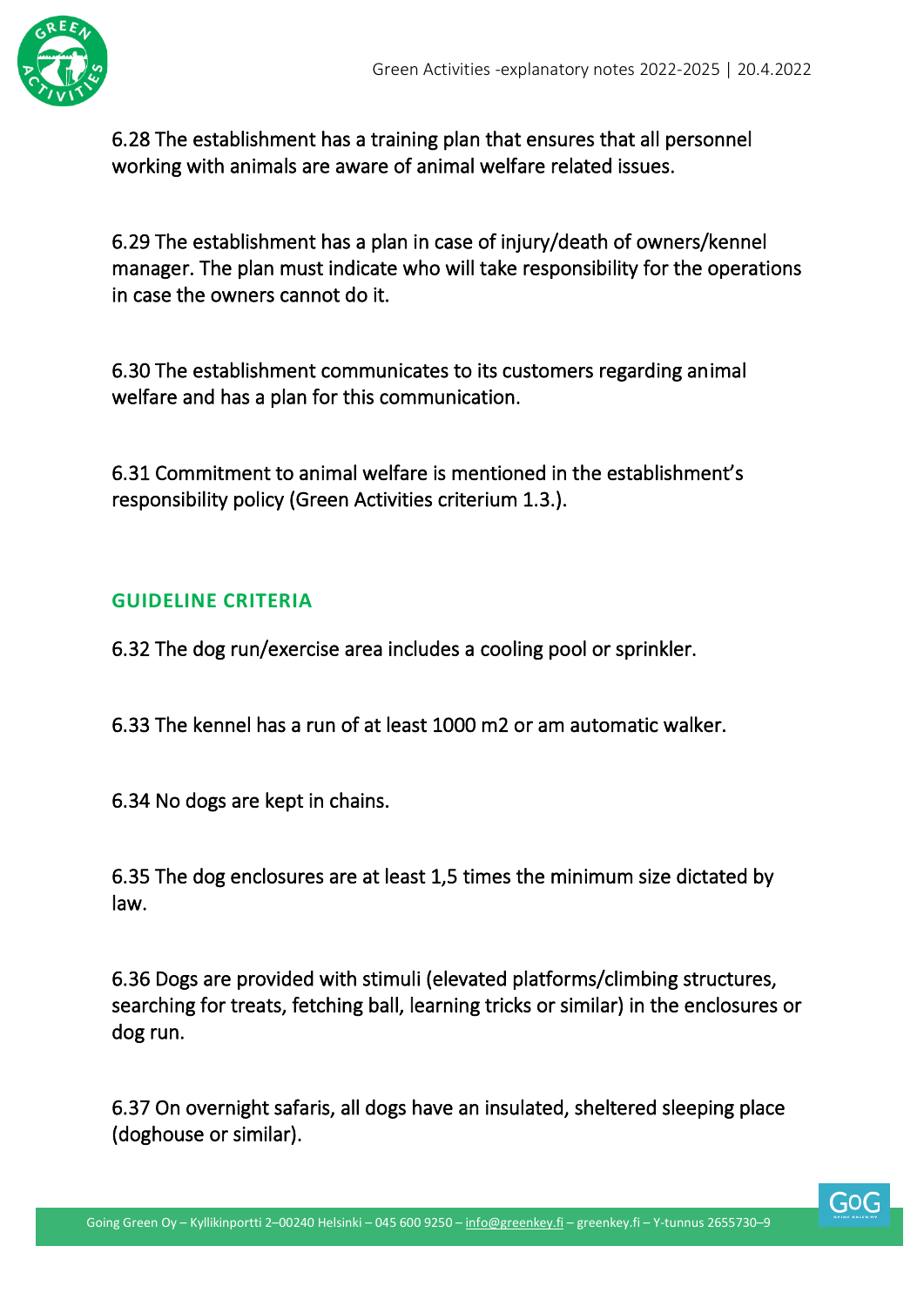

6.28 The establishment has a training plan that ensures that all personnel working with animals are aware of animal welfare related issues.

6.29 The establishment has a plan in case of injury/death of owners/kennel manager. The plan must indicate who will take responsibility for the operations in case the owners cannot do it.

6.30 The establishment communicates to its customers regarding animal welfare and has a plan for this communication.

6.31 Commitment to animal welfare is mentioned in the establishment's responsibility policy (Green Activities criterium 1.3.).

#### <span id="page-41-0"></span>**GUIDELINE CRITERIA**

6.32 The dog run/exercise area includes a cooling pool or sprinkler.

6.33 The kennel has a run of at least 1000 m2 or am automatic walker.

6.34 No dogs are kept in chains.

6.35 The dog enclosures are at least 1,5 times the minimum size dictated by law.

6.36 Dogs are provided with stimuli (elevated platforms/climbing structures, searching for treats, fetching ball, learning tricks or similar) in the enclosures or dog run.

6.37 On overnight safaris, all dogs have an insulated, sheltered sleeping place (doghouse or similar).

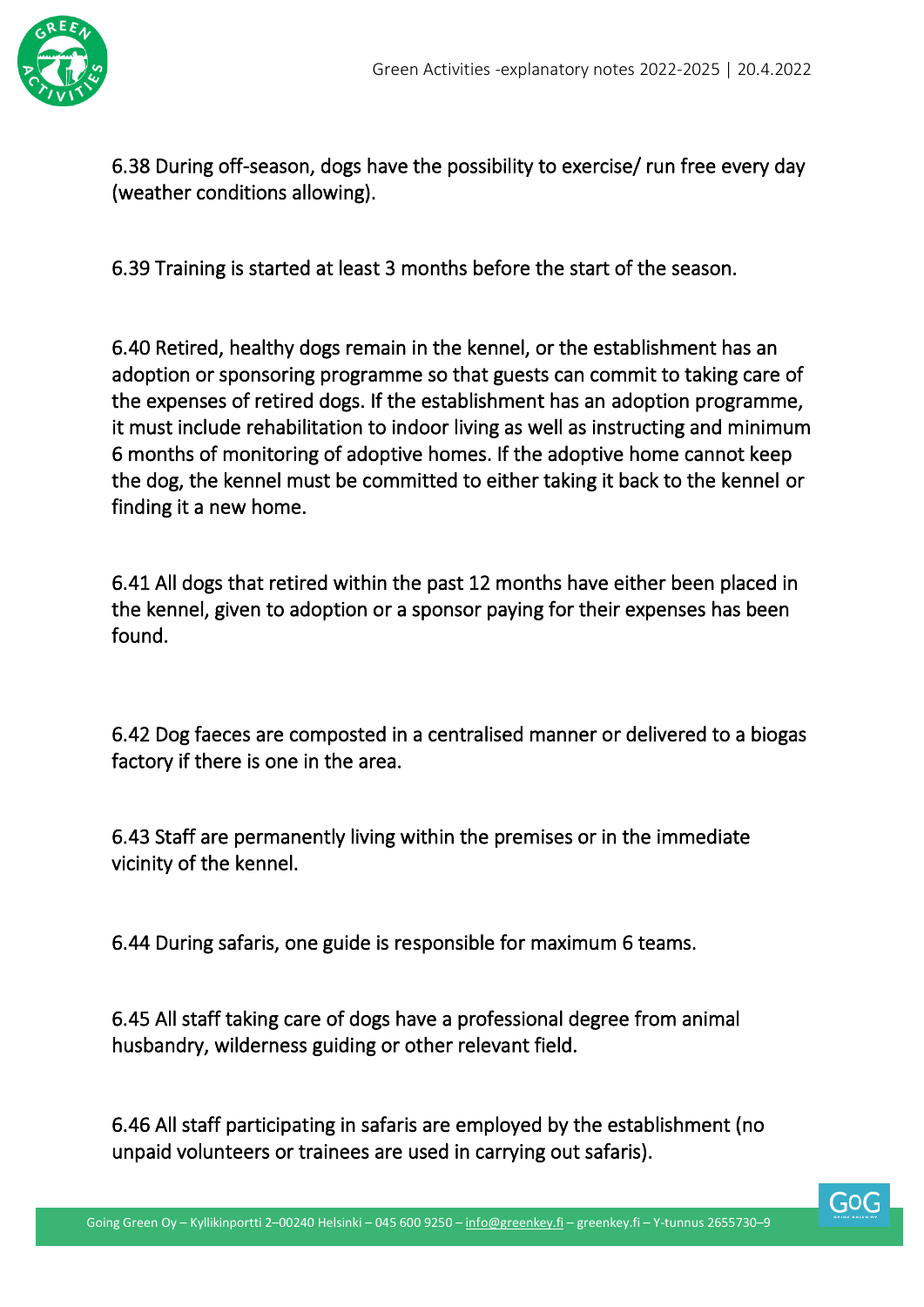

6.38 During off-season, dogs have the possibility to exercise/ run free every day (weather conditions allowing).

6.39 Training is started at least 3 months before the start of the season.

6.40 Retired, healthy dogs remain in the kennel, or the establishment has an adoption or sponsoring programme so that guests can commit to taking care of the expenses of retired dogs. If the establishment has an adoption programme, it must include rehabilitation to indoor living as well as instructing and minimum 6 months of monitoring of adoptive homes. If the adoptive home cannot keep the dog, the kennel must be committed to either taking it back to the kennel or finding it a new home.

6.41 All dogs that retired within the past 12 months have either been placed in the kennel, given to adoption or a sponsor paying for their expenses has been found.

6.42 Dog faeces are composted in a centralised manner or delivered to a biogas factory if there is one in the area.

6.43 Staff are permanently living within the premises or in the immediate vicinity of the kennel.

6.44 During safaris, one guide is responsible for maximum 6 teams.

6.45 All staff taking care of dogs have a professional degree from animal husbandry, wilderness guiding or other relevant field.

6.46 All staff participating in safaris are employed by the establishment (no unpaid volunteers or trainees are used in carrying out safaris).